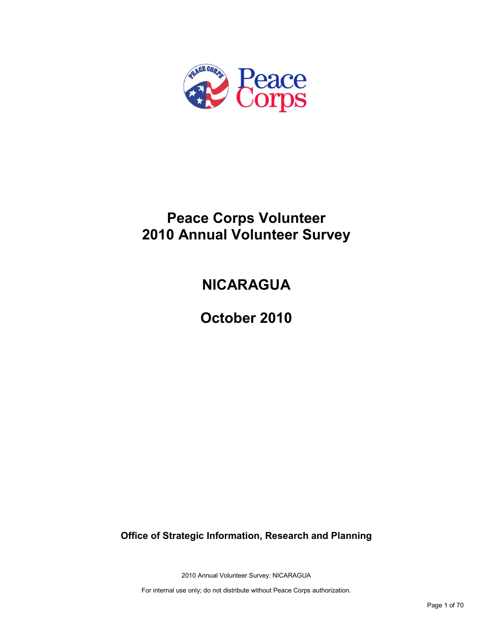

## **Peace Corps Volunteer 2010 Annual Volunteer Survey**

# **NICARAGUA**

**October 2010**

**Office of Strategic Information, Research and Planning**

2010 Annual Volunteer Survey: NICARAGUA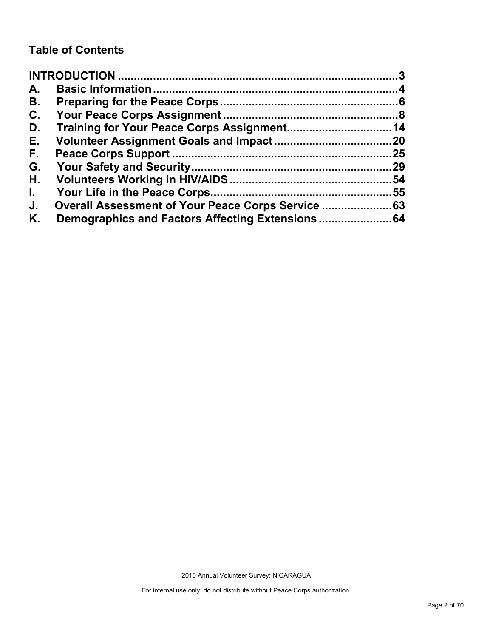## **Table of Contents**

| A.           |     |
|--------------|-----|
| В.           |     |
| C.           |     |
| D.           |     |
| Е.           |     |
| F.           | .25 |
| G.           | .29 |
| Н.           | 54  |
| $\mathbf{L}$ | .55 |
| J.           |     |
| Κ.           |     |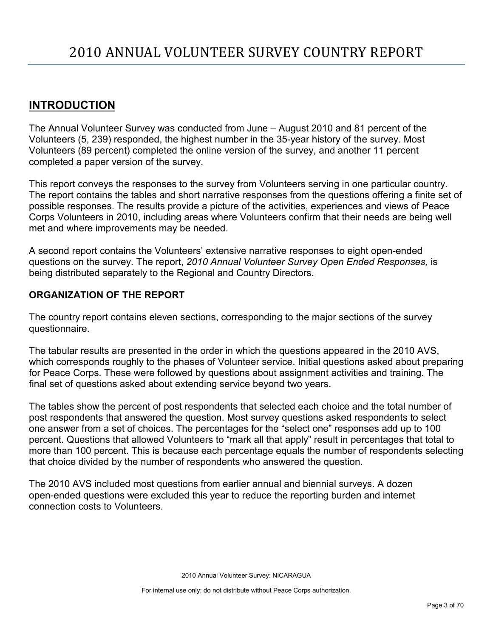## <span id="page-2-0"></span>**INTRODUCTION**

The Annual Volunteer Survey was conducted from June – August 2010 and 81 percent of the Volunteers (5, 239) responded, the highest number in the 35-year history of the survey. Most Volunteers (89 percent) completed the online version of the survey, and another 11 percent completed a paper version of the survey.

This report conveys the responses to the survey from Volunteers serving in one particular country. The report contains the tables and short narrative responses from the questions offering a finite set of possible responses. The results provide a picture of the activities, experiences and views of Peace Corps Volunteers in 2010, including areas where Volunteers confirm that their needs are being well met and where improvements may be needed.

A second report contains the Volunteers' extensive narrative responses to eight open-ended questions on the survey. The report, *2010 Annual Volunteer Survey Open Ended Responses,* is being distributed separately to the Regional and Country Directors.

### **ORGANIZATION OF THE REPORT**

The country report contains eleven sections, corresponding to the major sections of the survey questionnaire.

The tabular results are presented in the order in which the questions appeared in the 2010 AVS, which corresponds roughly to the phases of Volunteer service. Initial questions asked about preparing for Peace Corps. These were followed by questions about assignment activities and training. The final set of questions asked about extending service beyond two years.

The tables show the percent of post respondents that selected each choice and the total number of post respondents that answered the question. Most survey questions asked respondents to select one answer from a set of choices. The percentages for the "select one" responses add up to 100 percent. Questions that allowed Volunteers to "mark all that apply" result in percentages that total to more than 100 percent. This is because each percentage equals the number of respondents selecting that choice divided by the number of respondents who answered the question.

The 2010 AVS included most questions from earlier annual and biennial surveys. A dozen open-ended questions were excluded this year to reduce the reporting burden and internet connection costs to Volunteers.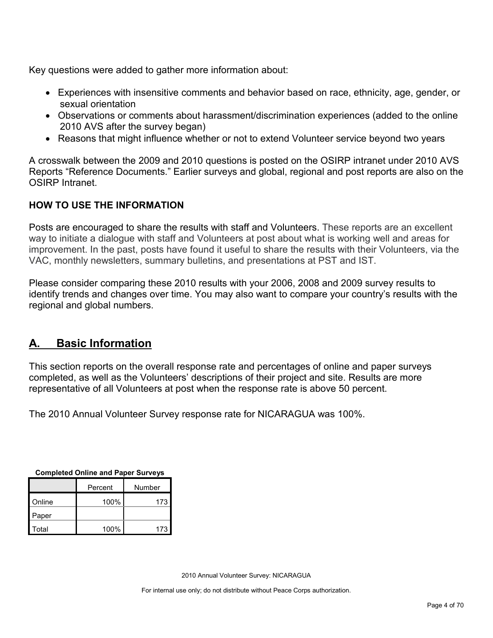Key questions were added to gather more information about:

- Experiences with insensitive comments and behavior based on race, ethnicity, age, gender, or sexual orientation
- Observations or comments about harassment/discrimination experiences (added to the online 2010 AVS after the survey began)
- Reasons that might influence whether or not to extend Volunteer service beyond two years

A crosswalk between the 2009 and 2010 questions is posted on the OSIRP intranet under 2010 AVS Reports "Reference Documents." Earlier surveys and global, regional and post reports are also on the OSIRP Intranet.

## **HOW TO USE THE INFORMATION**

Posts are encouraged to share the results with staff and Volunteers. These reports are an excellent way to initiate a dialogue with staff and Volunteers at post about what is working well and areas for improvement. In the past, posts have found it useful to share the results with their Volunteers, via the VAC, monthly newsletters, summary bulletins, and presentations at PST and IST.

Please consider comparing these 2010 results with your 2006, 2008 and 2009 survey results to identify trends and changes over time. You may also want to compare your country's results with the regional and global numbers.

## <span id="page-3-0"></span>**A. Basic Information**

This section reports on the overall response rate and percentages of online and paper surveys completed, as well as the Volunteers' descriptions of their project and site. Results are more representative of all Volunteers at post when the response rate is above 50 percent.

The 2010 Annual Volunteer Survey response rate for NICARAGUA was 100%.

| Completed Online and Fapel Surveys |         |     |  |  |  |
|------------------------------------|---------|-----|--|--|--|
|                                    | Percent |     |  |  |  |
| Online                             | 100%    |     |  |  |  |
| Paper                              |         |     |  |  |  |
| Total                              | 100%    | 173 |  |  |  |

**Completed Online and Paper Surveys**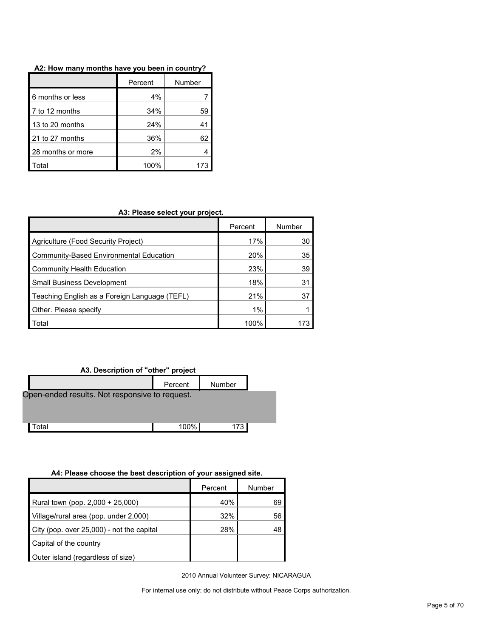|                   | Percent | Number |
|-------------------|---------|--------|
| 6 months or less  | 4%      |        |
| 7 to 12 months    | 34%     | 59     |
| 13 to 20 months   | 24%     |        |
| 21 to 27 months   | 36%     | 62     |
| 28 months or more | 2%      |        |
| Total             | 100%    |        |

#### **A2: How many months have you been in country?**

#### **A3: Please select your project.**

|                                               | Percent | Number |
|-----------------------------------------------|---------|--------|
| Agriculture (Food Security Project)           | 17%     | 30     |
| Community-Based Environmental Education       | 20%     | 35     |
| Community Health Education                    | 23%     | 39     |
| <b>Small Business Development</b>             | 18%     | 31     |
| Teaching English as a Foreign Language (TEFL) | 21%     | 37     |
| Other. Please specify                         | 1%      |        |
| Total                                         | 100%    |        |

#### **A3. Description of "other" project**

| .                 |                                                |        |  |  |  |  |  |
|-------------------|------------------------------------------------|--------|--|--|--|--|--|
|                   | Percent                                        | Number |  |  |  |  |  |
|                   | Open-ended results. Not responsive to request. |        |  |  |  |  |  |
|                   |                                                |        |  |  |  |  |  |
|                   |                                                |        |  |  |  |  |  |
|                   |                                                |        |  |  |  |  |  |
| otal <sup>.</sup> | 100%                                           | 173 I  |  |  |  |  |  |
|                   |                                                |        |  |  |  |  |  |

#### **A4: Please choose the best description of your assigned site.**

|                                           | Percent | Number |
|-------------------------------------------|---------|--------|
| Rural town (pop. 2,000 + 25,000)          | 40%     | 69     |
| Village/rural area (pop. under 2,000)     | 32%     | 56     |
| City (pop. over 25,000) - not the capital | 28%     | 48     |
| Capital of the country                    |         |        |
| Outer island (regardless of size)         |         |        |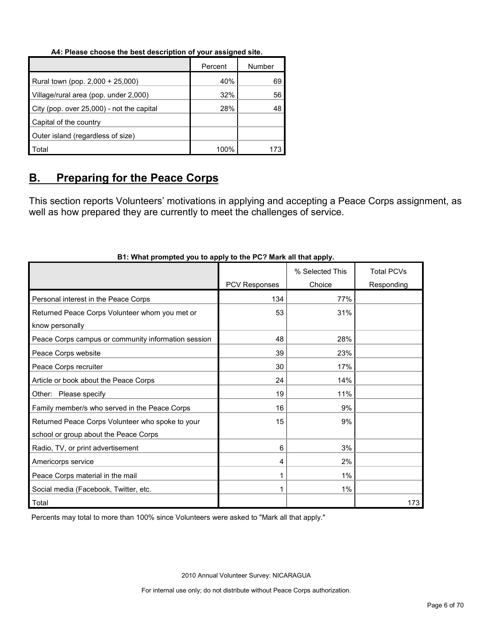#### **A4: Please choose the best description of your assigned site.**

|                                           | Percent | Number |
|-------------------------------------------|---------|--------|
| Rural town (pop. 2,000 + 25,000)          | 40%     | 69     |
| Village/rural area (pop. under 2,000)     | 32%     | 56     |
| City (pop. over 25,000) - not the capital | 28%     | 48     |
| Capital of the country                    |         |        |
| Outer island (regardless of size)         |         |        |
| Total                                     | 100%    |        |

## <span id="page-5-0"></span>**B. Preparing for the Peace Corps**

This section reports Volunteers' motivations in applying and accepting a Peace Corps assignment, as well as how prepared they are currently to meet the challenges of service.

|                                                     |                      | % Selected This | <b>Total PCVs</b> |
|-----------------------------------------------------|----------------------|-----------------|-------------------|
|                                                     | <b>PCV Responses</b> | Choice          | Responding        |
| Personal interest in the Peace Corps                | 134                  | 77%             |                   |
| Returned Peace Corps Volunteer whom you met or      | 53                   | 31%             |                   |
| know personally                                     |                      |                 |                   |
| Peace Corps campus or community information session | 48                   | 28%             |                   |
| Peace Corps website                                 | 39                   | 23%             |                   |
| Peace Corps recruiter                               | 30                   | 17%             |                   |
| Article or book about the Peace Corps               | 24                   | 14%             |                   |
| Other: Please specify                               | 19                   | 11%             |                   |
| Family member/s who served in the Peace Corps       | 16                   | 9%              |                   |
| Returned Peace Corps Volunteer who spoke to your    | 15                   | 9%              |                   |
| school or group about the Peace Corps               |                      |                 |                   |
| Radio, TV, or print advertisement                   | 6                    | 3%              |                   |
| Americorps service                                  | 4                    | 2%              |                   |
| Peace Corps material in the mail                    |                      | $1\%$           |                   |
| Social media (Facebook, Twitter, etc.               |                      | $1\%$           |                   |
| Total                                               |                      |                 | 173               |

### **B1: What prompted you to apply to the PC? Mark all that apply.**

Percents may total to more than 100% since Volunteers were asked to "Mark all that apply."

2010 Annual Volunteer Survey: NICARAGUA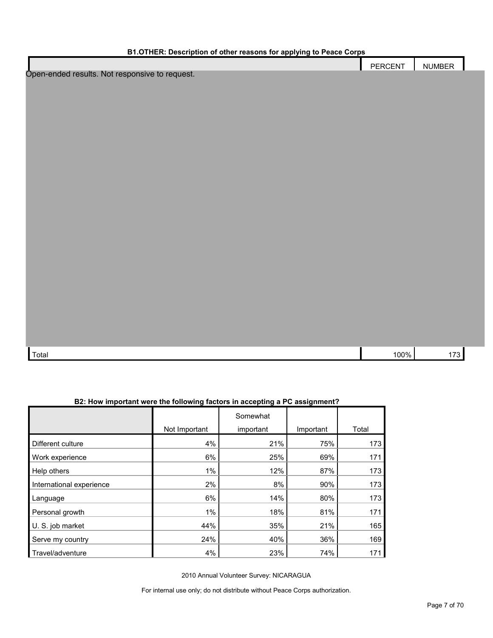| B1.OTHER: Description of other reasons for applying to Peace Corps |                |               |  |  |  |  |
|--------------------------------------------------------------------|----------------|---------------|--|--|--|--|
|                                                                    | <b>PERCENT</b> | <b>NUMBER</b> |  |  |  |  |
| Open-ended results. Not responsive to request.                     |                |               |  |  |  |  |
|                                                                    |                |               |  |  |  |  |
|                                                                    |                |               |  |  |  |  |
|                                                                    |                |               |  |  |  |  |
|                                                                    |                |               |  |  |  |  |
|                                                                    |                |               |  |  |  |  |
|                                                                    |                |               |  |  |  |  |
|                                                                    |                |               |  |  |  |  |
|                                                                    |                |               |  |  |  |  |
|                                                                    |                |               |  |  |  |  |
|                                                                    |                |               |  |  |  |  |
|                                                                    |                |               |  |  |  |  |
|                                                                    |                |               |  |  |  |  |
|                                                                    |                |               |  |  |  |  |
|                                                                    |                |               |  |  |  |  |
|                                                                    |                |               |  |  |  |  |
|                                                                    |                |               |  |  |  |  |
|                                                                    |                |               |  |  |  |  |
|                                                                    |                |               |  |  |  |  |
|                                                                    |                |               |  |  |  |  |
|                                                                    |                |               |  |  |  |  |
|                                                                    |                |               |  |  |  |  |
|                                                                    |                |               |  |  |  |  |
| Total                                                              | 100%           | 173           |  |  |  |  |

| B2: How important were the following factors in accepting a PC assignment? |
|----------------------------------------------------------------------------|
|                                                                            |

|                          |               | Somewhat  |           |       |
|--------------------------|---------------|-----------|-----------|-------|
|                          | Not Important | important | Important | Total |
| Different culture        | 4%            | 21%       | 75%       | 173   |
| Work experience          | 6%            | 25%       | 69%       | 171   |
| Help others              | 1%            | 12%       | 87%       | 173   |
| International experience | 2%            | 8%        | 90%       | 173   |
| Language                 | 6%            | 14%       | 80%       | 173   |
| Personal growth          | $1\%$         | 18%       | 81%       | 171   |
| U. S. job market         | 44%           | 35%       | 21%       | 165   |
| Serve my country         | 24%           | 40%       | 36%       | 169   |
| Travel/adventure         | 4%            | 23%       | 74%       | 171   |

2010 Annual Volunteer Survey: NICARAGUA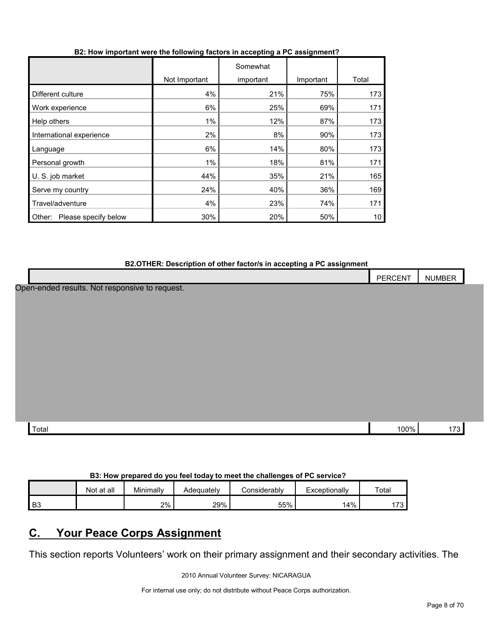| B2: How important were the following factors in accepting a PC assignment? |  |  |  |
|----------------------------------------------------------------------------|--|--|--|
|                                                                            |  |  |  |

|                                |               | Somewhat  |           |       |
|--------------------------------|---------------|-----------|-----------|-------|
|                                | Not Important | important | Important | Total |
| Different culture              | 4%            | 21%       | 75%       | 173   |
| Work experience                | 6%            | 25%       | 69%       | 171   |
| Help others                    | 1%            | 12%       | 87%       | 173   |
| International experience       | 2%            | 8%        | 90%       | 173   |
| Language                       | 6%            | 14%       | 80%       | 173   |
| Personal growth                | 1%            | 18%       | 81%       | 171   |
| U. S. job market               | 44%           | 35%       | 21%       | 165   |
| Serve my country               | 24%           | 40%       | 36%       | 169   |
| Travel/adventure               | 4%            | 23%       | 74%       | 171   |
| Please specify below<br>Other: | 30%           | 20%       | 50%       | 10    |

#### **B2.OTHER: Description of other factor/s in accepting a PC assignment**

|                                                | PERCENT | <b>NUMBER</b> |  |
|------------------------------------------------|---------|---------------|--|
| Open-ended results. Not responsive to request. |         |               |  |
|                                                |         |               |  |
|                                                |         |               |  |
|                                                |         |               |  |
|                                                |         |               |  |
|                                                |         |               |  |
|                                                |         |               |  |
|                                                |         |               |  |
|                                                |         |               |  |
| Total                                          | 100%    | 173           |  |
|                                                |         |               |  |

#### **B3: How prepared do you feel today to meet the challenges of PC service?**

|    | Not at all | Minimally | Adequatelv | ∴onsiderablv | Exceptionally | Tota <sub>l</sub>               |
|----|------------|-----------|------------|--------------|---------------|---------------------------------|
| B3 |            | 2%        | 29%        | 55%          | 4%            | $\overline{\phantom{a}}$<br>ں ، |

## <span id="page-7-0"></span>**C. Your Peace Corps Assignment**

This section reports Volunteers' work on their primary assignment and their secondary activities. The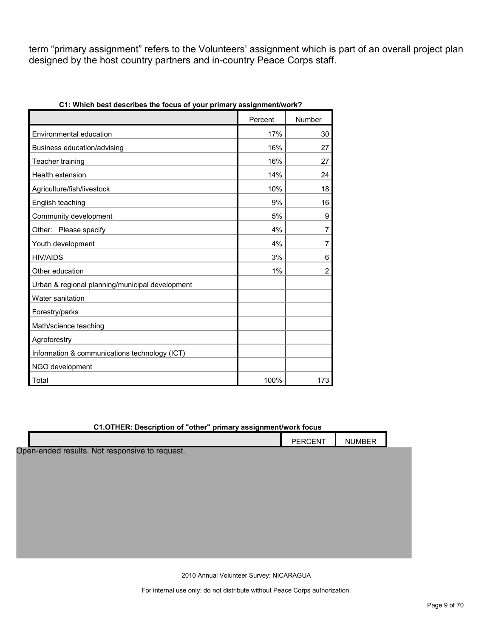term "primary assignment" refers to the Volunteers' assignment which is part of an overall project plan designed by the host country partners and in-country Peace Corps staff.

| <u>William Dest describes the Tocus of your primary assignment work:</u> |         |                |
|--------------------------------------------------------------------------|---------|----------------|
|                                                                          | Percent | Number         |
| Environmental education                                                  | 17%     | 30             |
| Business education/advising                                              | 16%     | 27             |
| Teacher training                                                         | 16%     | 27             |
| Health extension                                                         | 14%     | 24             |
| Agriculture/fish/livestock                                               | 10%     | 18             |
| English teaching                                                         | 9%      | 16             |
| Community development                                                    | 5%      | 9              |
| Other: Please specify                                                    | 4%      | 7              |
| Youth development                                                        | 4%      | 7              |
| <b>HIV/AIDS</b>                                                          | 3%      | 6              |
| Other education                                                          | 1%      | $\overline{2}$ |
| Urban & regional planning/municipal development                          |         |                |
| Water sanitation                                                         |         |                |
| Forestry/parks                                                           |         |                |
| Math/science teaching                                                    |         |                |
| Agroforestry                                                             |         |                |
| Information & communications technology (ICT)                            |         |                |
| NGO development                                                          |         |                |
| Total                                                                    | 100%    | 173            |

**C1: Which best describes the focus of your primary assignment/work?**

#### **C1.OTHER: Description of "other" primary assignment/work focus**

|                                                | PERCENT | <b>NUMBER</b> |  |
|------------------------------------------------|---------|---------------|--|
| Open-ended results. Not responsive to request. |         |               |  |
|                                                |         |               |  |
|                                                |         |               |  |
|                                                |         |               |  |
|                                                |         |               |  |
|                                                |         |               |  |
|                                                |         |               |  |
|                                                |         |               |  |

2010 Annual Volunteer Survey: NICARAGUA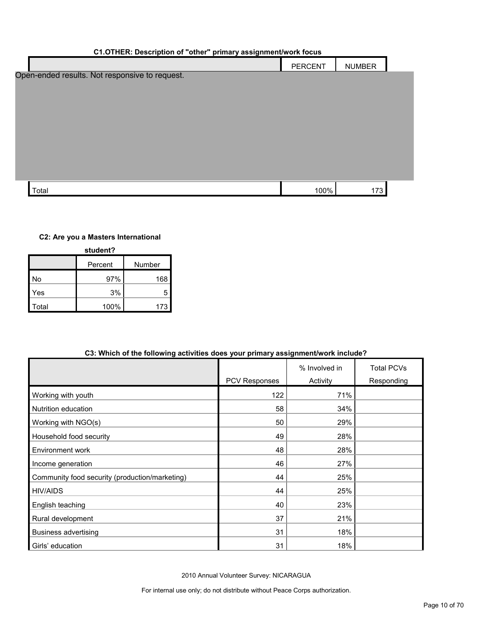#### **C1.OTHER: Description of "other" primary assignment/work focus**

|                                                | PERCENT | <b>NUMBER</b> |  |
|------------------------------------------------|---------|---------------|--|
| Open-ended results. Not responsive to request. |         |               |  |
|                                                |         |               |  |
|                                                |         |               |  |
|                                                |         |               |  |
|                                                |         |               |  |
|                                                |         |               |  |
|                                                |         |               |  |
|                                                |         |               |  |
| Total                                          | 100%    | 173           |  |

#### **C2: Are you a Masters International**

| student? |         |        |  |  |  |
|----------|---------|--------|--|--|--|
|          | Percent | Number |  |  |  |
| No       | 97%     | 168    |  |  |  |
| Yes      | 3%      | 5      |  |  |  |
| Total    | 100%    | 173    |  |  |  |

| US: WHICH OF the following activities does your primary assignmentwork include? |                      |               |                   |  |  |  |
|---------------------------------------------------------------------------------|----------------------|---------------|-------------------|--|--|--|
|                                                                                 |                      | % Involved in | <b>Total PCVs</b> |  |  |  |
|                                                                                 | <b>PCV Responses</b> | Activity      | Responding        |  |  |  |
| Working with youth                                                              | 122                  | 71%           |                   |  |  |  |
| Nutrition education                                                             | 58                   | 34%           |                   |  |  |  |
| Working with NGO(s)                                                             | 50                   | 29%           |                   |  |  |  |
| Household food security                                                         | 49                   | 28%           |                   |  |  |  |
| Environment work                                                                | 48                   | 28%           |                   |  |  |  |
| Income generation                                                               | 46                   | 27%           |                   |  |  |  |
| Community food security (production/marketing)                                  | 44                   | 25%           |                   |  |  |  |
| <b>HIV/AIDS</b>                                                                 | 44                   | 25%           |                   |  |  |  |
| English teaching                                                                | 40                   | 23%           |                   |  |  |  |
| Rural development                                                               | 37                   | 21%           |                   |  |  |  |
| <b>Business advertising</b>                                                     | 31                   | 18%           |                   |  |  |  |
| Girls' education                                                                | 31                   | 18%           |                   |  |  |  |

### **C3: Which of the following activities does your primary assignment/work include?**

2010 Annual Volunteer Survey: NICARAGUA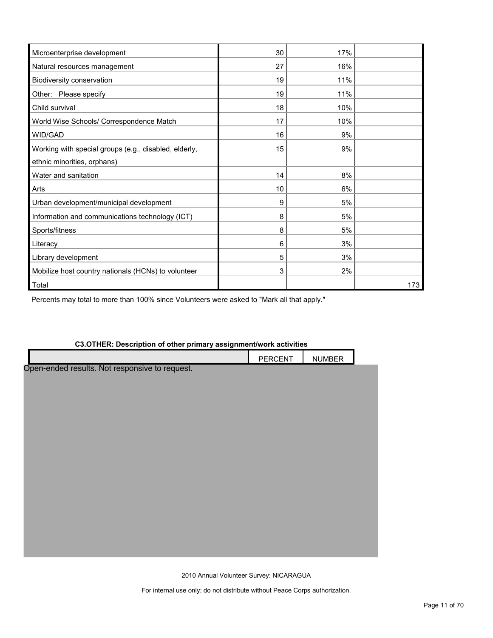| Microenterprise development                           | 30 | 17% |     |
|-------------------------------------------------------|----|-----|-----|
| Natural resources management                          | 27 | 16% |     |
| Biodiversity conservation                             | 19 | 11% |     |
| Other: Please specify                                 | 19 | 11% |     |
| Child survival                                        | 18 | 10% |     |
| World Wise Schools/ Correspondence Match              | 17 | 10% |     |
| WID/GAD                                               | 16 | 9%  |     |
| Working with special groups (e.g., disabled, elderly, | 15 | 9%  |     |
| ethnic minorities, orphans)                           |    |     |     |
| Water and sanitation                                  | 14 | 8%  |     |
| Arts                                                  | 10 | 6%  |     |
| Urban development/municipal development               | 9  | 5%  |     |
| Information and communications technology (ICT)       | 8  | 5%  |     |
| Sports/fitness                                        | 8  | 5%  |     |
| Literacy                                              | 6  | 3%  |     |
| Library development                                   | 5  | 3%  |     |
| Mobilize host country nationals (HCNs) to volunteer   | 3  | 2%  |     |
| Total                                                 |    |     | 173 |

Percents may total to more than 100% since Volunteers were asked to "Mark all that apply."

### **C3.OTHER: Description of other primary assignment/work activities**

2010 Annual Volunteer Survey: NICARAGUA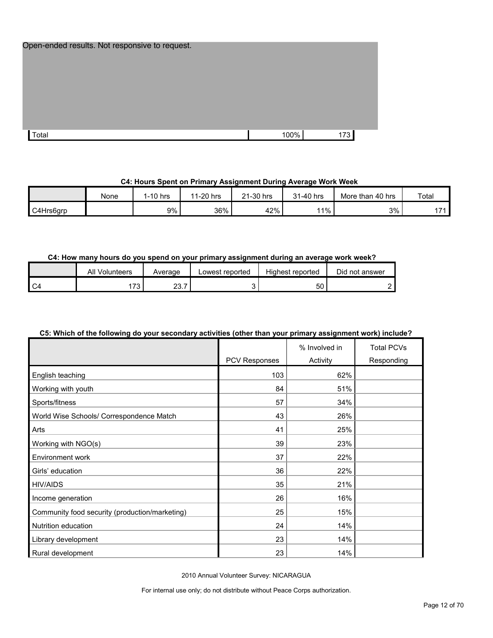|       | Open-ended results. Not responsive to request. |      |     |
|-------|------------------------------------------------|------|-----|
|       |                                                |      |     |
|       |                                                |      |     |
| Total |                                                | 100% | 173 |

#### **C4: Hours Spent on Primary Assignment During Average Work Week**

|           | None | 1-10 hrs | 11-20 hrs | 21-30 hrs<br>$^{\circ}$ | 31-40 hrs | More than 40 hrs | Total         |
|-----------|------|----------|-----------|-------------------------|-----------|------------------|---------------|
| C4Hrs6arp |      | $9\%$    | 36%       | 42%                     | 11%       | 3%               | $\rightarrow$ |

#### **C4: How many hours do you spend on your primary assignment during an average work week?**

|      | Volunteers<br>All | Average      | Lowest reported | Highest reported | Did not answer |
|------|-------------------|--------------|-----------------|------------------|----------------|
| I C4 | $-20$<br>ັບ       | 0 מ<br>ا . ت |                 | 50               |                |

### **C5: Which of the following do your secondary activities (other than your primary assignment work) include?**

|                                                |               | % Involved in | <b>Total PCVs</b> |
|------------------------------------------------|---------------|---------------|-------------------|
|                                                | PCV Responses | Activity      | Responding        |
| English teaching                               | 103           | 62%           |                   |
| Working with youth                             | 84            | 51%           |                   |
| Sports/fitness                                 | 57            | 34%           |                   |
| World Wise Schools/ Correspondence Match       | 43            | 26%           |                   |
| Arts                                           | 41            | 25%           |                   |
| Working with NGO(s)                            | 39            | 23%           |                   |
| Environment work                               | 37            | 22%           |                   |
| Girls' education                               | 36            | 22%           |                   |
| <b>HIV/AIDS</b>                                | 35            | 21%           |                   |
| Income generation                              | 26            | 16%           |                   |
| Community food security (production/marketing) | 25            | 15%           |                   |
| Nutrition education                            | 24            | 14%           |                   |
| Library development                            | 23            | 14%           |                   |
| Rural development                              | 23            | 14%           |                   |

2010 Annual Volunteer Survey: NICARAGUA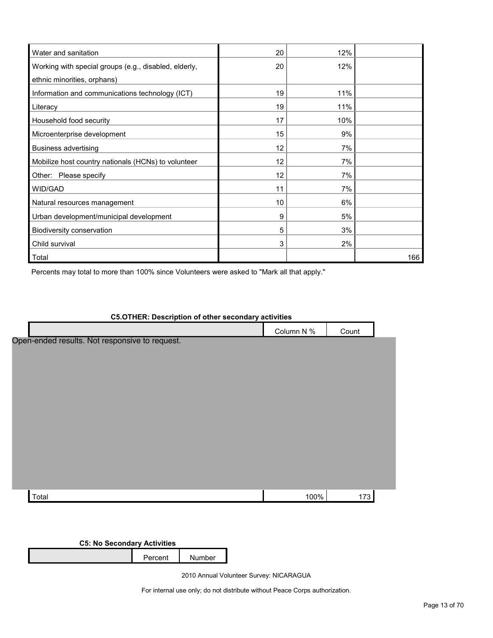| Water and sanitation                                  | 20 | 12% |     |
|-------------------------------------------------------|----|-----|-----|
| Working with special groups (e.g., disabled, elderly, | 20 | 12% |     |
| ethnic minorities, orphans)                           |    |     |     |
| Information and communications technology (ICT)       | 19 | 11% |     |
| Literacy                                              | 19 | 11% |     |
| Household food security                               | 17 | 10% |     |
| Microenterprise development                           | 15 | 9%  |     |
| <b>Business advertising</b>                           | 12 | 7%  |     |
| Mobilize host country nationals (HCNs) to volunteer   | 12 | 7%  |     |
| Other: Please specify                                 | 12 | 7%  |     |
| WID/GAD                                               | 11 | 7%  |     |
| Natural resources management                          | 10 | 6%  |     |
| Urban development/municipal development               | 9  | 5%  |     |
| Biodiversity conservation                             | 5  | 3%  |     |
| Child survival                                        | 3  | 2%  |     |
| Total                                                 |    |     | 166 |

Percents may total to more than 100% since Volunteers were asked to "Mark all that apply."

| <b>C5.OTHER: Description of other secondary activities</b> |            |       |  |
|------------------------------------------------------------|------------|-------|--|
|                                                            | Column N % | Count |  |
| Open-ended results. Not responsive to request.             |            |       |  |
|                                                            |            |       |  |
|                                                            |            |       |  |
|                                                            |            |       |  |
|                                                            |            |       |  |
|                                                            |            |       |  |
|                                                            |            |       |  |
|                                                            |            |       |  |
|                                                            |            |       |  |
|                                                            |            |       |  |
|                                                            |            |       |  |
|                                                            |            |       |  |
|                                                            |            |       |  |
| Total                                                      | 100%       | 173   |  |

**C5: No Secondary Activities**

Percent Number

2010 Annual Volunteer Survey: NICARAGUA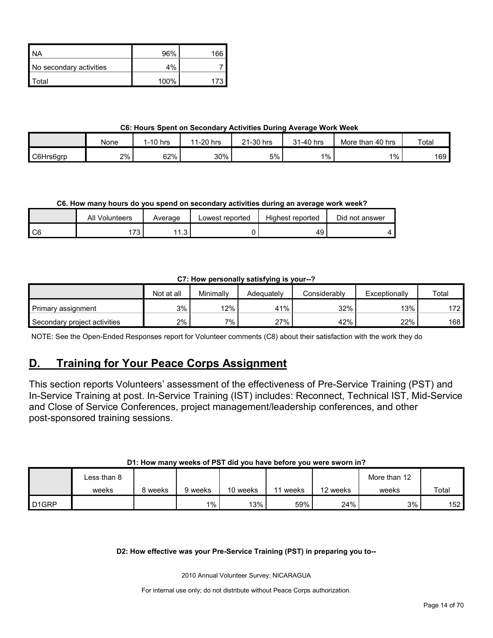| ' NA                    | 96%  | 166 |
|-------------------------|------|-----|
| No secondary activities | 4%   |     |
| ʻotal                   | 100% |     |

#### **C6: Hours Spent on Secondary Activities During Average Work Week**

|           | None | 1-10 hrs | 1-20 hrs<br>44 | 21-30 hrs | 31-40 hrs | . 40 hrs<br>More than | Total |
|-----------|------|----------|----------------|-----------|-----------|-----------------------|-------|
| C6Hrs6grp | 2%   | 62%      | 30%            | 5%        | 1%        | $1\%$                 | 169   |

#### **C6. How many hours do you spend on secondary activities during an average work week?**

|                | Volunteers<br>Al | Average | Lowest reported | Highest reported | Did not answer |
|----------------|------------------|---------|-----------------|------------------|----------------|
| C <sub>6</sub> | $-20$<br>ن ·     | 44<br>. |                 | 49               |                |

#### **C7: How personally satisfying is your--?**

|                              | Not at all | Minimallv | Adeauatelv | Considerably | Exceptionally | Total |
|------------------------------|------------|-----------|------------|--------------|---------------|-------|
| Primary assignment           | 3%         | 12%       | 41%        | 32%          | 13%           | 172   |
| Secondary project activities | 2%         | 7%        | 27%        | 42%          | 22%           | 168   |

NOTE: See the Open-Ended Responses report for Volunteer comments (C8) about their satisfaction with the work they do

## <span id="page-13-0"></span>**D. Training for Your Peace Corps Assignment**

This section reports Volunteers' assessment of the effectiveness of Pre-Service Training (PST) and In-Service Training at post. In-Service Training (IST) includes: Reconnect, Technical IST, Mid-Service and Close of Service Conferences, project management/leadership conferences, and other post-sponsored training sessions.

#### **D1: How many weeks of PST did you have before you were sworn in?**

|                   | ∟ess than 8 |         |         |          |       |          | More than 12 |       |
|-------------------|-------------|---------|---------|----------|-------|----------|--------------|-------|
|                   | weeks       | 8 weeks | 9 weeks | 10 weeks | weeks | 12 weeks | weeks        | Total |
| D <sub>1GRP</sub> |             |         | $1\%$   | 13%      | 59%   | 24%      | 3%           | 152   |

**D2: How effective was your Pre-Service Training (PST) in preparing you to--**

2010 Annual Volunteer Survey: NICARAGUA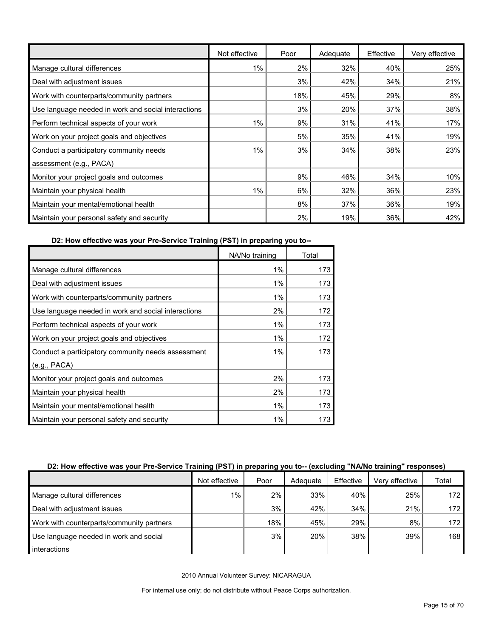|                                                     | Not effective | Poor | Adequate | Effective | Very effective |
|-----------------------------------------------------|---------------|------|----------|-----------|----------------|
| Manage cultural differences                         | 1%            | 2%   | 32%      | 40%       | 25%            |
| Deal with adjustment issues                         |               | 3%   | 42%      | 34%       | 21%            |
| Work with counterparts/community partners           |               | 18%  | 45%      | 29%       | 8%             |
| Use language needed in work and social interactions |               | 3%   | 20%      | 37%       | 38%            |
| Perform technical aspects of your work              | $1\%$         | 9%   | 31%      | 41%       | 17%            |
| Work on your project goals and objectives           |               | 5%   | 35%      | 41%       | 19%            |
| Conduct a participatory community needs             | $1\%$         | 3%   | 34%      | 38%       | 23%            |
| assessment (e.g., PACA)                             |               |      |          |           |                |
| Monitor your project goals and outcomes             |               | 9%   | 46%      | 34%       | 10%            |
| Maintain your physical health                       | 1%            | 6%   | 32%      | 36%       | 23%            |
| Maintain your mental/emotional health               |               | 8%   | 37%      | 36%       | 19%            |
| Maintain your personal safety and security          |               | 2%   | 19%      | 36%       | 42%            |

**D2: How effective was your Pre-Service Training (PST) in preparing you to--**

|                                                     | NA/No training | Total |
|-----------------------------------------------------|----------------|-------|
| Manage cultural differences                         | 1%             | 173   |
| Deal with adjustment issues                         | 1%             | 173   |
| Work with counterparts/community partners           | 1%             | 173   |
| Use language needed in work and social interactions | 2%             | 172   |
| Perform technical aspects of your work              | 1%             | 173   |
| Work on your project goals and objectives           | 1%             | 172   |
| Conduct a participatory community needs assessment  | 1%             | 173   |
| (e.g., PACA)                                        |                |       |
| Monitor your project goals and outcomes             | 2%             | 173   |
| Maintain your physical health                       | 2%             | 173   |
| Maintain your mental/emotional health               | 1%             | 173   |
| Maintain your personal safety and security          | $1\%$          | 173   |

#### **D2: How effective was your Pre-Service Training (PST) in preparing you to-- (excluding "NA/No training" responses)**

|                                           | Not effective | Poor | Adequate | Effective | Verv effective | Total            |
|-------------------------------------------|---------------|------|----------|-----------|----------------|------------------|
| Manage cultural differences               | 1%            | 2%1  | 33%      | 40%       | 25%            | 172 <sub>l</sub> |
| Deal with adjustment issues               |               | 3%   | 42%      | 34%       | 21%            | 172 <sub>l</sub> |
| Work with counterparts/community partners |               | 18%  | 45%      | 29%       | 8%             | 172 <sub>l</sub> |
| Use language needed in work and social    |               | 3%   | 20%      | 38%       | 39%            | 168 <sup>1</sup> |
| interactions                              |               |      |          |           |                |                  |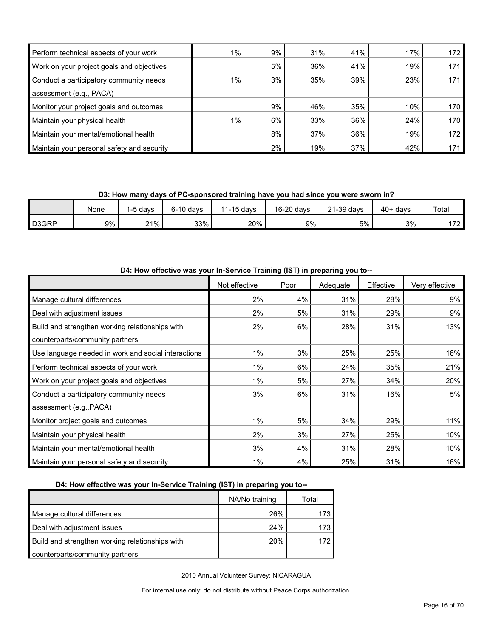| Perform technical aspects of your work     | $1\%$ | $9\%$ | 31% | 41% | 17% | 172 |
|--------------------------------------------|-------|-------|-----|-----|-----|-----|
| Work on your project goals and objectives  |       | 5%    | 36% | 41% | 19% | 171 |
| Conduct a participatory community needs    | $1\%$ | 3%    | 35% | 39% | 23% | 171 |
| assessment (e.g., PACA)                    |       |       |     |     |     |     |
| Monitor your project goals and outcomes    |       | 9%    | 46% | 35% | 10% | 170 |
| Maintain your physical health              | $1\%$ | $6\%$ | 33% | 36% | 24% | 170 |
| Maintain your mental/emotional health      |       | 8%    | 37% | 36% | 19% | 172 |
| Maintain your personal safety and security |       | $2\%$ | 19% | 37% | 42% | 171 |

**D3: How many days of PC-sponsored training have you had since you were sworn in?**

|                    | None | -5 davs | $6-10$ days | $1-15$ davs<br>44 | 16-20 days | $21-39$ days | $40+$<br>davs | <b>Total</b> |
|--------------------|------|---------|-------------|-------------------|------------|--------------|---------------|--------------|
| D <sub>3</sub> GRP | 9%   | $21\%$  | 33%         | 20%               | 9%         | 5%           | 3%            | 170<br>1 L   |

| D4: How effective was your In-Service Training (IST) in preparing you to-- |               |      |          |           |                |  |  |  |
|----------------------------------------------------------------------------|---------------|------|----------|-----------|----------------|--|--|--|
|                                                                            | Not effective | Poor | Adequate | Effective | Very effective |  |  |  |
| Manage cultural differences                                                | 2%            | 4%   | 31%      | 28%       | 9%             |  |  |  |
| Deal with adjustment issues                                                | 2%            | 5%   | 31%      | 29%       | 9%             |  |  |  |
| Build and strengthen working relationships with                            | 2%            | 6%   | 28%      | 31%       | 13%            |  |  |  |
| counterparts/community partners                                            |               |      |          |           |                |  |  |  |
| Use language needed in work and social interactions                        | $1\%$         | 3%   | 25%      | 25%       | 16%            |  |  |  |
| Perform technical aspects of your work                                     | 1%            | 6%   | 24%      | 35%       | 21%            |  |  |  |
| Work on your project goals and objectives                                  | 1%            | 5%   | 27%      | 34%       | 20%            |  |  |  |
| Conduct a participatory community needs                                    | 3%            | 6%   | 31%      | 16%       | 5%             |  |  |  |
| assessment (e.g., PACA)                                                    |               |      |          |           |                |  |  |  |
| Monitor project goals and outcomes                                         | $1\%$         | 5%   | 34%      | 29%       | 11%            |  |  |  |
| Maintain your physical health                                              | 2%            | 3%   | 27%      | 25%       | 10%            |  |  |  |
| Maintain your mental/emotional health                                      | 3%            | 4%   | 31%      | 28%       | 10%            |  |  |  |
| Maintain your personal safety and security                                 | $1\%$         | 4%   | 25%      | 31%       | 16%            |  |  |  |

#### **D4: How effective was your In-Service Training (IST) in preparing you to--**

|                                                 | NA/No training | Total |
|-------------------------------------------------|----------------|-------|
| Manage cultural differences                     | 26%            | 173   |
| Deal with adjustment issues                     | 24%            | 173   |
| Build and strengthen working relationships with | 20%            | 172   |
| counterparts/community partners                 |                |       |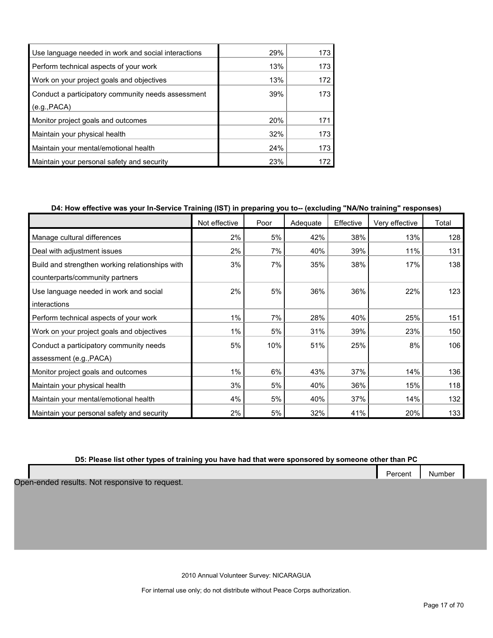| Use language needed in work and social interactions | 29% | 173 |
|-----------------------------------------------------|-----|-----|
| Perform technical aspects of your work              | 13% | 173 |
| Work on your project goals and objectives           | 13% | 172 |
| Conduct a participatory community needs assessment  | 39% | 173 |
| (e.g., PACA)                                        |     |     |
| Monitor project goals and outcomes                  | 20% | 171 |
| Maintain your physical health                       | 32% | 173 |
| Maintain your mental/emotional health               | 24% | 173 |
| Maintain your personal safety and security          | 23% | 172 |

#### **D4: How effective was your In-Service Training (IST) in preparing you to-- (excluding "NA/No training" responses)**

|                                                 | Not effective | Poor | Adequate | Effective | Very effective | Total |
|-------------------------------------------------|---------------|------|----------|-----------|----------------|-------|
| Manage cultural differences                     | 2%            | 5%   | 42%      | 38%       | 13%            | 128   |
| Deal with adjustment issues                     | 2%            | 7%   | 40%      | 39%       | 11%            | 131   |
| Build and strengthen working relationships with | 3%            | 7%   | 35%      | 38%       | 17%            | 138   |
| counterparts/community partners                 |               |      |          |           |                |       |
| Use language needed in work and social          | 2%            | 5%   | 36%      | 36%       | 22%            | 123   |
| interactions                                    |               |      |          |           |                |       |
| Perform technical aspects of your work          | 1%            | 7%   | 28%      | 40%       | 25%            | 151   |
| Work on your project goals and objectives       | 1%            | 5%   | 31%      | 39%       | 23%            | 150   |
| Conduct a participatory community needs         | 5%            | 10%  | 51%      | 25%       | 8%             | 106   |
| assessment (e.g., PACA)                         |               |      |          |           |                |       |
| Monitor project goals and outcomes              | 1%            | 6%   | 43%      | 37%       | 14%            | 136   |
| Maintain your physical health                   | 3%            | 5%   | 40%      | 36%       | 15%            | 118   |
| Maintain your mental/emotional health           | 4%            | 5%   | 40%      | 37%       | 14%            | 132   |
| Maintain your personal safety and security      | 2%            | 5%   | 32%      | 41%       | 20%            | 133   |

#### **D5: Please list other types of training you have had that were sponsored by someone other than PC**

Open-ended results. Not responsive to request.

2010 Annual Volunteer Survey: NICARAGUA

For internal use only; do not distribute without Peace Corps authorization.

Percent | Number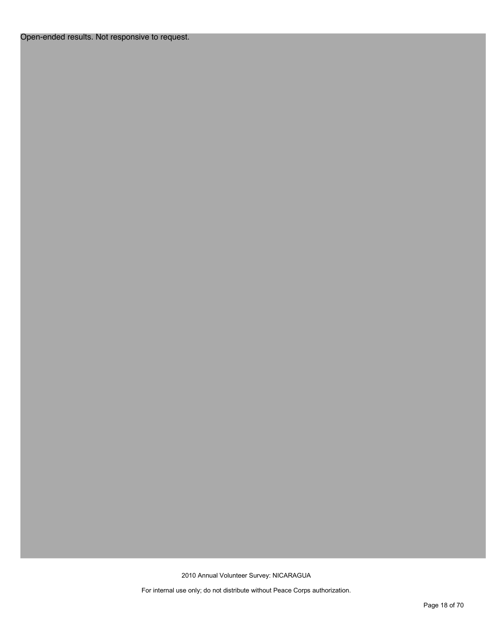#### Open-ended results. Not responsive to request.

2010 Annual Volunteer Survey: NICARAGUA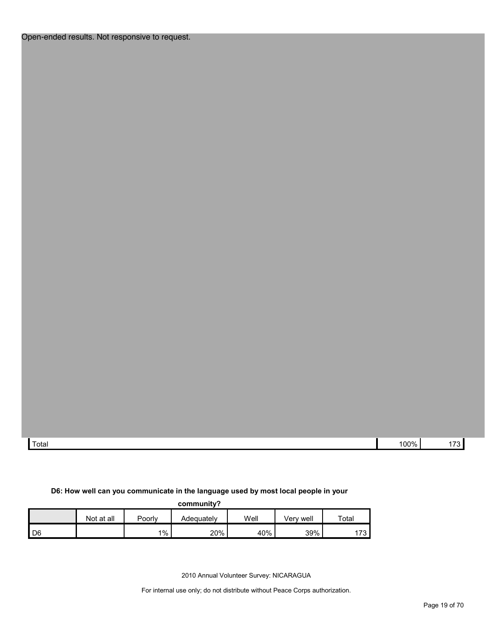| Total | 100%<br>. | المستندر<br>_ |
|-------|-----------|---------------|

#### **D6: How well can you communicate in the language used by most local people in your**

**community?**

|      | Not at all | Poorlv | Adeɑuatelv | Well | Verv well | Total                         |
|------|------------|--------|------------|------|-----------|-------------------------------|
| l D6 |            | $1\%$  | 20%        | 40%  | 39%       | $\overline{\phantom{a}}$<br>ັ |

2010 Annual Volunteer Survey: NICARAGUA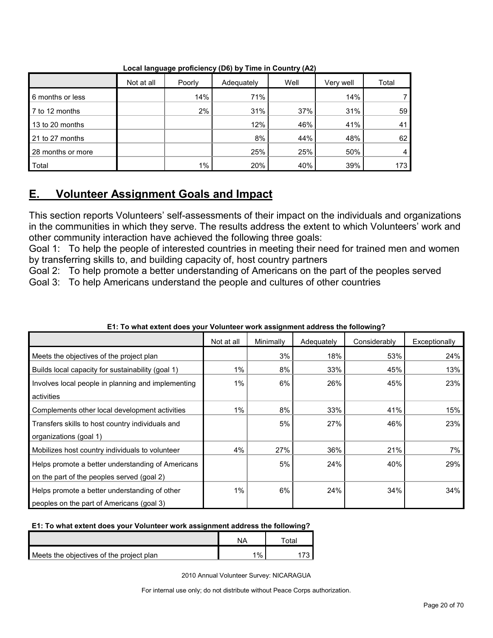|                   | Not at all | Poorly | Adequately | Well | Very well | Total |
|-------------------|------------|--------|------------|------|-----------|-------|
| 6 months or less  |            | 14%    | 71%        |      | 14%       |       |
| 7 to 12 months    |            | 2%     | 31%        | 37%  | 31%       | 59    |
| 13 to 20 months   |            |        | 12%        | 46%  | 41%       | 41    |
| 21 to 27 months   |            |        | 8%         | 44%  | 48%       | 62    |
| 28 months or more |            |        | 25%        | 25%  | 50%       | 4     |
| Total             |            | $1\%$  | 20%        | 40%  | 39%       | 173   |

**Local language proficiency (D6) by Time in Country (A2)**

## <span id="page-19-0"></span>**E. Volunteer Assignment Goals and Impact**

This section reports Volunteers' self-assessments of their impact on the individuals and organizations in the communities in which they serve. The results address the extent to which Volunteers' work and other community interaction have achieved the following three goals:

Goal 1: To help the people of interested countries in meeting their need for trained men and women by transferring skills to, and building capacity of, host country partners

Goal 2: To help promote a better understanding of Americans on the part of the peoples served Goal 3: To help Americans understand the people and cultures of other countries

|                                                    | Not at all | Minimally | Adequately | Considerably | Exceptionally |
|----------------------------------------------------|------------|-----------|------------|--------------|---------------|
| Meets the objectives of the project plan           |            | 3%        | 18%        | 53%          | 24%           |
| Builds local capacity for sustainability (goal 1)  | $1\%$      | 8%        | 33%        | 45%          | 13%           |
| Involves local people in planning and implementing | $1\%$      | 6%        | 26%        | 45%          | 23%           |
| activities                                         |            |           |            |              |               |
| Complements other local development activities     | $1\%$      | 8%        | 33%        | 41%          | 15%           |
| Transfers skills to host country individuals and   |            | 5%        | 27%        | 46%          | 23%           |
| organizations (goal 1)                             |            |           |            |              |               |
| Mobilizes host country individuals to volunteer    | 4%         | 27%       | 36%        | 21%          | 7%            |
| Helps promote a better understanding of Americans  |            | 5%        | 24%        | 40%          | 29%           |
| on the part of the peoples served (goal 2)         |            |           |            |              |               |
| Helps promote a better understanding of other      | $1\%$      | 6%        | 24%        | 34%          | 34%           |
| peoples on the part of Americans (goal 3)          |            |           |            |              |               |

#### **E1: To what extent does your Volunteer work assignment address the following?**

#### **E1: To what extent does your Volunteer work assignment address the following?**

|                                          | NΔ    | <sup>∽</sup> otal |
|------------------------------------------|-------|-------------------|
| Meets the objectives of the project plan | $1\%$ |                   |

2010 Annual Volunteer Survey: NICARAGUA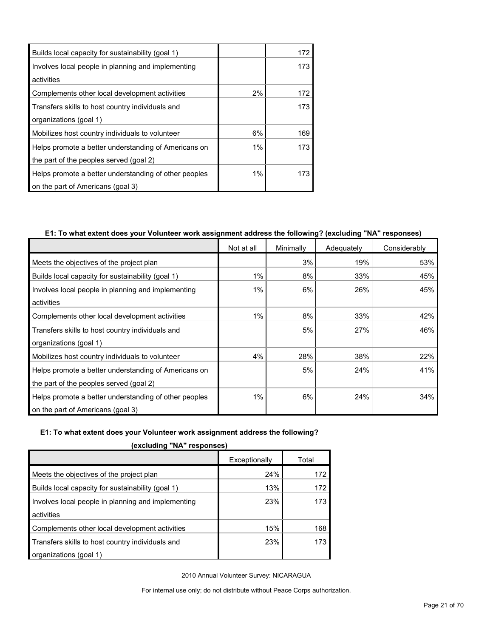| Builds local capacity for sustainability (goal 1)                |       | 172 |
|------------------------------------------------------------------|-------|-----|
| Involves local people in planning and implementing<br>activities |       | 173 |
| Complements other local development activities                   | 2%    | 172 |
| Transfers skills to host country individuals and                 |       | 173 |
| organizations (goal 1)                                           |       |     |
| Mobilizes host country individuals to volunteer                  | 6%    | 169 |
| Helps promote a better understanding of Americans on             | 1%    | 173 |
| the part of the peoples served (goal 2)                          |       |     |
| Helps promote a better understanding of other peoples            | $1\%$ | 173 |
| on the part of Americans (goal 3)                                |       |     |

#### **E1: To what extent does your Volunteer work assignment address the following? (excluding "NA" responses)**

|                                                       | Not at all | Minimally | Adequately | Considerably |
|-------------------------------------------------------|------------|-----------|------------|--------------|
| Meets the objectives of the project plan              |            | 3%        | 19%        | 53%          |
| Builds local capacity for sustainability (goal 1)     | 1%         | 8%        | 33%        | 45%          |
| Involves local people in planning and implementing    | 1%         | 6%        | 26%        | 45%          |
| activities                                            |            |           |            |              |
| Complements other local development activities        | 1%         | 8%        | 33%        | 42%          |
| Transfers skills to host country individuals and      |            | 5%        | 27%        | 46%          |
| organizations (goal 1)                                |            |           |            |              |
| Mobilizes host country individuals to volunteer       | 4%         | 28%       | 38%        | 22%          |
| Helps promote a better understanding of Americans on  |            | 5%        | 24%        | 41%          |
| the part of the peoples served (goal 2)               |            |           |            |              |
| Helps promote a better understanding of other peoples | 1%         | 6%        | 24%        | 34%          |
| on the part of Americans (goal 3)                     |            |           |            |              |

#### **E1: To what extent does your Volunteer work assignment address the following?**

| 500                                                |               |       |  |  |  |
|----------------------------------------------------|---------------|-------|--|--|--|
|                                                    | Exceptionally | Total |  |  |  |
| Meets the objectives of the project plan           | 24%           | 172   |  |  |  |
| Builds local capacity for sustainability (goal 1)  | 13%           | 172   |  |  |  |
| Involves local people in planning and implementing | 23%           | 173   |  |  |  |
| activities                                         |               |       |  |  |  |
| Complements other local development activities     | 15%           | 168   |  |  |  |
| Transfers skills to host country individuals and   | 23%           | 173   |  |  |  |
| organizations (goal 1)                             |               |       |  |  |  |

**(excluding "NA" responses)**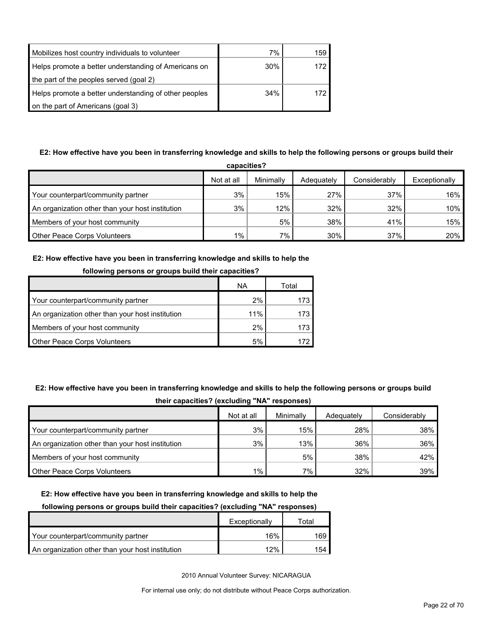| Mobilizes host country individuals to volunteer       | 7%  | 159 |
|-------------------------------------------------------|-----|-----|
| Helps promote a better understanding of Americans on  | 30% | 172 |
| the part of the peoples served (goal 2)               |     |     |
| Helps promote a better understanding of other peoples | 34% | 172 |
| on the part of Americans (goal 3)                     |     |     |

### **E2: How effective have you been in transferring knowledge and skills to help the following persons or groups build their**

| capacities?                                      |            |           |            |              |               |  |  |  |
|--------------------------------------------------|------------|-----------|------------|--------------|---------------|--|--|--|
|                                                  | Not at all | Minimally | Adequately | Considerably | Exceptionally |  |  |  |
| Your counterpart/community partner               | 3%         | 15%       | 27%        | 37%          | $16\%$        |  |  |  |
| An organization other than your host institution | 3%         | 12%       | 32%        | 32%          | $10\%$        |  |  |  |
| Members of your host community                   |            | 5%        | 38%        | 41%          | 15%           |  |  |  |
| <b>Other Peace Corps Volunteers</b>              | $1\%$      | 7%        | 30%        | 37%          | 20%           |  |  |  |

#### **E2: How effective have you been in transferring knowledge and skills to help the**

| <u>nunuwing persons or groups build their capacities:</u> |     |       |  |  |
|-----------------------------------------------------------|-----|-------|--|--|
|                                                           | ΝA  | Total |  |  |
| Your counterpart/community partner                        | 2%  | 173.  |  |  |
| An organization other than your host institution          | 11% | 173.  |  |  |
| Members of your host community                            | 2%  | 173   |  |  |
| <b>Other Peace Corps Volunteers</b>                       | 5%  | 172   |  |  |

#### **following persons or groups build their capacities?**

### **E2: How effective have you been in transferring knowledge and skills to help the following persons or groups build**

| their capacities? (excluding "NA" responses) |  |
|----------------------------------------------|--|
|----------------------------------------------|--|

|                                                  | Not at all | Minimally | Adequately | Considerably |
|--------------------------------------------------|------------|-----------|------------|--------------|
| Your counterpart/community partner               | 3%         | 15%       | 28%        | 38%          |
| An organization other than your host institution | 3%         | 13%       | 36%        | 36%          |
| Members of your host community                   |            | 5%        | 38%        | 42%          |
| <b>Other Peace Corps Volunteers</b>              | $1\%$      | $7\%$     | 32%        | 39%          |

#### **E2: How effective have you been in transferring knowledge and skills to help the**

#### **following persons or groups build their capacities? (excluding "NA" responses)**

|                                                  | Exceptionally | Total |
|--------------------------------------------------|---------------|-------|
| Your counterpart/community partner               | 16%           | 169   |
| An organization other than your host institution | 12%           | 154   |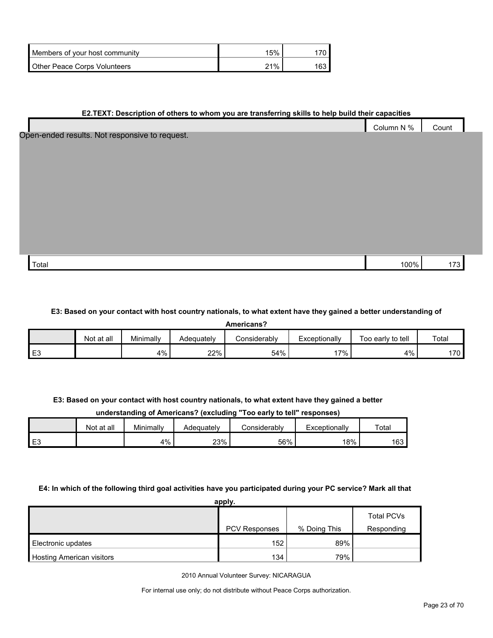| Members of your host community      | 15% |     |
|-------------------------------------|-----|-----|
| <b>Other Peace Corps Volunteers</b> | 21% | 163 |

#### **E2.TEXT: Description of others to whom you are transferring skills to help build their capacities**

|                                                | Column N % | Count |
|------------------------------------------------|------------|-------|
| Open-ended results. Not responsive to request. |            |       |
|                                                |            |       |
|                                                |            |       |
|                                                |            |       |
|                                                |            |       |
|                                                |            |       |
|                                                |            |       |
|                                                |            |       |
|                                                |            |       |
| Total                                          | 100%       | 173   |

#### **E3: Based on your contact with host country nationals, to what extent have they gained a better understanding of**

**Americans?**

|                    | Not at all | Minimally | Adequatelv | Considerablv | Exceptionally | Too early to tell | Total |
|--------------------|------------|-----------|------------|--------------|---------------|-------------------|-------|
| $\mathbf{r}$<br>∼∟ |            | 4%        | 22%        | 54%          | $7\%$         | 4%                | 170   |

#### **E3: Based on your contact with host country nationals, to what extent have they gained a better**

#### **understanding of Americans? (excluding "Too early to tell" responses)**

|    | Not at all | Minimally | Adeauatelv | ∠onsiderabl∨ | Exceptionally | Total |
|----|------------|-----------|------------|--------------|---------------|-------|
| E3 |            | 4%        | 23%        | 56%          | 18%           | 163   |

#### **E4: In which of the following third goal activities have you participated during your PC service? Mark all that**

| apply.                           |               |              |                   |  |  |  |  |
|----------------------------------|---------------|--------------|-------------------|--|--|--|--|
|                                  |               |              | <b>Total PCVs</b> |  |  |  |  |
|                                  | PCV Responses | % Doing This | Responding        |  |  |  |  |
| Electronic updates               | 152           | 89%          |                   |  |  |  |  |
| <b>Hosting American visitors</b> | 134           | 79%          |                   |  |  |  |  |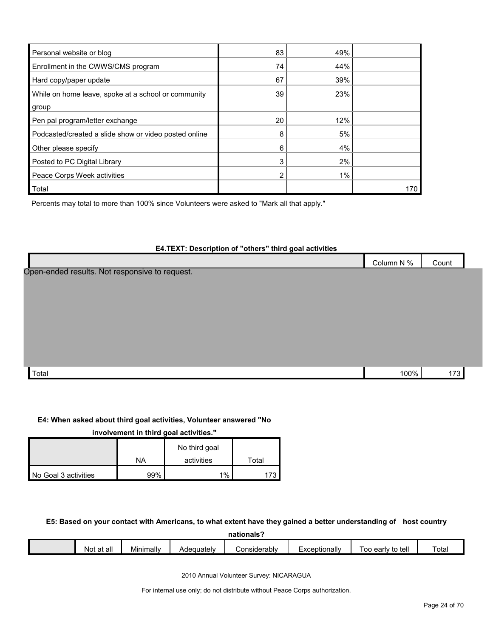| Personal website or blog                              | 83 | 49% |     |
|-------------------------------------------------------|----|-----|-----|
| Enrollment in the CWWS/CMS program                    | 74 | 44% |     |
| Hard copy/paper update                                | 67 | 39% |     |
| While on home leave, spoke at a school or community   | 39 | 23% |     |
| group                                                 |    |     |     |
| Pen pal program/letter exchange                       | 20 | 12% |     |
| Podcasted/created a slide show or video posted online | 8  | 5%  |     |
| Other please specify                                  | 6  | 4%  |     |
| Posted to PC Digital Library                          | 3  | 2%  |     |
| Peace Corps Week activities                           | 2  | 1%  |     |
| Total                                                 |    |     | 170 |

Percents may total to more than 100% since Volunteers were asked to "Mark all that apply."

#### **E4.TEXT: Description of "others" third goal activities**

|                                                | Column N % | Count |  |
|------------------------------------------------|------------|-------|--|
| Open-ended results. Not responsive to request. |            |       |  |

| Total | 100% |  |
|-------|------|--|
|       |      |  |

#### **E4: When asked about third goal activities, Volunteer answered "No**

| involvement in third goal activities." |     |               |       |  |  |  |  |
|----------------------------------------|-----|---------------|-------|--|--|--|--|
|                                        |     | No third goal |       |  |  |  |  |
|                                        | NA  | activities    | Total |  |  |  |  |
| No Goal 3 activities                   | 99% | 1%            | 173   |  |  |  |  |

#### **E5: Based on your contact with Americans, to what extent have they gained a better understanding of host country**

**nationals?**

| <br>all<br>$\sim$<br>NC<br>aι | Minimally | ∧dequatelv | วทรเderablv<br>∩r<br>,,, | Exceptionally | tell<br>early<br>to<br>ററ | otal |
|-------------------------------|-----------|------------|--------------------------|---------------|---------------------------|------|
|                               |           |            |                          |               |                           |      |

2010 Annual Volunteer Survey: NICARAGUA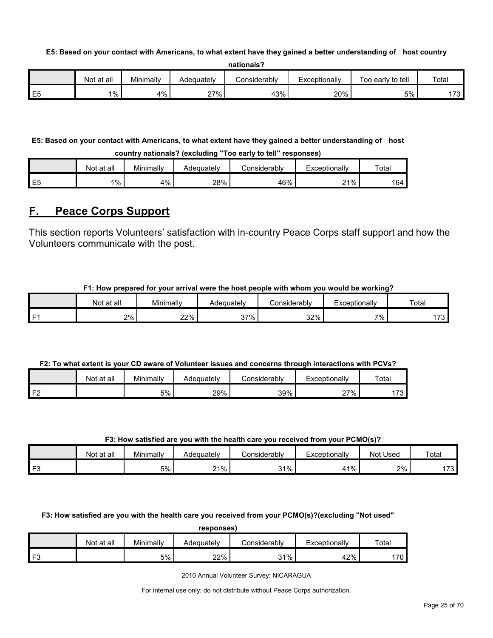#### **E5: Based on your contact with Americans, to what extent have they gained a better understanding of host country**

|                        | Not at all | Minimally | Adequately | onsiderablyٽ | Exceptionally | Too early to tell | Total          |
|------------------------|------------|-----------|------------|--------------|---------------|-------------------|----------------|
| <u>— r</u><br>--<br>∼∟ | 1%         | 4%        | $27\%$     | 43%          | 20%           | 5%                | .72.<br>- ت ان |

### **E5: Based on your contact with Americans, to what extent have they gained a better understanding of host**

**country nationals? (excluding "Too early to tell" responses)**

|                | Not at all | Minimally | Adequately | Considerabl∨ | Exceptionally | Total |
|----------------|------------|-----------|------------|--------------|---------------|-------|
| E <sub>5</sub> | 1%         | 4%        | 28%        | 46%          | 21%           | 164   |

## <span id="page-24-0"></span>**F. Peace Corps Support**

This section reports Volunteers' satisfaction with in-country Peace Corps staff support and how the Volunteers communicate with the post.

#### **F1: How prepared for your arrival were the host people with whom you would be working?**

|      | Not at all | $\cdot$ .<br>Minimally | Adequatelv | Considerably | Exceptionally | Total              |
|------|------------|------------------------|------------|--------------|---------------|--------------------|
| l F1 | 2%         | 22%                    | 37%<br>، ب | 32%          | 7%            | $\rightarrow$<br>ີ |

#### **F2: To what extent is your CD aware of Volunteer issues and concerns through interactions with PCVs?**

|                   | Not at all | Minimallv | Adequately | onsiderablvٽ | Exceptionally | Tota <sub>1</sub> |
|-------------------|------------|-----------|------------|--------------|---------------|-------------------|
| ∡ ⊏≏i<br><u>.</u> |            | 5%        | 29%        | 39%          | 27%           | $-20$<br>.        |

#### **F3: How satisfied are you with the health care you received from your PCMO(s)?**

|      | Not at all | Minimally | Adeauatelv    | onsiderablyٽ | <i>c</i> xceptionally | Not Used | Total    |
|------|------------|-----------|---------------|--------------|-----------------------|----------|----------|
| l F3 |            | 5%        | 21%<br>$\sim$ | 31%<br>. טו  | 11%                   | 2%       | 170<br>. |

**F3: How satisfied are you with the health care you received from your PCMO(s)?(excluding "Not used"** 

**responses)**

|               | Not at all | Minimally | Adequately | Considerabl∨ | xceptionally | Tota <sub>1</sub> |
|---------------|------------|-----------|------------|--------------|--------------|-------------------|
| $\Gamma$<br>- |            | 5%        | 22%        | 31%          | 42%          | 70                |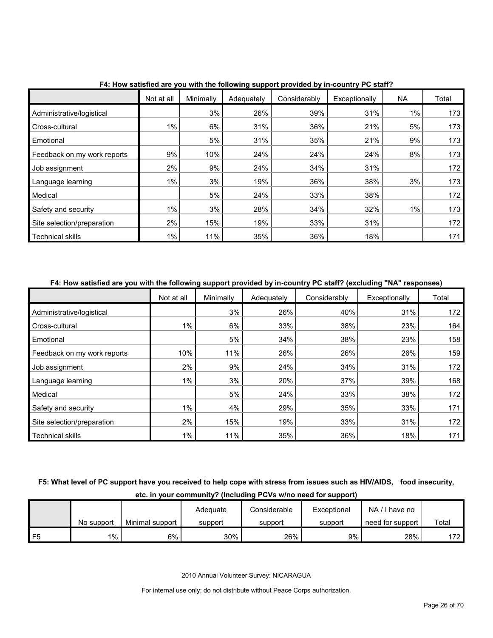|                             | Not at all | Minimally | Adequately | Considerably | Exceptionally | <b>NA</b> | Total |
|-----------------------------|------------|-----------|------------|--------------|---------------|-----------|-------|
| Administrative/logistical   |            | 3%        | 26%        | 39%          | 31%           | $1\%$     | 173   |
| Cross-cultural              | $1\%$      | 6%        | 31%        | 36%          | 21%           | 5%        | 173   |
| Emotional                   |            | 5%        | 31%        | 35%          | 21%           | 9%        | 173   |
| Feedback on my work reports | 9%         | 10%       | 24%        | 24%          | 24%           | 8%        | 173   |
| Job assignment              | 2%         | 9%        | 24%        | 34%          | 31%           |           | 172   |
| Language learning           | $1\%$      | 3%        | 19%        | 36%          | 38%           | 3%        | 173   |
| Medical                     |            | 5%        | 24%        | 33%          | 38%           |           | 172   |
| Safety and security         | $1\%$      | 3%        | 28%        | 34%          | 32%           | 1%        | 173   |
| Site selection/preparation  | 2%         | 15%       | 19%        | 33%          | 31%           |           | 172   |
| <b>Technical skills</b>     | 1%         | 11%       | 35%        | 36%          | 18%           |           | 171   |

**F4: How satisfied are you with the following support provided by in-country PC staff?**

#### **F4: How satisfied are you with the following support provided by in-country PC staff? (excluding "NA" responses)**

|                             | Not at all | Minimally | Adequately | Considerably | Exceptionally | Total |
|-----------------------------|------------|-----------|------------|--------------|---------------|-------|
| Administrative/logistical   |            | 3%        | 26%        | 40%          | 31%           | 172   |
| Cross-cultural              | $1\%$      | 6%        | 33%        | 38%          | 23%           | 164   |
| Emotional                   |            | 5%        | 34%        | 38%          | 23%           | 158   |
| Feedback on my work reports | 10%        | 11%       | 26%        | 26%          | 26%           | 159   |
| Job assignment              | 2%         | 9%        | 24%        | 34%          | 31%           | 172   |
| Language learning           | $1\%$      | 3%        | 20%        | 37%          | 39%           | 168   |
| Medical                     |            | 5%        | 24%        | 33%          | 38%           | 172   |
| Safety and security         | $1\%$      | 4%        | 29%        | 35%          | 33%           | 171   |
| Site selection/preparation  | 2%         | 15%       | 19%        | 33%          | 31%           | 172   |
| <b>Technical skills</b>     | 1%         | 11%       | 35%        | 36%          | 18%           | 171   |

### **F5: What level of PC support have you received to help cope with stress from issues such as HIV/AIDS, food insecurity, etc. in your community? (Including PCVs w/no need for support)**

|      |            |                 | Adequate | Considerable | Exceptional | NA/I have no     |       |
|------|------------|-----------------|----------|--------------|-------------|------------------|-------|
|      | No support | Minimal support | support  | support      | support     | need for support | Total |
| l F5 | $1\%$      | 6%              | 30%      | 26%          | 9%          | 28%              | 172   |

2010 Annual Volunteer Survey: NICARAGUA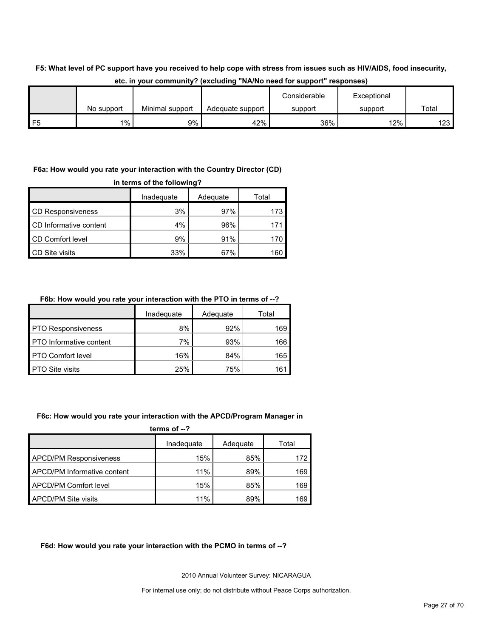### **F5: What level of PC support have you received to help cope with stress from issues such as HIV/AIDS, food insecurity,**

|          |            |                 |                  | Considerable | Exceptional |       |
|----------|------------|-----------------|------------------|--------------|-------------|-------|
|          | No support | Minimal support | Adequate support | support      | support     | Total |
| 口に<br>نٽ | 1%         | 9%              | 42%              | 36%          | 12%         | 123   |

#### **etc. in your community? (excluding "NA/No need for support" responses)**

#### **F6a: How would you rate your interaction with the Country Director (CD)**

| in terms of the following? |            |          |       |  |  |
|----------------------------|------------|----------|-------|--|--|
|                            | Inadequate | Adequate | Total |  |  |
| <b>CD Responsiveness</b>   | 3%         | 97%      | 173   |  |  |
| CD Informative content     | 4%         | 96%      | 171   |  |  |
| CD Comfort level           | 9%         | 91%      | 170   |  |  |
| <b>CD Site visits</b>      | 33%        | 67%      | 160   |  |  |

#### **F6b: How would you rate your interaction with the PTO in terms of --?**

|                                | Inadequate | Adequate | Total |
|--------------------------------|------------|----------|-------|
| <b>PTO Responsiveness</b>      | 8%         | 92%      | 169   |
| <b>PTO</b> Informative content | 7%         | 93%      | 166   |
| <b>PTO Comfort level</b>       | 16%        | 84%      | 165   |
| <b>PTO Site visits</b>         | 25%        | 75%      | 161   |

#### **F6c: How would you rate your interaction with the APCD/Program Manager in**

| terms of $-2$                      |            |          |       |  |  |
|------------------------------------|------------|----------|-------|--|--|
|                                    | Inadequate | Adequate | Total |  |  |
| <b>APCD/PM Responsiveness</b>      | 15%        | 85%      | 172   |  |  |
| <b>APCD/PM Informative content</b> | 11%        | 89%      | 169   |  |  |
| APCD/PM Comfort level              | 15%        | 85%      | 169   |  |  |
| <b>APCD/PM Site visits</b>         | 11%        | 89%      | 169   |  |  |

#### **F6d: How would you rate your interaction with the PCMO in terms of --?**

2010 Annual Volunteer Survey: NICARAGUA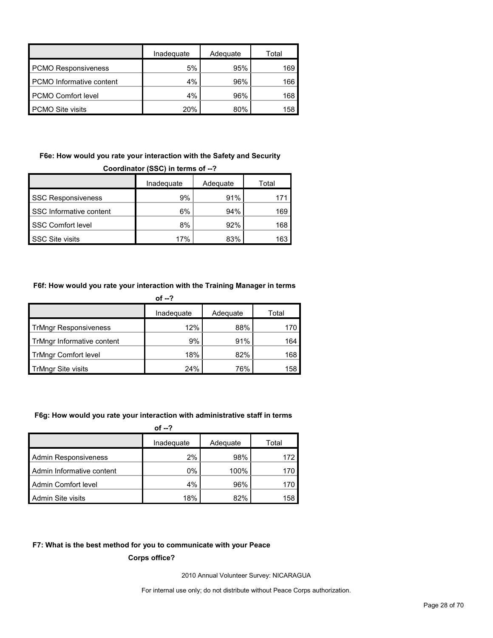|                                 | Inadequate | Adequate | Total |
|---------------------------------|------------|----------|-------|
| <b>PCMO Responsiveness</b>      | 5%         | 95%      | 169   |
| <b>PCMO</b> Informative content | 4%         | 96%      | 166   |
| <b>PCMO Comfort level</b>       | 4%         | 96%      | 168   |
| <b>PCMO Site visits</b>         | 20%        | 80%      | 158   |

#### **F6e: How would you rate your interaction with the Safety and Security Coordinator (SSC) in terms of --?**

| 0001 aniator (0007 in terms or -- ; |            |          |       |  |  |
|-------------------------------------|------------|----------|-------|--|--|
|                                     | Inadequate | Adequate | Total |  |  |
| <b>SSC Responsiveness</b>           | 9%         | 91%      |       |  |  |
| SSC Informative content             | 6%         | 94%      | 169   |  |  |
| <b>SSC Comfort level</b>            | 8%         | 92%      | 168   |  |  |
| <b>SSC Site visits</b>              | 17%        | 83%      | 163   |  |  |

### **F6f: How would you rate your interaction with the Training Manager in terms**

|                              | of $-2$    |          |       |
|------------------------------|------------|----------|-------|
|                              | Inadequate | Adequate | Total |
| <b>TrMngr Responsiveness</b> | 12%        | 88%      | 170   |
| TrMngr Informative content   | 9%         | 91%      | 164   |
| <b>TrMngr Comfort level</b>  | 18%        | 82%      | 168   |
| <b>TrMngr Site visits</b>    | 24%        | 76%      | 158   |

#### **F6g: How would you rate your interaction with administrative staff in terms**

|                             | of $-2$    |          |       |
|-----------------------------|------------|----------|-------|
|                             | Inadequate | Adequate | Total |
| <b>Admin Responsiveness</b> | 2%         | 98%      | 172   |
| Admin Informative content   | 0%         | 100%     | 170   |
| Admin Comfort level         | 4%         | 96%      | 170   |
| Admin Site visits           | 18%        | 82%      | 158   |

#### **F7: What is the best method for you to communicate with your Peace**

**Corps office?**

2010 Annual Volunteer Survey: NICARAGUA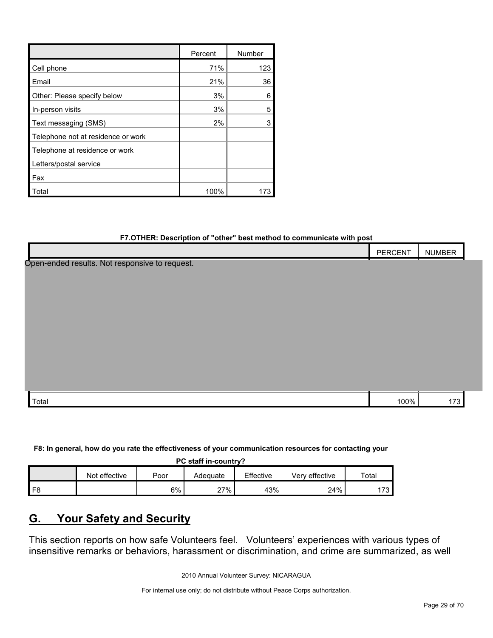|                                    | Percent | Number |
|------------------------------------|---------|--------|
| Cell phone                         | 71%     | 123    |
| Email                              | 21%     | 36     |
| Other: Please specify below        | 3%      | 6      |
| In-person visits                   | 3%      | 5      |
| Text messaging (SMS)               | 2%      | 3      |
| Telephone not at residence or work |         |        |
| Telephone at residence or work     |         |        |
| Letters/postal service             |         |        |
| Fax                                |         |        |
| Total                              | 100%    |        |

#### **F7.OTHER: Description of "other" best method to communicate with post**

|                                                | PERCENT | <b>NUMBER</b> |
|------------------------------------------------|---------|---------------|
| Open-ended results. Not responsive to request. |         |               |
|                                                |         |               |
|                                                |         |               |
|                                                |         |               |
|                                                |         |               |
|                                                |         |               |
|                                                |         |               |
|                                                |         |               |
|                                                |         |               |
|                                                |         |               |
| Total                                          | 100%    | 173           |

**F8: In general, how do you rate the effectiveness of your communication resources for contacting your** 

**PC staff in-country?**

|    | effective<br><b>Not</b> | Poor  | Adeɑuate | Effective | Verv effective | Total    |
|----|-------------------------|-------|----------|-----------|----------------|----------|
| F8 |                         | $6\%$ | 27%      | 43%       | 24%            | פדו<br>ັ |

## <span id="page-28-0"></span>**G. Your Safety and Security**

This section reports on how safe Volunteers feel. Volunteers' experiences with various types of insensitive remarks or behaviors, harassment or discrimination, and crime are summarized, as well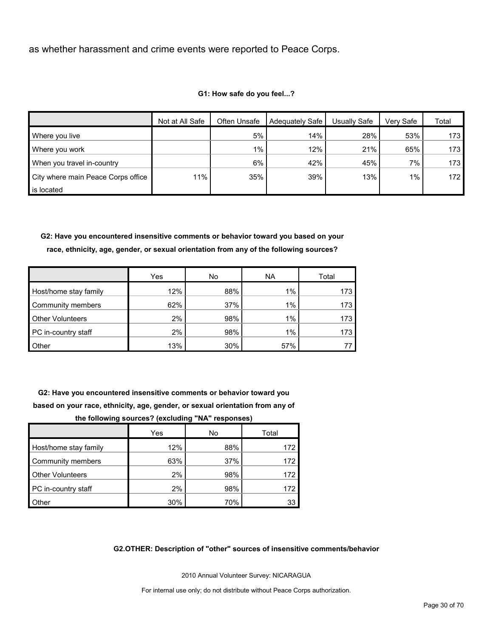as whether harassment and crime events were reported to Peace Corps.

|                                    | Not at All Safe | Often Unsafe | Adequately Safe | Usually Safe | Very Safe | Total            |
|------------------------------------|-----------------|--------------|-----------------|--------------|-----------|------------------|
| Where you live                     |                 | 5%           | 14%             | 28%          | 53%       | 173              |
| Where you work                     |                 | $1\%$        | 12%             | 21%          | 65%       | 173              |
| When you travel in-country         |                 | 6%           | 42%             | 45%          | 7%        | 173              |
| City where main Peace Corps office | 11%             | 35%          | 39%             | 13%          | 1%        | 172 <sub>1</sub> |
| is located                         |                 |              |                 |              |           |                  |

#### **G1: How safe do you feel...?**

**G2: Have you encountered insensitive comments or behavior toward you based on your race, ethnicity, age, gender, or sexual orientation from any of the following sources?**

|                         | Yes | No  | <b>NA</b> | Total |
|-------------------------|-----|-----|-----------|-------|
| Host/home stay family   | 12% | 88% | $1\%$     | 173   |
| Community members       | 62% | 37% | 1%        | 173   |
| <b>Other Volunteers</b> | 2%  | 98% | $1\%$     | 173   |
| PC in-country staff     | 2%  | 98% | $1\%$     | 173   |
| <b>Other</b>            | 13% | 30% | 57%       |       |

**G2: Have you encountered insensitive comments or behavior toward you based on your race, ethnicity, age, gender, or sexual orientation from any of** 

| the following sources? (excluding "NA" responses) |     |     |      |  |  |  |  |  |  |  |
|---------------------------------------------------|-----|-----|------|--|--|--|--|--|--|--|
| Yes<br>Total<br>No                                |     |     |      |  |  |  |  |  |  |  |
| Host/home stay family                             | 12% | 88% | 172  |  |  |  |  |  |  |  |
| Community members                                 | 63% | 37% | 172  |  |  |  |  |  |  |  |
| <b>Other Volunteers</b>                           | 2%  | 98% | 172. |  |  |  |  |  |  |  |
| PC in-country staff                               | 2%  | 98% | 172  |  |  |  |  |  |  |  |
| Other                                             | 30% | 70% | 33   |  |  |  |  |  |  |  |

#### **G2.OTHER: Description of "other" sources of insensitive comments/behavior**

2010 Annual Volunteer Survey: NICARAGUA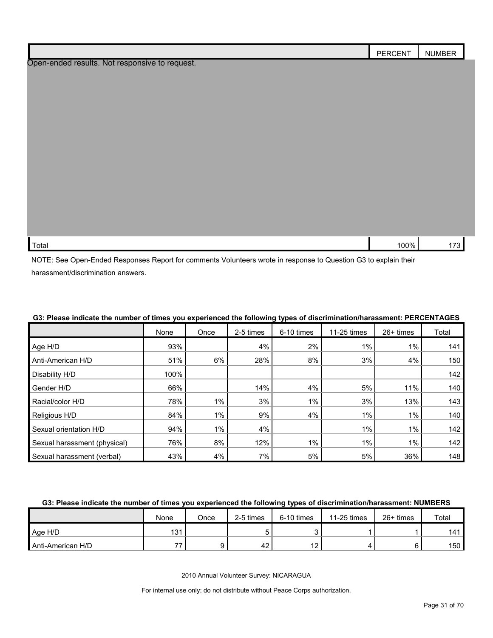|                                                | PERCENT | <b>NUMBER</b> |
|------------------------------------------------|---------|---------------|
| Open-ended results. Not responsive to request. |         |               |
|                                                |         |               |
|                                                |         |               |
|                                                |         |               |
|                                                |         |               |
|                                                |         |               |
|                                                |         |               |
|                                                |         |               |
|                                                |         |               |
|                                                |         |               |
|                                                |         |               |
| Total                                          | 100%    | 173           |

NOTE: See Open-Ended Responses Report for comments Volunteers wrote in response to Question G3 to explain their harassment/discrimination answers.

|                              | None | Once  | 2-5 times | 6-10 times | 11-25 times | 26+ times | Total |
|------------------------------|------|-------|-----------|------------|-------------|-----------|-------|
| Age H/D                      | 93%  |       | 4%        | 2%         | 1%          | $1\%$     | 141   |
| Anti-American H/D            | 51%  | 6%    | 28%       | 8%         | 3%          | 4%        | 150   |
| Disability H/D               | 100% |       |           |            |             |           | 142   |
| Gender H/D                   | 66%  |       | 14%       | 4%         | 5%          | 11%       | 140   |
| Racial/color H/D             | 78%  | $1\%$ | 3%        | 1%         | 3%          | 13%       | 143   |
| Religious H/D                | 84%  | 1%    | 9%        | 4%         | 1%          | 1%        | 140   |
| Sexual orientation H/D       | 94%  | 1%    | 4%        |            | 1%          | 1%        | 142   |
| Sexual harassment (physical) | 76%  | 8%    | 12%       | 1%         | 1%          | 1%        | 142   |
| Sexual harassment (verbal)   | 43%  | 4%    | 7%        | 5%         | 5%          | 36%       | 148   |

### **G3: Please indicate the number of times you experienced the following types of discrimination/harassment: PERCENTAGES**

#### **G3: Please indicate the number of times you experienced the following types of discrimination/harassment: NUMBERS**

|                   | None | Once | 2-5 times | 6-10 times | 11-25 times | $26+$ times | Total            |
|-------------------|------|------|-----------|------------|-------------|-------------|------------------|
| Age H/D           | 131  |      |           |            |             |             | 141              |
| Anti-American H/D | --   |      | 42        |            |             |             | 150 <sub>1</sub> |

2010 Annual Volunteer Survey: NICARAGUA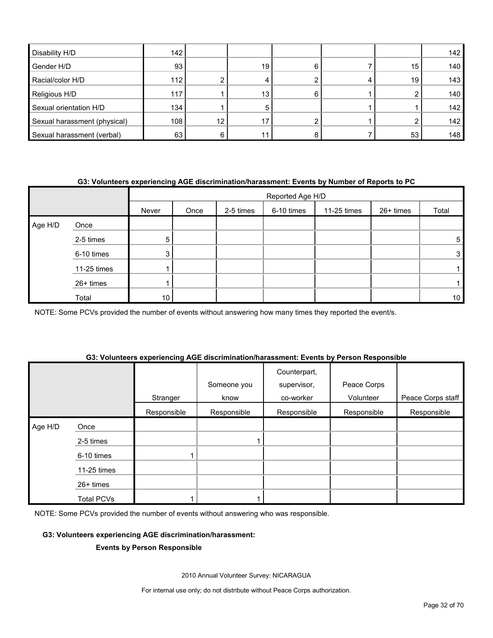| Disability H/D               | 142 |    |                 |     |    | 142 |
|------------------------------|-----|----|-----------------|-----|----|-----|
| Gender H/D                   | 93  |    | 19 <sup>1</sup> | հ   | 15 | 140 |
| Racial/color H/D             | 112 |    |                 |     | 19 | 143 |
| Religious H/D                | 117 |    | 13 <sub>1</sub> | ี่ค |    | 140 |
| Sexual orientation H/D       | 134 |    | 5               |     |    | 142 |
| Sexual harassment (physical) | 108 | 12 |                 |     |    | 142 |
| Sexual harassment (verbal)   | 63  |    |                 |     | 53 | 148 |

#### **G3: Volunteers experiencing AGE discrimination/harassment: Events by Number of Reports to PC**

|         |             | Reported Age H/D |      |           |            |             |           |       |  |
|---------|-------------|------------------|------|-----------|------------|-------------|-----------|-------|--|
|         |             | Never            | Once | 2-5 times | 6-10 times | 11-25 times | 26+ times | Total |  |
| Age H/D | Once        |                  |      |           |            |             |           |       |  |
|         | 2-5 times   | 5.               |      |           |            |             |           | 5     |  |
|         | 6-10 times  | 3                |      |           |            |             |           | 3     |  |
|         | 11-25 times |                  |      |           |            |             |           |       |  |
|         | 26+ times   |                  |      |           |            |             |           |       |  |
|         | Total       | 10 <sub>1</sub>  |      |           |            |             |           | 10    |  |

NOTE: Some PCVs provided the number of events without answering how many times they reported the event/s.

#### **G3: Volunteers experiencing AGE discrimination/harassment: Events by Person Responsible**

|         |                   | Stranger    | Someone you<br>know | Counterpart,<br>supervisor,<br>co-worker | Peace Corps<br>Volunteer | Peace Corps staff |
|---------|-------------------|-------------|---------------------|------------------------------------------|--------------------------|-------------------|
|         |                   | Responsible | Responsible         | Responsible                              | Responsible              | Responsible       |
| Age H/D | Once              |             |                     |                                          |                          |                   |
|         | 2-5 times         |             |                     |                                          |                          |                   |
|         | 6-10 times        |             |                     |                                          |                          |                   |
|         | 11-25 times       |             |                     |                                          |                          |                   |
|         | $26+$ times       |             |                     |                                          |                          |                   |
|         | <b>Total PCVs</b> |             |                     |                                          |                          |                   |

NOTE: Some PCVs provided the number of events without answering who was responsible.

#### **G3: Volunteers experiencing AGE discrimination/harassment:**

#### **Events by Person Responsible**

2010 Annual Volunteer Survey: NICARAGUA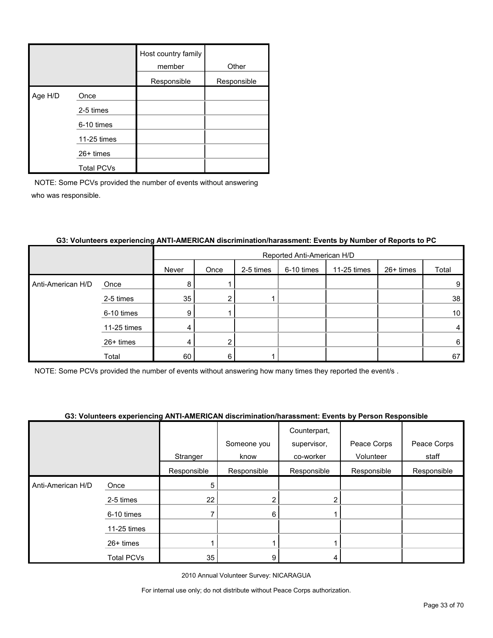|         |                   | Host country family<br>member | Other       |
|---------|-------------------|-------------------------------|-------------|
|         |                   | Responsible                   | Responsible |
| Age H/D | Once              |                               |             |
|         | 2-5 times         |                               |             |
|         | 6-10 times        |                               |             |
|         | 11-25 times       |                               |             |
|         | 26+ times         |                               |             |
|         | <b>Total PCVs</b> |                               |             |

|                   |             | Reported Anti-American H/D |                |           |            |             |           |                 |
|-------------------|-------------|----------------------------|----------------|-----------|------------|-------------|-----------|-----------------|
|                   |             | Never                      | Once           | 2-5 times | 6-10 times | 11-25 times | 26+ times | Total           |
| Anti-American H/D | Once        | 8                          |                |           |            |             |           | 9               |
|                   | 2-5 times   | 35                         | 2              |           |            |             |           | 38              |
|                   | 6-10 times  | 9                          |                |           |            |             |           | 10 <sup>°</sup> |
|                   | 11-25 times | 4                          |                |           |            |             |           | 4               |
|                   | 26+ times   | 4                          | $\overline{2}$ |           |            |             |           | 6               |
|                   | Total       | 60                         | 6              |           |            |             |           | 67              |

#### **G3: Volunteers experiencing ANTI-AMERICAN discrimination/harassment: Events by Number of Reports to PC**

NOTE: Some PCVs provided the number of events without answering how many times they reported the event/s .

#### **G3: Volunteers experiencing ANTI-AMERICAN discrimination/harassment: Events by Person Responsible**

|                   |                   |             |             | Counterpart, |             |             |
|-------------------|-------------------|-------------|-------------|--------------|-------------|-------------|
|                   |                   |             | Someone you | supervisor,  | Peace Corps | Peace Corps |
|                   |                   | Stranger    | know        | co-worker    | Volunteer   | staff       |
|                   |                   | Responsible | Responsible | Responsible  | Responsible | Responsible |
| Anti-American H/D | Once              | 5           |             |              |             |             |
|                   | 2-5 times         | 22          | 2           |              |             |             |
|                   | 6-10 times        |             | 6           |              |             |             |
|                   | $11-25$ times     |             |             |              |             |             |
|                   | 26+ times         |             |             |              |             |             |
|                   | <b>Total PCVs</b> | 35          | 9           |              |             |             |

2010 Annual Volunteer Survey: NICARAGUA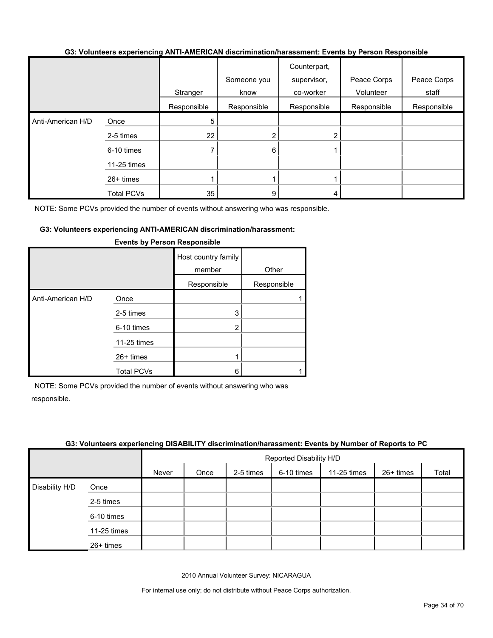#### **G3: Volunteers experiencing ANTI-AMERICAN discrimination/harassment: Events by Person Responsible**

|                   |                   | Stranger    | Someone you<br>know | Counterpart,<br>supervisor,<br>co-worker | Peace Corps<br>Volunteer | Peace Corps<br>staff |
|-------------------|-------------------|-------------|---------------------|------------------------------------------|--------------------------|----------------------|
|                   |                   | Responsible | Responsible         | Responsible                              | Responsible              | Responsible          |
| Anti-American H/D | Once              | 5           |                     |                                          |                          |                      |
|                   | 2-5 times         | 22          | 2                   |                                          |                          |                      |
|                   | 6-10 times        |             | 6                   |                                          |                          |                      |
|                   | 11-25 times       |             |                     |                                          |                          |                      |
|                   | $26+$ times       |             |                     |                                          |                          |                      |
|                   | <b>Total PCVs</b> | 35          | 9                   |                                          |                          |                      |

NOTE: Some PCVs provided the number of events without answering who was responsible.

#### **G3: Volunteers experiencing ANTI-AMERICAN discrimination/harassment:**

|                   |                   | Host country family<br>member | Other       |
|-------------------|-------------------|-------------------------------|-------------|
|                   |                   | Responsible                   | Responsible |
| Anti-American H/D | Once              |                               |             |
|                   | 2-5 times         | 3                             |             |
|                   | 6-10 times        | 2                             |             |
|                   | 11-25 times       |                               |             |
|                   | $26+$ times       |                               |             |
|                   | <b>Total PCVs</b> | 6                             |             |

#### **Events by Person Responsible**

NOTE: Some PCVs provided the number of events without answering who was responsible.

#### **G3: Volunteers experiencing DISABILITY discrimination/harassment: Events by Number of Reports to PC**

|                |             |       | Reported Disability H/D |           |            |             |           |       |  |
|----------------|-------------|-------|-------------------------|-----------|------------|-------------|-----------|-------|--|
|                |             | Never | Once                    | 2-5 times | 6-10 times | 11-25 times | 26+ times | Total |  |
| Disability H/D | Once        |       |                         |           |            |             |           |       |  |
|                | 2-5 times   |       |                         |           |            |             |           |       |  |
|                | 6-10 times  |       |                         |           |            |             |           |       |  |
|                | 11-25 times |       |                         |           |            |             |           |       |  |
|                | 26+ times   |       |                         |           |            |             |           |       |  |

2010 Annual Volunteer Survey: NICARAGUA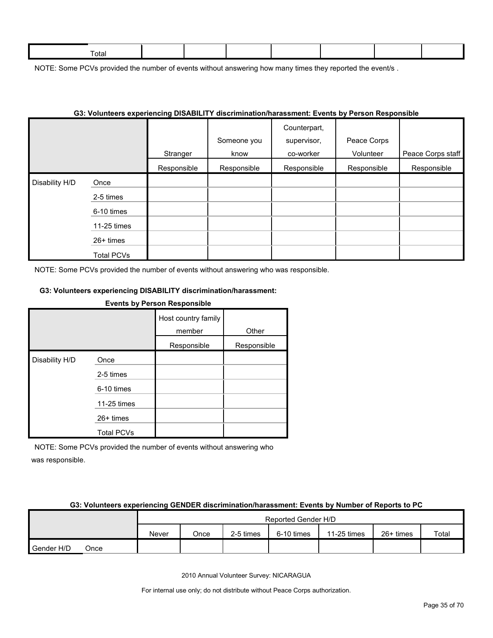| ctal |  |  |  |  |
|------|--|--|--|--|
|      |  |  |  |  |

NOTE: Some PCVs provided the number of events without answering how many times they reported the event/s.

|                |                   |             | os: volunteers experiencing Disability discrimination/narassment: Events by Person Responsible. دقا |                                          |                          |                   |
|----------------|-------------------|-------------|-----------------------------------------------------------------------------------------------------|------------------------------------------|--------------------------|-------------------|
|                |                   | Stranger    | Someone you<br>know                                                                                 | Counterpart,<br>supervisor,<br>co-worker | Peace Corps<br>Volunteer | Peace Corps staff |
|                |                   | Responsible | Responsible                                                                                         | Responsible                              | Responsible              | Responsible       |
| Disability H/D | Once              |             |                                                                                                     |                                          |                          |                   |
|                | 2-5 times         |             |                                                                                                     |                                          |                          |                   |
|                | 6-10 times        |             |                                                                                                     |                                          |                          |                   |
|                | 11-25 times       |             |                                                                                                     |                                          |                          |                   |
|                | 26+ times         |             |                                                                                                     |                                          |                          |                   |
|                | <b>Total PCVs</b> |             |                                                                                                     |                                          |                          |                   |

### **G3: Volunteers experiencing DISABILITY discrimination/harassment: Events by Person Responsible**

NOTE: Some PCVs provided the number of events without answering who was responsible.

#### **G3: Volunteers experiencing DISABILITY discrimination/harassment:**

## **Events by Person Responsible** Host country family member Other Responsible Responsible Disability H/D Once 2-5 times 6-10 times 11-25 times

Total PCVs NOTE: Some PCVs provided the number of events without answering who

26+ times

was responsible.

#### **G3: Volunteers experiencing GENDER discrimination/harassment: Events by Number of Reports to PC**

|            |      | Reported Gender H/D |      |           |            |             |           |       |
|------------|------|---------------------|------|-----------|------------|-------------|-----------|-------|
|            |      | Never               | Once | 2-5 times | 6-10 times | 11-25 times | 26+ times | Total |
| Gender H/D | Once |                     |      |           |            |             |           |       |

2010 Annual Volunteer Survey: NICARAGUA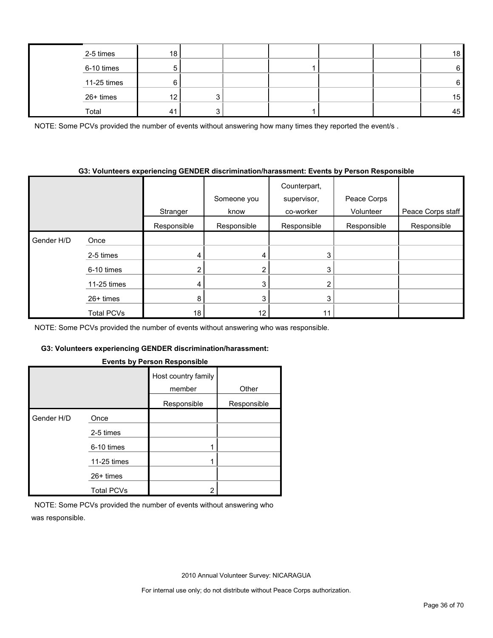| 2-5 times   | 18             |   |  |  | 18 |
|-------------|----------------|---|--|--|----|
| 6-10 times  |                |   |  |  | 6  |
| 11-25 times |                |   |  |  | 6  |
| 26+ times   | 12             | ົ |  |  | 15 |
| Total       | 4 <sup>1</sup> | £ |  |  | 45 |

NOTE: Some PCVs provided the number of events without answering how many times they reported the event/s.

#### **G3: Volunteers experiencing GENDER discrimination/harassment: Events by Person Responsible**

|            |             |             | Someone you | Counterpart,<br>supervisor, | Peace Corps |                   |
|------------|-------------|-------------|-------------|-----------------------------|-------------|-------------------|
|            |             | Stranger    | know        | co-worker                   | Volunteer   | Peace Corps staff |
|            |             | Responsible | Responsible | Responsible                 | Responsible | Responsible       |
| Gender H/D | Once        |             |             |                             |             |                   |
|            | 2-5 times   |             | 4           | 3                           |             |                   |
|            | 6-10 times  |             | 2           | 3                           |             |                   |
|            | 11-25 times | 4           | 3           | $\overline{2}$              |             |                   |
|            | $26+$ times | 8           | 3           | 3                           |             |                   |
|            | Total PCVs  | 18          | 12          | 11                          |             |                   |

NOTE: Some PCVs provided the number of events without answering who was responsible.

#### **G3: Volunteers experiencing GENDER discrimination/harassment:**

|            |                   | Host country family |             |
|------------|-------------------|---------------------|-------------|
|            |                   | member              | Other       |
|            |                   | Responsible         | Responsible |
| Gender H/D | Once              |                     |             |
|            | 2-5 times         |                     |             |
|            | 6-10 times        |                     |             |
|            | 11-25 times       |                     |             |
|            | $26+$ times       |                     |             |
|            | <b>Total PCVs</b> | 2                   |             |

#### **Events by Person Responsible**

NOTE: Some PCVs provided the number of events without answering who was responsible.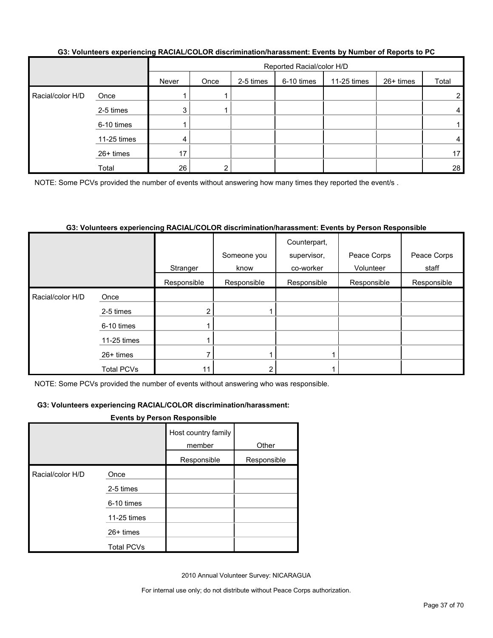|                  |             |       | Reported Racial/color H/D |           |            |             |           |                 |  |
|------------------|-------------|-------|---------------------------|-----------|------------|-------------|-----------|-----------------|--|
|                  |             | Never | Once                      | 2-5 times | 6-10 times | 11-25 times | 26+ times | Total           |  |
| Racial/color H/D | Once        |       |                           |           |            |             |           | 2               |  |
|                  | 2-5 times   | 3     |                           |           |            |             |           | 4               |  |
|                  | 6-10 times  |       |                           |           |            |             |           |                 |  |
|                  | 11-25 times | 4     |                           |           |            |             |           | 4               |  |
|                  | 26+ times   | 17    |                           |           |            |             |           | 17 <sup>1</sup> |  |
|                  | Total       | 26    |                           |           |            |             |           | 28              |  |

#### **G3: Volunteers experiencing RACIAL/COLOR discrimination/harassment: Events by Number of Reports to PC**

NOTE: Some PCVs provided the number of events without answering how many times they reported the event/s.

#### **G3: Volunteers experiencing RACIAL/COLOR discrimination/harassment: Events by Person Responsible**

|                  |                   |             | Someone you | Counterpart,<br>supervisor, | Peace Corps | Peace Corps |
|------------------|-------------------|-------------|-------------|-----------------------------|-------------|-------------|
|                  |                   | Stranger    | know        | co-worker                   | Volunteer   | staff       |
|                  |                   | Responsible | Responsible | Responsible                 | Responsible | Responsible |
| Racial/color H/D | Once              |             |             |                             |             |             |
|                  | 2-5 times         |             |             |                             |             |             |
|                  | 6-10 times        |             |             |                             |             |             |
|                  | 11-25 times       |             |             |                             |             |             |
|                  | $26+$ times       |             |             |                             |             |             |
|                  | <b>Total PCVs</b> | 11          |             |                             |             |             |

NOTE: Some PCVs provided the number of events without answering who was responsible.

#### **G3: Volunteers experiencing RACIAL/COLOR discrimination/harassment:**

#### **Events by Person Responsible**

|                  |                   | Host country family<br>member | Other       |
|------------------|-------------------|-------------------------------|-------------|
|                  |                   | Responsible                   | Responsible |
| Racial/color H/D | Once              |                               |             |
|                  | 2-5 times         |                               |             |
|                  | 6-10 times        |                               |             |
|                  | 11-25 times       |                               |             |
|                  | $26+$ times       |                               |             |
|                  | <b>Total PCVs</b> |                               |             |

2010 Annual Volunteer Survey: NICARAGUA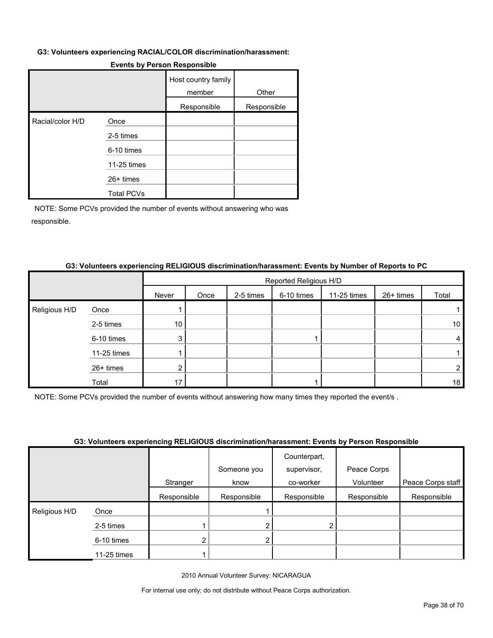#### **G3: Volunteers experiencing RACIAL/COLOR discrimination/harassment:**

|                  |                   | Host country family<br>member | Other       |
|------------------|-------------------|-------------------------------|-------------|
|                  |                   | Responsible                   | Responsible |
| Racial/color H/D | Once              |                               |             |
|                  | 2-5 times         |                               |             |
|                  | 6-10 times        |                               |             |
|                  | 11-25 times       |                               |             |
|                  | 26+ times         |                               |             |
|                  | <b>Total PCVs</b> |                               |             |

#### **Events by Person Responsible**

NOTE: Some PCVs provided the number of events without answering who was responsible.

## **G3: Volunteers experiencing RELIGIOUS discrimination/harassment: Events by Number of Reports to PC**

|               |             |                 | Reported Religious H/D |           |            |             |           |                 |  |
|---------------|-------------|-----------------|------------------------|-----------|------------|-------------|-----------|-----------------|--|
|               |             | Never           | Once                   | 2-5 times | 6-10 times | 11-25 times | 26+ times | Total           |  |
| Religious H/D | Once        |                 |                        |           |            |             |           |                 |  |
|               | 2-5 times   | 10 <sub>1</sub> |                        |           |            |             |           | 10 <sub>1</sub> |  |
|               | 6-10 times  | 3               |                        |           |            |             |           | 4               |  |
|               | 11-25 times |                 |                        |           |            |             |           |                 |  |
|               | 26+ times   | ົ               |                        |           |            |             |           | $\overline{2}$  |  |
|               | Total       | 17              |                        |           |            |             |           | 18              |  |

NOTE: Some PCVs provided the number of events without answering how many times they reported the event/s .

#### **G3: Volunteers experiencing RELIGIOUS discrimination/harassment: Events by Person Responsible**

|               |             |             |             | Counterpart, |             |                   |
|---------------|-------------|-------------|-------------|--------------|-------------|-------------------|
|               |             |             | Someone you | supervisor,  | Peace Corps |                   |
|               |             | Stranger    | know        | co-worker    | Volunteer   | Peace Corps staff |
|               |             | Responsible | Responsible | Responsible  | Responsible | Responsible       |
| Religious H/D | Once        |             |             |              |             |                   |
|               | 2-5 times   |             |             |              |             |                   |
|               | 6-10 times  | n           |             |              |             |                   |
|               | 11-25 times |             |             |              |             |                   |

2010 Annual Volunteer Survey: NICARAGUA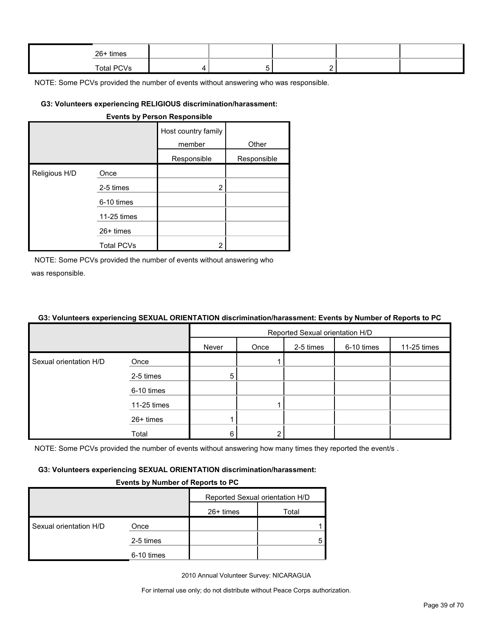| 26+ times  |  |  |  |
|------------|--|--|--|
| Total PCVs |  |  |  |

#### **G3: Volunteers experiencing RELIGIOUS discrimination/harassment:**

| <b>Events by Person Responsible</b> |                   |                               |             |  |  |  |  |
|-------------------------------------|-------------------|-------------------------------|-------------|--|--|--|--|
|                                     |                   | Host country family<br>member | Other       |  |  |  |  |
|                                     |                   | Responsible                   | Responsible |  |  |  |  |
| Religious H/D                       | Once              |                               |             |  |  |  |  |
|                                     | 2-5 times         | 2                             |             |  |  |  |  |
|                                     | 6-10 times        |                               |             |  |  |  |  |
|                                     | 11-25 times       |                               |             |  |  |  |  |
|                                     | $26+$ times       |                               |             |  |  |  |  |
|                                     | <b>Total PCVs</b> | 2                             |             |  |  |  |  |

NOTE: Some PCVs provided the number of events without answering who was responsible.

#### **G3: Volunteers experiencing SEXUAL ORIENTATION discrimination/harassment: Events by Number of Reports to PC**

|                        |             | Reported Sexual orientation H/D |      |           |            |             |  |  |
|------------------------|-------------|---------------------------------|------|-----------|------------|-------------|--|--|
|                        |             | Never                           | Once | 2-5 times | 6-10 times | 11-25 times |  |  |
| Sexual orientation H/D | Once        |                                 |      |           |            |             |  |  |
|                        | 2-5 times   | 5                               |      |           |            |             |  |  |
|                        | 6-10 times  |                                 |      |           |            |             |  |  |
|                        | 11-25 times |                                 |      |           |            |             |  |  |
|                        | 26+ times   |                                 |      |           |            |             |  |  |
|                        | Total       | 6                               |      |           |            |             |  |  |

NOTE: Some PCVs provided the number of events without answering how many times they reported the event/s.

#### **G3: Volunteers experiencing SEXUAL ORIENTATION discrimination/harassment:**

#### **Events by Number of Reports to PC**

|                        |            |           | Reported Sexual orientation H/D |
|------------------------|------------|-----------|---------------------------------|
|                        |            | 26+ times | Total                           |
| Sexual orientation H/D | Once       |           |                                 |
|                        | 2-5 times  |           |                                 |
|                        | 6-10 times |           |                                 |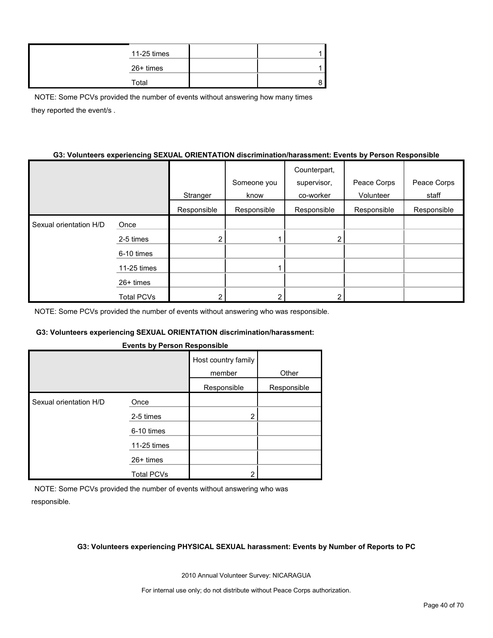| 11-25 times |  |
|-------------|--|
| 26+ times   |  |
| Total       |  |

NOTE: Some PCVs provided the number of events without answering how many times they reported the event/s .

#### **G3: Volunteers experiencing SEXUAL ORIENTATION discrimination/harassment: Events by Person Responsible**

|                        |                   |             |             | Counterpart, |             |             |
|------------------------|-------------------|-------------|-------------|--------------|-------------|-------------|
|                        |                   |             | Someone you | supervisor,  | Peace Corps | Peace Corps |
|                        |                   | Stranger    | know        | co-worker    | Volunteer   | staff       |
|                        |                   | Responsible | Responsible | Responsible  | Responsible | Responsible |
| Sexual orientation H/D | Once              |             |             |              |             |             |
|                        | 2-5 times         |             |             | 2            |             |             |
|                        | 6-10 times        |             |             |              |             |             |
|                        | 11-25 times       |             |             |              |             |             |
|                        | $26+$ times       |             |             |              |             |             |
|                        | <b>Total PCVs</b> |             |             | ⌒            |             |             |

NOTE: Some PCVs provided the number of events without answering who was responsible.

#### **G3: Volunteers experiencing SEXUAL ORIENTATION discrimination/harassment:**

|  | <b>Events by Person Responsible</b> |
|--|-------------------------------------|
|  |                                     |

|                        |                   | Host country family<br>member | Other       |  |
|------------------------|-------------------|-------------------------------|-------------|--|
|                        |                   | Responsible                   | Responsible |  |
| Sexual orientation H/D | Once              |                               |             |  |
|                        | 2-5 times         | 2                             |             |  |
|                        | 6-10 times        |                               |             |  |
|                        | 11-25 times       |                               |             |  |
|                        | 26+ times         |                               |             |  |
|                        | <b>Total PCVs</b> | っ                             |             |  |

NOTE: Some PCVs provided the number of events without answering who was responsible.

#### **G3: Volunteers experiencing PHYSICAL SEXUAL harassment: Events by Number of Reports to PC**

2010 Annual Volunteer Survey: NICARAGUA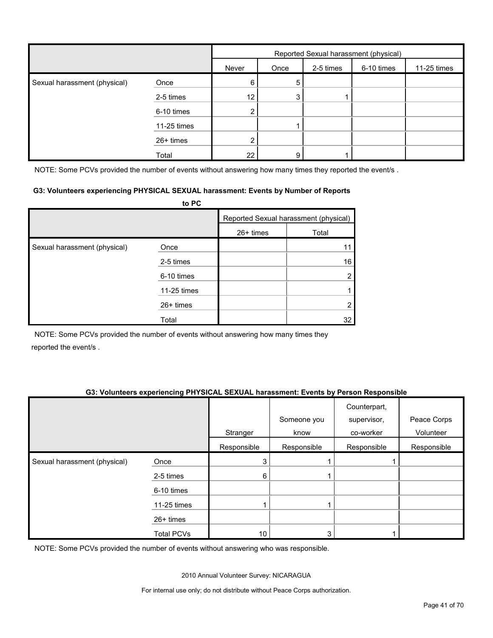|                              |             | Reported Sexual harassment (physical) |      |           |            |             |
|------------------------------|-------------|---------------------------------------|------|-----------|------------|-------------|
|                              |             | Never                                 | Once | 2-5 times | 6-10 times | 11-25 times |
| Sexual harassment (physical) | Once        | 6                                     | 5    |           |            |             |
|                              | 2-5 times   | 12                                    | 3    |           |            |             |
|                              | 6-10 times  | $\overline{2}$                        |      |           |            |             |
|                              | 11-25 times |                                       |      |           |            |             |
|                              | 26+ times   |                                       |      |           |            |             |
|                              | Total       | 22                                    | 9    |           |            |             |

NOTE: Some PCVs provided the number of events without answering how many times they reported the event/s.

#### **G3: Volunteers experiencing PHYSICAL SEXUAL harassment: Events by Number of Reports**

|                              | to PC       |           |                                       |
|------------------------------|-------------|-----------|---------------------------------------|
|                              |             |           | Reported Sexual harassment (physical) |
|                              |             | 26+ times | Total                                 |
| Sexual harassment (physical) | Once        |           |                                       |
|                              | 2-5 times   |           | 16                                    |
|                              | 6-10 times  |           |                                       |
|                              | 11-25 times |           |                                       |
|                              | 26+ times   |           |                                       |
|                              | Total       |           | 32                                    |

NOTE: Some PCVs provided the number of events without answering how many times they reported the event/s .

#### **G3: Volunteers experiencing PHYSICAL SEXUAL harassment: Events by Person Responsible**

|                              |                   |             | Someone you | Counterpart,<br>supervisor, | Peace Corps |
|------------------------------|-------------------|-------------|-------------|-----------------------------|-------------|
|                              |                   | Stranger    | know        | co-worker                   | Volunteer   |
|                              |                   | Responsible | Responsible | Responsible                 | Responsible |
| Sexual harassment (physical) | Once              | 3           |             |                             |             |
|                              | 2-5 times         | 6           |             |                             |             |
|                              | 6-10 times        |             |             |                             |             |
|                              | 11-25 times       |             |             |                             |             |
|                              | 26+ times         |             |             |                             |             |
|                              | <b>Total PCVs</b> | 10          | 3           |                             |             |

NOTE: Some PCVs provided the number of events without answering who was responsible.

2010 Annual Volunteer Survey: NICARAGUA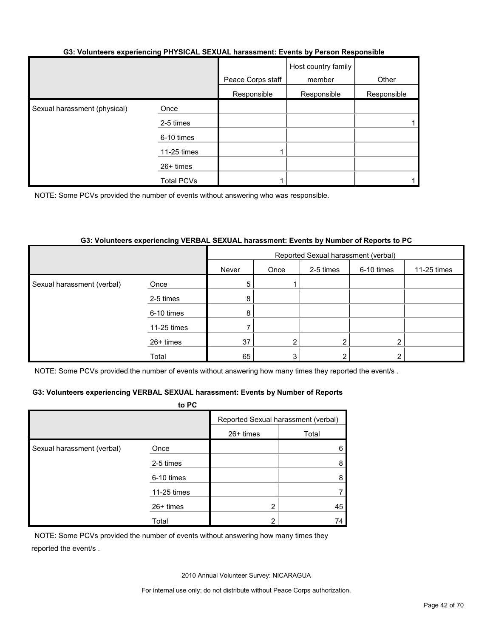#### **G3: Volunteers experiencing PHYSICAL SEXUAL harassment: Events by Person Responsible**

|                              |                   | Peace Corps staff | Host country family<br>member | Other       |
|------------------------------|-------------------|-------------------|-------------------------------|-------------|
|                              |                   | Responsible       | Responsible                   | Responsible |
| Sexual harassment (physical) | Once              |                   |                               |             |
|                              | 2-5 times         |                   |                               |             |
|                              | 6-10 times        |                   |                               |             |
|                              | 11-25 times       |                   |                               |             |
|                              | 26+ times         |                   |                               |             |
|                              | <b>Total PCVs</b> |                   |                               |             |

NOTE: Some PCVs provided the number of events without answering who was responsible.

#### **G3: Volunteers experiencing VERBAL SEXUAL harassment: Events by Number of Reports to PC**

|                            |             | Reported Sexual harassment (verbal) |                |           |            |             |
|----------------------------|-------------|-------------------------------------|----------------|-----------|------------|-------------|
|                            |             | Never                               | Once           | 2-5 times | 6-10 times | 11-25 times |
| Sexual harassment (verbal) | Once        | 5                                   |                |           |            |             |
|                            | 2-5 times   | 8                                   |                |           |            |             |
|                            | 6-10 times  | 8                                   |                |           |            |             |
|                            | 11-25 times |                                     |                |           |            |             |
|                            | 26+ times   | 37                                  | $\overline{2}$ | 2         | ◠          |             |
|                            | Total       | 65                                  | 3              | 2         |            |             |

NOTE: Some PCVs provided the number of events without answering how many times they reported the event/s.

#### **G3: Volunteers experiencing VERBAL SEXUAL harassment: Events by Number of Reports**

|                            | to PC       |                |                                     |
|----------------------------|-------------|----------------|-------------------------------------|
|                            |             |                | Reported Sexual harassment (verbal) |
|                            |             | 26+ times      | Total                               |
| Sexual harassment (verbal) | Once        |                | 6                                   |
|                            | 2-5 times   |                | 8                                   |
|                            | 6-10 times  |                | 8                                   |
|                            | 11-25 times |                |                                     |
|                            | 26+ times   | $\overline{2}$ | 45                                  |
|                            | Total       | າ              | 74                                  |

NOTE: Some PCVs provided the number of events without answering how many times they reported the event/s .

2010 Annual Volunteer Survey: NICARAGUA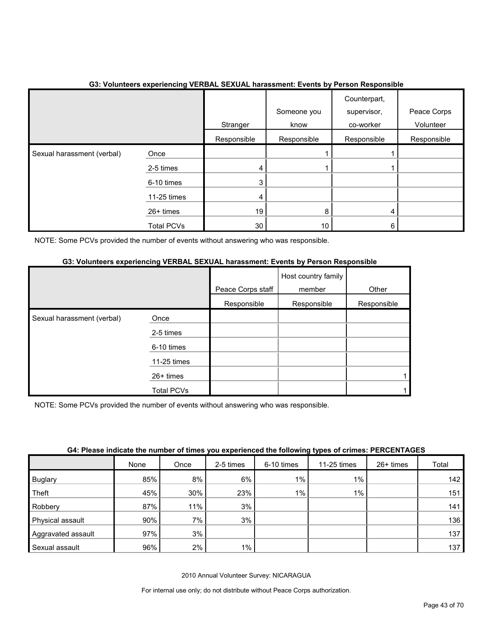|                            |                   | Stranger    | Someone you<br>know | Counterpart,<br>supervisor,<br>co-worker | Peace Corps<br>Volunteer |
|----------------------------|-------------------|-------------|---------------------|------------------------------------------|--------------------------|
|                            |                   | Responsible | Responsible         | Responsible                              | Responsible              |
| Sexual harassment (verbal) | Once              |             |                     |                                          |                          |
|                            | 2-5 times         | 4           |                     |                                          |                          |
|                            | 6-10 times        | 3           |                     |                                          |                          |
|                            | 11-25 times       | 4           |                     |                                          |                          |
|                            | 26+ times         | 19          | 8                   | 4                                        |                          |
|                            | <b>Total PCVs</b> | 30          | 10                  | 6                                        |                          |

#### **G3: Volunteers experiencing VERBAL SEXUAL harassment: Events by Person Responsible**

NOTE: Some PCVs provided the number of events without answering who was responsible.

#### **G3: Volunteers experiencing VERBAL SEXUAL harassment: Events by Person Responsible**

|                            |             | Peace Corps staff | Host country family<br>member | Other       |
|----------------------------|-------------|-------------------|-------------------------------|-------------|
|                            |             | Responsible       | Responsible                   | Responsible |
| Sexual harassment (verbal) | Once        |                   |                               |             |
|                            | 2-5 times   |                   |                               |             |
|                            | 6-10 times  |                   |                               |             |
|                            | 11-25 times |                   |                               |             |
|                            | 26+ times   |                   |                               |             |
|                            | Total PCVs  |                   |                               |             |

NOTE: Some PCVs provided the number of events without answering who was responsible.

| G4: Please indicate the number of times you experienced the following types of crimes: PERCENTAGES |  |  |
|----------------------------------------------------------------------------------------------------|--|--|
|----------------------------------------------------------------------------------------------------|--|--|

|                    | None | Once | 2-5 times | 6-10 times | 11-25 times | 26+ times | Total            |
|--------------------|------|------|-----------|------------|-------------|-----------|------------------|
| <b>Buglary</b>     | 85%  | 8%   | 6%        | $1\%$      | $1\%$       |           | 142              |
| Theft              | 45%  | 30%  | 23%       | $1\%$      | $1\%$       |           | 151              |
| Robbery            | 87%  | 11%  | 3%        |            |             |           | 141              |
| Physical assault   | 90%  | 7%   | 3%        |            |             |           | 136 <sub>1</sub> |
| Aggravated assault | 97%  | 3%   |           |            |             |           | 137              |
| Sexual assault     | 96%  | 2%   | 1%        |            |             |           | 137              |

2010 Annual Volunteer Survey: NICARAGUA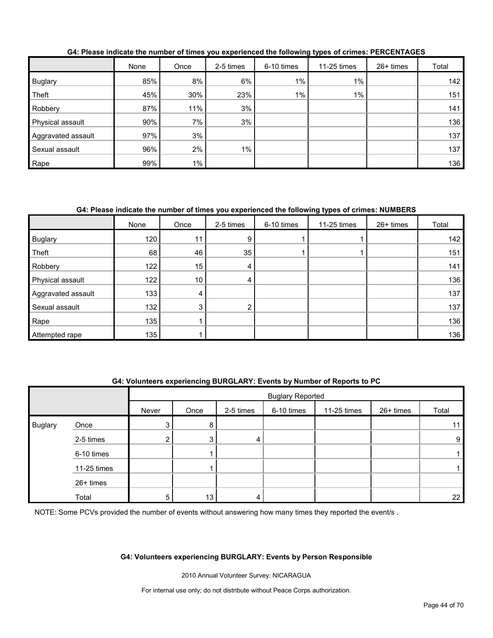|                    | None | Once  | 2-5 times | 6-10 times | 11-25 times | $26+$ times | Total |
|--------------------|------|-------|-----------|------------|-------------|-------------|-------|
| <b>Buglary</b>     | 85%  | 8%    | 6%        | $1\%$      | $1\%$       |             | 142   |
| Theft              | 45%  | 30%   | 23%       | $1\%$      | $1\%$       |             | 151   |
| Robbery            | 87%  | 11%   | 3%        |            |             |             | 141   |
| Physical assault   | 90%  | 7%    | 3%        |            |             |             | 136   |
| Aggravated assault | 97%  | 3%    |           |            |             |             | 137   |
| Sexual assault     | 96%  | 2%    | $1\%$     |            |             |             | 137   |
| Rape               | 99%  | $1\%$ |           |            |             |             | 136   |

**G4: Please indicate the number of times you experienced the following types of crimes: PERCENTAGES**

#### **G4: Please indicate the number of times you experienced the following types of crimes: NUMBERS**

|                    | None | Once | 2-5 times            | 6-10 times | 11-25 times | 26+ times | Total |
|--------------------|------|------|----------------------|------------|-------------|-----------|-------|
| <b>Buglary</b>     | 120  | 11   | $9^{\circ}$          |            |             |           | 142   |
| Theft              | 68   | 46   | 35                   |            |             |           | 151   |
| Robbery            | 122  | 15   | 4                    |            |             |           | 141   |
| Physical assault   | 122  | 10   | 4                    |            |             |           | 136   |
| Aggravated assault | 133  | 4    |                      |            |             |           | 137   |
| Sexual assault     | 132  | 3    | $\mathbf{2}^{\circ}$ |            |             |           | 137   |
| Rape               | 135  |      |                      |            |             |           | 136   |
| Attempted rape     | 135  |      |                      |            |             |           | 136   |

#### **G4: Volunteers experiencing BURGLARY: Events by Number of Reports to PC**

|                |             |                | <b>Buglary Reported</b> |           |            |             |           |       |  |
|----------------|-------------|----------------|-------------------------|-----------|------------|-------------|-----------|-------|--|
|                |             | Never          | Once                    | 2-5 times | 6-10 times | 11-25 times | 26+ times | Total |  |
| <b>Buglary</b> | Once        | 3 <sub>l</sub> | 8                       |           |            |             |           | 11    |  |
|                | 2-5 times   | ົ<br>∠∣        | 3                       | 4         |            |             |           | 9     |  |
|                | 6-10 times  |                |                         |           |            |             |           |       |  |
|                | 11-25 times |                |                         |           |            |             |           |       |  |
|                | 26+ times   |                |                         |           |            |             |           |       |  |
|                | Total       | 5              | 13                      | 4         |            |             |           | 22    |  |

NOTE: Some PCVs provided the number of events without answering how many times they reported the event/s.

#### **G4: Volunteers experiencing BURGLARY: Events by Person Responsible**

2010 Annual Volunteer Survey: NICARAGUA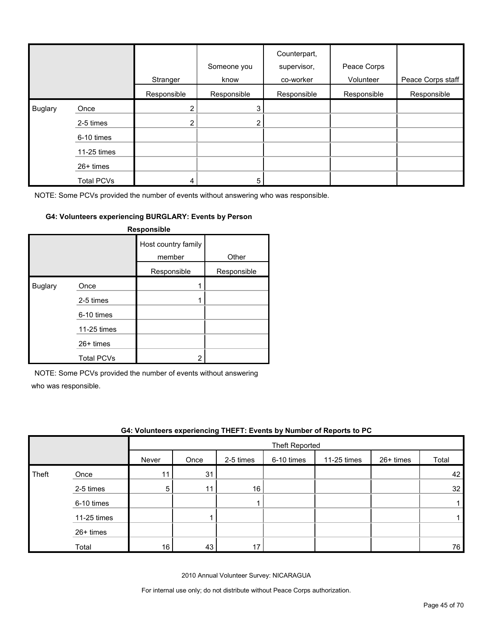|         |                   | Stranger              | Someone you<br>know | Counterpart,<br>supervisor,<br>co-worker | Peace Corps<br>Volunteer | Peace Corps staff |
|---------|-------------------|-----------------------|---------------------|------------------------------------------|--------------------------|-------------------|
|         |                   | Responsible           | Responsible         | Responsible                              | Responsible              | Responsible       |
| Buglary | Once              | $\mathbf{2}^{\prime}$ | 3                   |                                          |                          |                   |
|         | 2-5 times         | $\overline{2}$        | 2                   |                                          |                          |                   |
|         | 6-10 times        |                       |                     |                                          |                          |                   |
|         | 11-25 times       |                       |                     |                                          |                          |                   |
|         | 26+ times         |                       |                     |                                          |                          |                   |
|         | <b>Total PCVs</b> | 4                     | 5                   |                                          |                          |                   |

#### **G4: Volunteers experiencing BURGLARY: Events by Person**

| Responsible    |                   |                               |             |  |  |  |  |  |  |
|----------------|-------------------|-------------------------------|-------------|--|--|--|--|--|--|
|                |                   | Host country family<br>member | Other       |  |  |  |  |  |  |
|                |                   | Responsible                   | Responsible |  |  |  |  |  |  |
| <b>Buglary</b> | Once              |                               |             |  |  |  |  |  |  |
|                | 2-5 times         |                               |             |  |  |  |  |  |  |
|                | 6-10 times        |                               |             |  |  |  |  |  |  |
|                | 11-25 times       |                               |             |  |  |  |  |  |  |
|                | 26+ times         |                               |             |  |  |  |  |  |  |
|                | <b>Total PCVs</b> | 2                             |             |  |  |  |  |  |  |

NOTE: Some PCVs provided the number of events without answering

who was responsible.

|       | G4: Volunteers experiencing THEFT: Events by Number of Reports to PC |       |                |           |            |             |           |       |  |
|-------|----------------------------------------------------------------------|-------|----------------|-----------|------------|-------------|-----------|-------|--|
|       |                                                                      |       | Theft Reported |           |            |             |           |       |  |
|       |                                                                      | Never | Once           | 2-5 times | 6-10 times | 11-25 times | 26+ times | Total |  |
| Theft | Once                                                                 | 11    | 31             |           |            |             |           | 42    |  |
|       | 2-5 times                                                            | 5     | 11             | 16        |            |             |           | 32    |  |
|       | 6-10 times                                                           |       |                |           |            |             |           |       |  |
|       | 11-25 times                                                          |       |                |           |            |             |           |       |  |
|       | $26+$ times                                                          |       |                |           |            |             |           |       |  |
|       | Total                                                                | 16    | 43             |           |            |             |           | 76    |  |

2010 Annual Volunteer Survey: NICARAGUA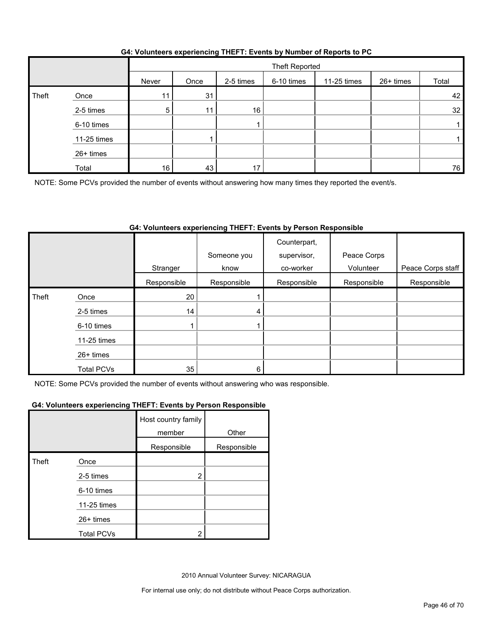|       |             |                 | Theft Reported |           |            |             |           |       |  |
|-------|-------------|-----------------|----------------|-----------|------------|-------------|-----------|-------|--|
|       |             | Never           | Once           | 2-5 times | 6-10 times | 11-25 times | 26+ times | Total |  |
| Theft | Once        | 11              | 31             |           |            |             |           | 42    |  |
|       | 2-5 times   | 5               |                | 16        |            |             |           | 32    |  |
|       | 6-10 times  |                 |                |           |            |             |           |       |  |
|       | 11-25 times |                 |                |           |            |             |           |       |  |
|       | 26+ times   |                 |                |           |            |             |           |       |  |
|       | Total       | 16 <sub>1</sub> | 43             | 17        |            |             |           | 76    |  |

#### **G4: Volunteers experiencing THEFT: Events by Number of Reports to PC**

NOTE: Some PCVs provided the number of events without answering how many times they reported the event/s.

#### **G4: Volunteers experiencing THEFT: Events by Person Responsible**

|       |                   |             | Someone you | Counterpart,<br>supervisor, | Peace Corps |                   |
|-------|-------------------|-------------|-------------|-----------------------------|-------------|-------------------|
|       |                   | Stranger    | know        | co-worker                   | Volunteer   | Peace Corps staff |
|       |                   | Responsible | Responsible | Responsible                 | Responsible | Responsible       |
| Theft | Once              | 20          |             |                             |             |                   |
|       | 2-5 times         | 14          | 4           |                             |             |                   |
|       | 6-10 times        |             |             |                             |             |                   |
|       | 11-25 times       |             |             |                             |             |                   |
|       | $26+$ times       |             |             |                             |             |                   |
|       | <b>Total PCVs</b> | 35          | 6           |                             |             |                   |

NOTE: Some PCVs provided the number of events without answering who was responsible.

#### **G4: Volunteers experiencing THEFT: Events by Person Responsible**

|              |                   | Host country family<br>member | Other       |
|--------------|-------------------|-------------------------------|-------------|
|              |                   | Responsible                   | Responsible |
| <b>Theft</b> | Once              |                               |             |
|              | 2-5 times         | 2                             |             |
|              | 6-10 times        |                               |             |
|              | 11-25 times       |                               |             |
|              | 26+ times         |                               |             |
|              | <b>Total PCVs</b> | າ                             |             |

2010 Annual Volunteer Survey: NICARAGUA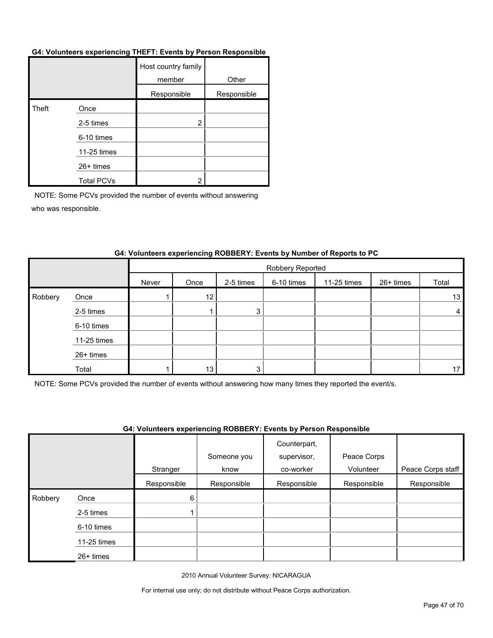#### **G4: Volunteers experiencing THEFT: Events by Person Responsible**

|       |                   | Host country family<br>member | Other       |
|-------|-------------------|-------------------------------|-------------|
|       |                   | Responsible                   | Responsible |
| Theft | Once              |                               |             |
|       | 2-5 times         | $\overline{2}$                |             |
|       | 6-10 times        |                               |             |
|       | 11-25 times       |                               |             |
|       | $26+$ times       |                               |             |
|       | <b>Total PCVs</b> | 2                             |             |

NOTE: Some PCVs provided the number of events without answering who was responsible.

|         |             |       | Robbery Reported |           |            |             |           |       |  |
|---------|-------------|-------|------------------|-----------|------------|-------------|-----------|-------|--|
|         |             | Never | Once             | 2-5 times | 6-10 times | 11-25 times | 26+ times | Total |  |
| Robbery | Once        |       | 12               |           |            |             |           | 13    |  |
|         | 2-5 times   |       |                  | 3         |            |             |           | 4     |  |
|         | 6-10 times  |       |                  |           |            |             |           |       |  |
|         | 11-25 times |       |                  |           |            |             |           |       |  |
|         | 26+ times   |       |                  |           |            |             |           |       |  |
|         | Total       |       | 13               | 3         |            |             |           | 17    |  |

#### **G4: Volunteers experiencing ROBBERY: Events by Number of Reports to PC**

NOTE: Some PCVs provided the number of events without answering how many times they reported the event/s.

#### **G4: Volunteers experiencing ROBBERY: Events by Person Responsible**

|         |             | Stranger    | Someone you<br>know | Counterpart,<br>supervisor,<br>co-worker | Peace Corps<br>Volunteer | Peace Corps staff |
|---------|-------------|-------------|---------------------|------------------------------------------|--------------------------|-------------------|
|         |             | Responsible | Responsible         | Responsible                              | Responsible              | Responsible       |
| Robbery | Once        | 6           |                     |                                          |                          |                   |
|         | 2-5 times   |             |                     |                                          |                          |                   |
|         | 6-10 times  |             |                     |                                          |                          |                   |
|         | 11-25 times |             |                     |                                          |                          |                   |
|         | 26+ times   |             |                     |                                          |                          |                   |

2010 Annual Volunteer Survey: NICARAGUA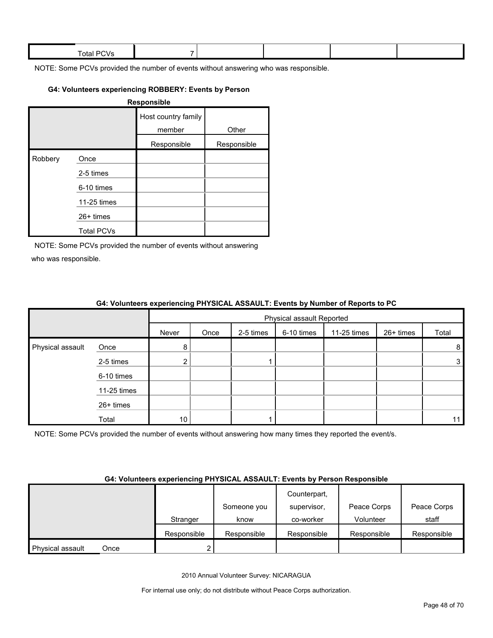| Total.<br>. .<br>- 11 |  |  |  |
|-----------------------|--|--|--|
|                       |  |  |  |

#### **G4: Volunteers experiencing ROBBERY: Events by Person**

| <b>Responsible</b> |                   |                               |             |  |  |  |  |  |
|--------------------|-------------------|-------------------------------|-------------|--|--|--|--|--|
|                    |                   | Host country family<br>member | Other       |  |  |  |  |  |
|                    |                   | Responsible                   | Responsible |  |  |  |  |  |
| Robbery            | Once              |                               |             |  |  |  |  |  |
|                    | 2-5 times         |                               |             |  |  |  |  |  |
|                    | 6-10 times        |                               |             |  |  |  |  |  |
|                    | 11-25 times       |                               |             |  |  |  |  |  |
|                    | $26+$ times       |                               |             |  |  |  |  |  |
|                    | <b>Total PCVs</b> |                               |             |  |  |  |  |  |

NOTE: Some PCVs provided the number of events without answering who was responsible.

|                  |             | $\bullet$ . The contract of the contract of the contract $\bullet$ . The contract of the contract of the contract of $\bullet$ |                           |           |            |             |           |       |  |  |
|------------------|-------------|--------------------------------------------------------------------------------------------------------------------------------|---------------------------|-----------|------------|-------------|-----------|-------|--|--|
|                  |             |                                                                                                                                | Physical assault Reported |           |            |             |           |       |  |  |
|                  |             | Never                                                                                                                          | Once                      | 2-5 times | 6-10 times | 11-25 times | 26+ times | Total |  |  |
| Physical assault | Once        | 8                                                                                                                              |                           |           |            |             |           | 8     |  |  |
|                  | 2-5 times   |                                                                                                                                |                           |           |            |             |           | 3     |  |  |
|                  | 6-10 times  |                                                                                                                                |                           |           |            |             |           |       |  |  |
|                  | 11-25 times |                                                                                                                                |                           |           |            |             |           |       |  |  |
|                  | 26+ times   |                                                                                                                                |                           |           |            |             |           |       |  |  |
|                  | Total       | 10                                                                                                                             |                           |           |            |             |           | 11    |  |  |

#### **G4: Volunteers experiencing PHYSICAL ASSAULT: Events by Number of Reports to PC**

NOTE: Some PCVs provided the number of events without answering how many times they reported the event/s.

#### **G4: Volunteers experiencing PHYSICAL ASSAULT: Events by Person Responsible**

|                  |      |             |             | Counterpart, |             |             |
|------------------|------|-------------|-------------|--------------|-------------|-------------|
|                  |      |             | Someone you | supervisor,  | Peace Corps | Peace Corps |
|                  |      | Stranger    | know        | co-worker    | Volunteer   | staff       |
|                  |      | Responsible | Responsible | Responsible  | Responsible | Responsible |
| Physical assault | Once |             |             |              |             |             |

2010 Annual Volunteer Survey: NICARAGUA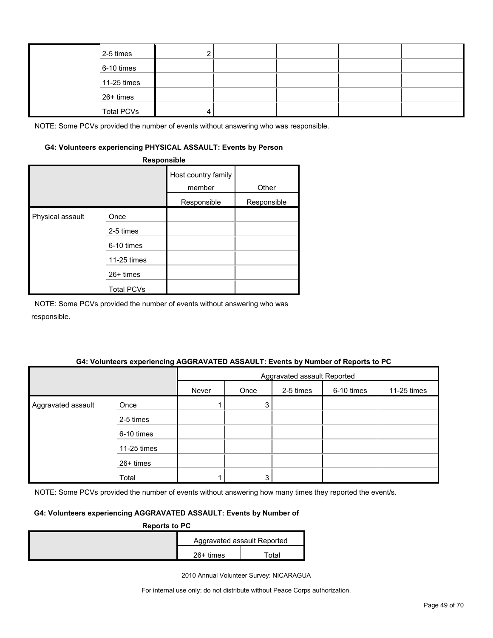| 2-5 times         |  |  |  |
|-------------------|--|--|--|
| 6-10 times        |  |  |  |
| 11-25 times       |  |  |  |
| 26+ times         |  |  |  |
| <b>Total PCVs</b> |  |  |  |

#### **G4: Volunteers experiencing PHYSICAL ASSAULT: Events by Person**

|                  | Responsible       |                               |             |
|------------------|-------------------|-------------------------------|-------------|
|                  |                   | Host country family<br>member | Other       |
|                  |                   | Responsible                   | Responsible |
| Physical assault | Once              |                               |             |
|                  | 2-5 times         |                               |             |
|                  | 6-10 times        |                               |             |
|                  | 11-25 times       |                               |             |
|                  | 26+ times         |                               |             |
|                  | <b>Total PCVs</b> |                               |             |

NOTE: Some PCVs provided the number of events without answering who was responsible.

#### **G4: Volunteers experiencing AGGRAVATED ASSAULT: Events by Number of Reports to PC**

|                    |             | Aggravated assault Reported |      |           |            |             |  |
|--------------------|-------------|-----------------------------|------|-----------|------------|-------------|--|
|                    |             | Never                       | Once | 2-5 times | 6-10 times | 11-25 times |  |
| Aggravated assault | Once        |                             | 3    |           |            |             |  |
|                    | 2-5 times   |                             |      |           |            |             |  |
|                    | 6-10 times  |                             |      |           |            |             |  |
|                    | 11-25 times |                             |      |           |            |             |  |
|                    | 26+ times   |                             |      |           |            |             |  |
|                    | Total       |                             | 3    |           |            |             |  |

NOTE: Some PCVs provided the number of events without answering how many times they reported the event/s.

#### **G4: Volunteers experiencing AGGRAVATED ASSAULT: Events by Number of**

| <b>Reports to PC</b> |             |                             |
|----------------------|-------------|-----------------------------|
|                      |             | Aggravated assault Reported |
|                      | $26+$ times | ⊺otal                       |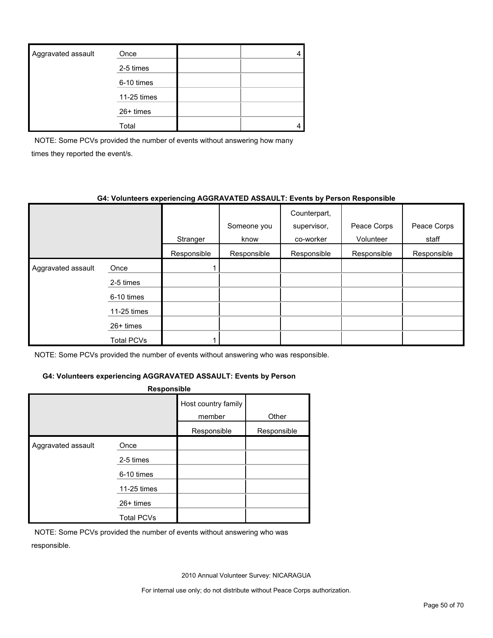| Aggravated assault | Once        |  |
|--------------------|-------------|--|
|                    | 2-5 times   |  |
|                    | 6-10 times  |  |
|                    | 11-25 times |  |
|                    | $26+$ times |  |
|                    | Total       |  |

NOTE: Some PCVs provided the number of events without answering how many times they reported the event/s.

#### **G4: Volunteers experiencing AGGRAVATED ASSAULT: Events by Person Responsible**

|                    |             | Stranger    | Someone you<br>know | Counterpart,<br>supervisor,<br>co-worker | Peace Corps<br>Volunteer | Peace Corps<br>staff |
|--------------------|-------------|-------------|---------------------|------------------------------------------|--------------------------|----------------------|
|                    |             | Responsible | Responsible         | Responsible                              | Responsible              | Responsible          |
| Aggravated assault | Once        |             |                     |                                          |                          |                      |
|                    | 2-5 times   |             |                     |                                          |                          |                      |
|                    | 6-10 times  |             |                     |                                          |                          |                      |
|                    | 11-25 times |             |                     |                                          |                          |                      |
|                    | $26+$ times |             |                     |                                          |                          |                      |
|                    | Total PCVs  |             |                     |                                          |                          |                      |

NOTE: Some PCVs provided the number of events without answering who was responsible.

#### **G4: Volunteers experiencing AGGRAVATED ASSAULT: Events by Person**

| Responsible        |                                  |                               |             |  |  |  |  |  |
|--------------------|----------------------------------|-------------------------------|-------------|--|--|--|--|--|
|                    |                                  | Host country family<br>member | Other       |  |  |  |  |  |
|                    |                                  | Responsible                   | Responsible |  |  |  |  |  |
| Aggravated assault | Once<br>2-5 times<br>6-10 times  |                               |             |  |  |  |  |  |
|                    | 11-25 times                      |                               |             |  |  |  |  |  |
|                    | $26+$ times<br><b>Total PCVs</b> |                               |             |  |  |  |  |  |

NOTE: Some PCVs provided the number of events without answering who was responsible.

2010 Annual Volunteer Survey: NICARAGUA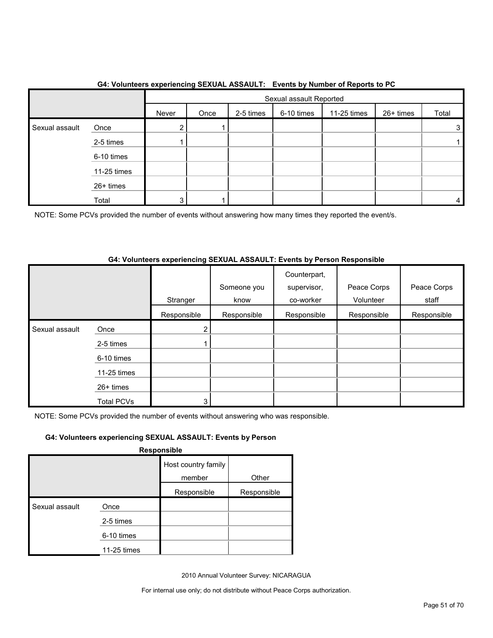|                |             |       | . <b>. .</b><br>Sexual assault Reported |           |            |             |           |       |
|----------------|-------------|-------|-----------------------------------------|-----------|------------|-------------|-----------|-------|
|                |             | Never | Once                                    | 2-5 times | 6-10 times | 11-25 times | 26+ times | Total |
| Sexual assault | Once        | ົ     |                                         |           |            |             |           | 3     |
|                | 2-5 times   |       |                                         |           |            |             |           |       |
|                | 6-10 times  |       |                                         |           |            |             |           |       |
|                | 11-25 times |       |                                         |           |            |             |           |       |
|                | 26+ times   |       |                                         |           |            |             |           |       |
|                | Total       | 3     |                                         |           |            |             |           | 4     |

#### **G4: Volunteers experiencing SEXUAL ASSAULT: Events by Number of Reports to PC**

NOTE: Some PCVs provided the number of events without answering how many times they reported the event/s.

#### **G4: Volunteers experiencing SEXUAL ASSAULT: Events by Person Responsible**

|                |                   | Stranger    | Someone you<br>know | Counterpart,<br>supervisor,<br>co-worker | Peace Corps<br>Volunteer | Peace Corps<br>staff |
|----------------|-------------------|-------------|---------------------|------------------------------------------|--------------------------|----------------------|
|                |                   | Responsible | Responsible         | Responsible                              | Responsible              | Responsible          |
| Sexual assault | Once              | 2           |                     |                                          |                          |                      |
|                | 2-5 times         |             |                     |                                          |                          |                      |
|                | 6-10 times        |             |                     |                                          |                          |                      |
|                | 11-25 times       |             |                     |                                          |                          |                      |
|                | $26+$ times       |             |                     |                                          |                          |                      |
|                | <b>Total PCVs</b> | 3           |                     |                                          |                          |                      |

NOTE: Some PCVs provided the number of events without answering who was responsible.

#### **G4: Volunteers experiencing SEXUAL ASSAULT: Events by Person**

**Responsible**

|                |             | Host country family |             |
|----------------|-------------|---------------------|-------------|
|                |             | member              | Other       |
|                |             | Responsible         | Responsible |
| Sexual assault | Once        |                     |             |
|                | 2-5 times   |                     |             |
|                | 6-10 times  |                     |             |
|                | 11-25 times |                     |             |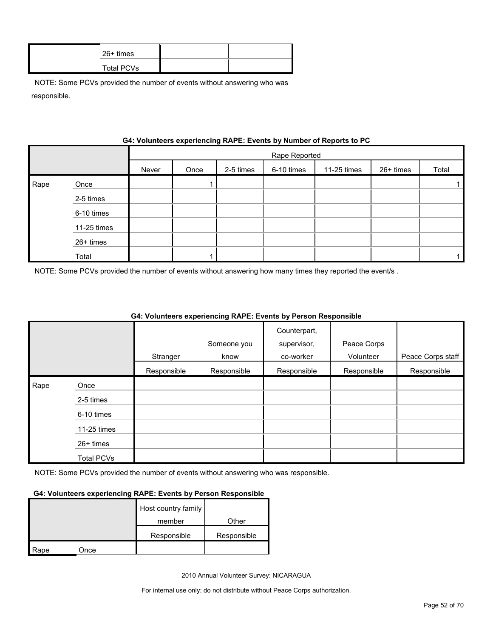| 26+ times  |  |
|------------|--|
| Total PCVs |  |

|      |             |       |               |           |            | <b>OR. VOIDINGERS GAPGHERING</b> IVAN L. LVGHIS BY NUMBER OF REPORTS TO NO |           |       |  |
|------|-------------|-------|---------------|-----------|------------|----------------------------------------------------------------------------|-----------|-------|--|
|      |             |       | Rape Reported |           |            |                                                                            |           |       |  |
|      |             | Never | Once          | 2-5 times | 6-10 times | 11-25 times                                                                | 26+ times | Total |  |
| Rape | Once        |       |               |           |            |                                                                            |           |       |  |
|      | 2-5 times   |       |               |           |            |                                                                            |           |       |  |
|      | 6-10 times  |       |               |           |            |                                                                            |           |       |  |
|      | 11-25 times |       |               |           |            |                                                                            |           |       |  |
|      | 26+ times   |       |               |           |            |                                                                            |           |       |  |
|      | Total       |       |               |           |            |                                                                            |           |       |  |

### **G4: Volunteers experiencing RAPE: Events by Number of Reports to PC**

NOTE: Some PCVs provided the number of events without answering how many times they reported the event/s .

|      |                   |             |             | Counterpart, |             |                   |
|------|-------------------|-------------|-------------|--------------|-------------|-------------------|
|      |                   |             | Someone you | supervisor,  | Peace Corps |                   |
|      |                   | Stranger    | know        | co-worker    | Volunteer   | Peace Corps staff |
|      |                   | Responsible | Responsible | Responsible  | Responsible | Responsible       |
| Rape | Once              |             |             |              |             |                   |
|      | 2-5 times         |             |             |              |             |                   |
|      | 6-10 times        |             |             |              |             |                   |
|      | 11-25 times       |             |             |              |             |                   |
|      | $26+$ times       |             |             |              |             |                   |
|      | <b>Total PCVs</b> |             |             |              |             |                   |

#### **G4: Volunteers experiencing RAPE: Events by Person Responsible**

NOTE: Some PCVs provided the number of events without answering who was responsible.

#### **G4: Volunteers experiencing RAPE: Events by Person Responsible**

|      |      | Host country family |             |
|------|------|---------------------|-------------|
|      |      | member              | Other       |
|      |      | Responsible         | Responsible |
| Rape | Once |                     |             |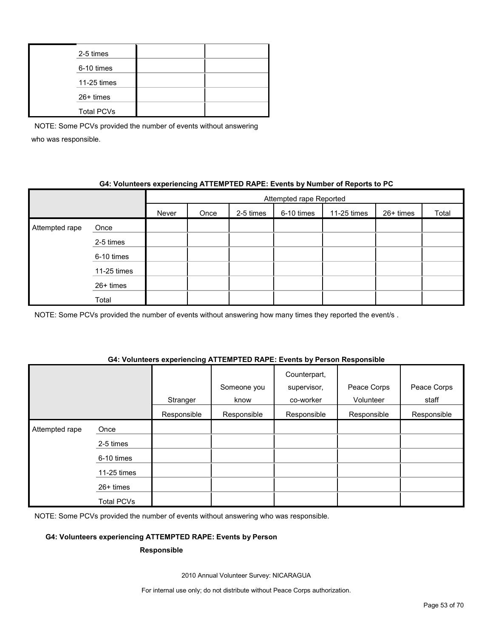| 2-5 times         |  |
|-------------------|--|
| 6-10 times        |  |
| 11-25 times       |  |
| 26+ times         |  |
| <b>Total PCVs</b> |  |

#### **G4: Volunteers experiencing ATTEMPTED RAPE: Events by Number of Reports to PC**

|                |             | Attempted rape Reported |      |           |            |             |           |       |  |
|----------------|-------------|-------------------------|------|-----------|------------|-------------|-----------|-------|--|
|                |             | Never                   | Once | 2-5 times | 6-10 times | 11-25 times | 26+ times | Total |  |
| Attempted rape | Once        |                         |      |           |            |             |           |       |  |
|                | 2-5 times   |                         |      |           |            |             |           |       |  |
|                | 6-10 times  |                         |      |           |            |             |           |       |  |
|                | 11-25 times |                         |      |           |            |             |           |       |  |
|                | 26+ times   |                         |      |           |            |             |           |       |  |
|                | Total       |                         |      |           |            |             |           |       |  |

NOTE: Some PCVs provided the number of events without answering how many times they reported the event/s.

#### **G4: Volunteers experiencing ATTEMPTED RAPE: Events by Person Responsible**

|                |                   | Stranger    | Someone you<br>know | Counterpart,<br>supervisor,<br>co-worker | Peace Corps<br>Volunteer | Peace Corps<br>staff |
|----------------|-------------------|-------------|---------------------|------------------------------------------|--------------------------|----------------------|
|                |                   | Responsible | Responsible         | Responsible                              | Responsible              | Responsible          |
| Attempted rape | Once              |             |                     |                                          |                          |                      |
|                | 2-5 times         |             |                     |                                          |                          |                      |
|                | 6-10 times        |             |                     |                                          |                          |                      |
|                | 11-25 times       |             |                     |                                          |                          |                      |
|                | 26+ times         |             |                     |                                          |                          |                      |
|                | <b>Total PCVs</b> |             |                     |                                          |                          |                      |

NOTE: Some PCVs provided the number of events without answering who was responsible.

#### **G4: Volunteers experiencing ATTEMPTED RAPE: Events by Person**

#### **Responsible**

2010 Annual Volunteer Survey: NICARAGUA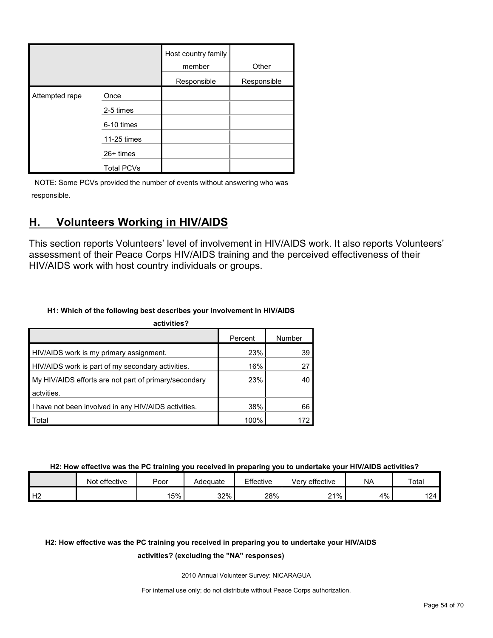|                |                   | Host country family<br>member | Other       |
|----------------|-------------------|-------------------------------|-------------|
|                |                   | Responsible                   | Responsible |
| Attempted rape | Once              |                               |             |
|                | 2-5 times         |                               |             |
|                | 6-10 times        |                               |             |
|                | 11-25 times       |                               |             |
|                | 26+ times         |                               |             |
|                | <b>Total PCVs</b> |                               |             |

## <span id="page-53-0"></span>**H. Volunteers Working in HIV/AIDS**

This section reports Volunteers' level of involvement in HIV/AIDS work. It also reports Volunteers' assessment of their Peace Corps HIV/AIDS training and the perceived effectiveness of their HIV/AIDS work with host country individuals or groups.

#### **H1: Which of the following best describes your involvement in HIV/AIDS**

| activities?                                           |         |        |
|-------------------------------------------------------|---------|--------|
|                                                       | Percent | Number |
| HIV/AIDS work is my primary assignment.               | 23%     | 39     |
| HIV/AIDS work is part of my secondary activities.     | 16%     | 27     |
| My HIV/AIDS efforts are not part of primary/secondary | 23%     | 40     |
| actvities.                                            |         |        |
| I have not been involved in any HIV/AIDS activities.  | 38%     | 66     |
| Total                                                 | 100%    | 172    |

#### **H2: How effective was the PC training you received in preparing you to undertake your HIV/AIDS activities?**

|                   | Not effective | Poor | Adequate | Effective | Verv effective     | <b>NA</b> | Total |
|-------------------|---------------|------|----------|-----------|--------------------|-----------|-------|
| $\mathbf{L}$<br>∸ |               | 15%  | 32%      | 28%       | $21\%$<br><u>.</u> | 4%        | 124   |

### **H2: How effective was the PC training you received in preparing you to undertake your HIV/AIDS**

#### **activities? (excluding the "NA" responses)**

2010 Annual Volunteer Survey: NICARAGUA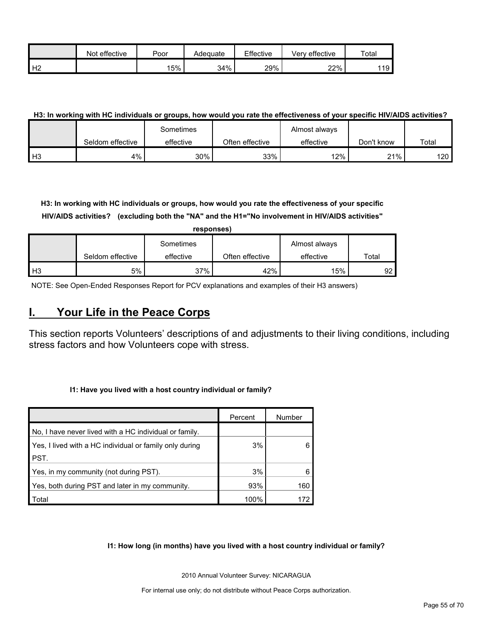|                | effective<br>Not | Poor | Adeɑuate | Effective | Verv effective | Total |
|----------------|------------------|------|----------|-----------|----------------|-------|
| H <sub>2</sub> |                  | 15%  | 34%      | 29%       | 22%            | 119   |

#### **H3: In working with HC individuals or groups, how would you rate the effectiveness of your specific HIV/AIDS activities?**

|                |                  | Sometimes |                 | Almost always |            |       |
|----------------|------------------|-----------|-----------------|---------------|------------|-------|
|                | Seldom effective | effective | Often effective | effective     | Don't know | Total |
| H <sub>3</sub> | 4%               | 30%       | 33%             | 12%           | 21%        | 120 I |

**H3: In working with HC individuals or groups, how would you rate the effectiveness of your specific HIV/AIDS activities? (excluding both the "NA" and the H1="No involvement in HIV/AIDS activities"** 

|      | responses)       |           |                 |               |       |  |  |  |  |  |  |
|------|------------------|-----------|-----------------|---------------|-------|--|--|--|--|--|--|
|      |                  | Sometimes |                 | Almost always |       |  |  |  |  |  |  |
|      | Seldom effective | effective | Often effective | effective     | Total |  |  |  |  |  |  |
| l H3 | 5%               | 37%       | 42%             | 15%           | 92    |  |  |  |  |  |  |

NOTE: See Open-Ended Responses Report for PCV explanations and examples of their H3 answers)

### <span id="page-54-0"></span>**I. Your Life in the Peace Corps**

This section reports Volunteers' descriptions of and adjustments to their living conditions, including stress factors and how Volunteers cope with stress.

#### **I1: Have you lived with a host country individual or family?**

|                                                         | Percent | Number |
|---------------------------------------------------------|---------|--------|
| No, I have never lived with a HC individual or family.  |         |        |
| Yes, I lived with a HC individual or family only during | 3%      |        |
| PST.                                                    |         |        |
| Yes, in my community (not during PST).                  | 3%      |        |
| Yes, both during PST and later in my community.         | 93%     | 160    |
| Total                                                   | 100%    | 172    |

#### **I1: How long (in months) have you lived with a host country individual or family?**

2010 Annual Volunteer Survey: NICARAGUA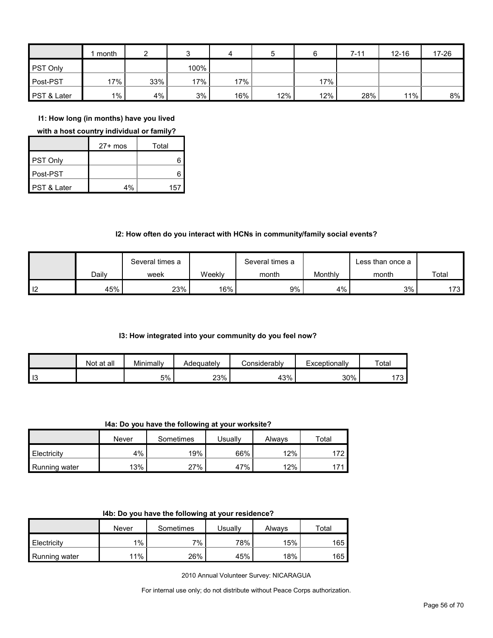|                 | month |     |      | 4   | 5   |     | $7 - 11$ | $12 - 16$ | 17-26 |
|-----------------|-------|-----|------|-----|-----|-----|----------|-----------|-------|
| <b>PST Only</b> |       |     | 100% |     |     |     |          |           |       |
| Post-PST        | 17%   | 33% | 17%  | 17% |     | 17% |          |           |       |
| PST & Later     | $1\%$ | 4%  | 3%   | 16% | 12% | 12% | 28%      | 11%       | 8%    |

**I1: How long (in months) have you lived** 

**with a host country individual or family?**

|                        | $27+$ mos | Total |
|------------------------|-----------|-------|
| PST Only               |           |       |
| Post-PST               |           |       |
| <b>PST &amp; Later</b> | 4%        | 157   |

#### **I2: How often do you interact with HCNs in community/family social events?**

|      |       | Several times a |        | Several times a |         |       |       |
|------|-------|-----------------|--------|-----------------|---------|-------|-------|
|      | Dailv | week            | Weekly | month           | Monthly | month | Total |
| l 12 | 45%   | 23%             | 16%    | 9%              | 4%      | 3%    | 173   |

#### **I3: How integrated into your community do you feel now?**

|    | Not at all | Minimally | Adeauatelv | ≿onsiderablv | Exceptionally | Total                         |
|----|------------|-----------|------------|--------------|---------------|-------------------------------|
| 13 |            | 5%        | 23%        | 43%          | 30%           | $\overline{\phantom{a}}$<br>. |

**I4a: Do you have the following at your worksite?**

|               | Never | Sometimes | Usuallv | Always | $\tau$ otal |
|---------------|-------|-----------|---------|--------|-------------|
| Electricity   | 4%    | 19%       | 66%     | 12%    | 172         |
| Running water | 13%   | 27%       | 47%     | 12%    | 171         |

|  | 14b: Do you have the following at your residence? |  |
|--|---------------------------------------------------|--|
|--|---------------------------------------------------|--|

|               | Never | Sometimes | Usuallv | Always | ⊤otal |
|---------------|-------|-----------|---------|--------|-------|
| Electricity   | $1\%$ | 7%        | 78%     | 15%    | 165   |
| Running water | 11%   | 26%       | 45%     | 18%    | 165   |

2010 Annual Volunteer Survey: NICARAGUA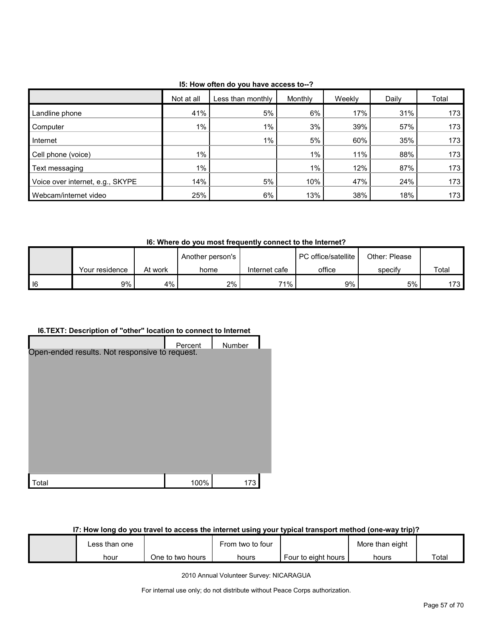|                                  | Not at all | Less than monthly | Monthly | Weekly | Daily | Total |
|----------------------------------|------------|-------------------|---------|--------|-------|-------|
| Landline phone                   | 41%        | 5%                | 6%      | 17%    | 31%   | 173   |
| Computer                         | $1\%$      | 1%                | 3%      | 39%    | 57%   | 173   |
| Internet                         |            | 1%                | 5%      | 60%    | 35%   | 173   |
| Cell phone (voice)               | $1\%$      |                   | $1\%$   | 11%    | 88%   | 173   |
| Text messaging                   | $1\%$      |                   | $1\%$   | 12%    | 87%   | 173   |
| Voice over internet, e.g., SKYPE | 14%        | 5%                | 10%     | 47%    | 24%   | 173   |
| Webcam/internet video            | 25%        | 6%                | 13%     | 38%    | 18%   | 173   |

**I5: How often do you have access to--?**

**I6: Where do you most frequently connect to the Internet?**

|    |                |         | Another person's |               | <b>PC</b> office/satellite<br>Other: Please |         |       |
|----|----------------|---------|------------------|---------------|---------------------------------------------|---------|-------|
|    | Your residence | At work | home             | Internet cafe | office                                      | specify | Total |
| 16 | 9%             | 4%      | 2%               | $71\%$        | 9%                                          | 5%      | 173   |

#### **I6.TEXT: Description of "other" location to connect to Internet**

|                                                | Percent | Number |  |
|------------------------------------------------|---------|--------|--|
| Open-ended results. Not responsive to request. |         |        |  |
|                                                |         |        |  |
|                                                |         |        |  |
|                                                |         |        |  |
|                                                |         |        |  |
|                                                |         |        |  |
|                                                |         |        |  |
|                                                |         |        |  |
|                                                |         |        |  |
| otal                                           | 100%    | 173    |  |

### **I7: How long do you travel to access the internet using your typical transport method (one-way trip)?**

| ∟ess than one |                  | From two to four |                     | More than eight |       |
|---------------|------------------|------------------|---------------------|-----------------|-------|
| hour          | One to two hours | hours            | Four to eight hours | hours           | Total |

2010 Annual Volunteer Survey: NICARAGUA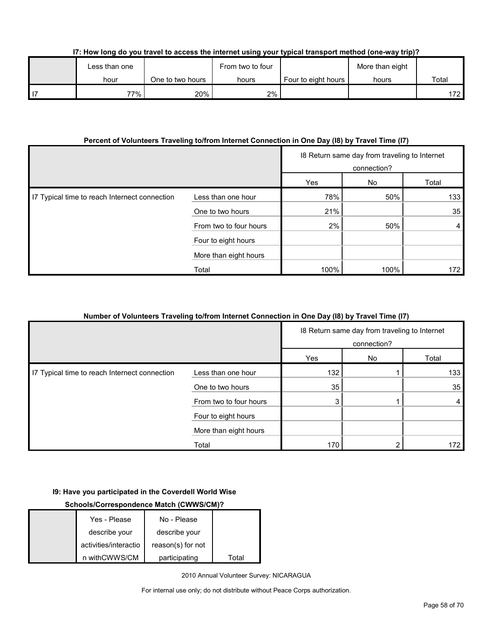| I7: How long do you travel to access the internet using your typical transport method (one-way trip)? |  |  |
|-------------------------------------------------------------------------------------------------------|--|--|
|                                                                                                       |  |  |

| Less than one |                  | From two to four |                       | More than eight |       |
|---------------|------------------|------------------|-----------------------|-----------------|-------|
| hour          | One to two hours | hours            | Four to eight hours I | hours           | Total |
| 77%           | 20%              | 2%               |                       |                 | 172   |

#### **Percent of Volunteers Traveling to/from Internet Connection in One Day (I8) by Travel Time (I7)**

|                                               |                        | 18 Return same day from traveling to Internet<br>connection? |      |       |
|-----------------------------------------------|------------------------|--------------------------------------------------------------|------|-------|
|                                               |                        | Yes                                                          | No   | Total |
| 17 Typical time to reach Internect connection | Less than one hour     | 78%                                                          | 50%  | 133   |
|                                               | One to two hours       | 21%                                                          |      | 35    |
|                                               | From two to four hours | 2%                                                           | 50%  | 4     |
|                                               | Four to eight hours    |                                                              |      |       |
|                                               | More than eight hours  |                                                              |      |       |
|                                               | Total                  | 100%                                                         | 100% | 172.  |

#### **Number of Volunteers Traveling to/from Internet Connection in One Day (I8) by Travel Time (I7)**

|                                               |                        | 18 Return same day from traveling to Internet<br>connection? |    |       |
|-----------------------------------------------|------------------------|--------------------------------------------------------------|----|-------|
|                                               |                        | Yes                                                          | No | Total |
| I7 Typical time to reach Internect connection | Less than one hour     | 132                                                          |    | 133   |
|                                               | One to two hours       | 35                                                           |    | 35    |
|                                               | From two to four hours | 3                                                            |    | 4     |
|                                               | Four to eight hours    |                                                              |    |       |
|                                               | More than eight hours  |                                                              |    |       |
|                                               | Total                  | 170                                                          |    | 172   |

#### **I9: Have you participated in the Coverdell World Wise**

### **Schools/Correspondence Match (CWWS/CM)?**

| Yes - Please          | No - Please       |       |
|-----------------------|-------------------|-------|
| describe your         | describe your     |       |
| activities/interactio | reason(s) for not |       |
| n withCWWS/CM         | participating     | Total |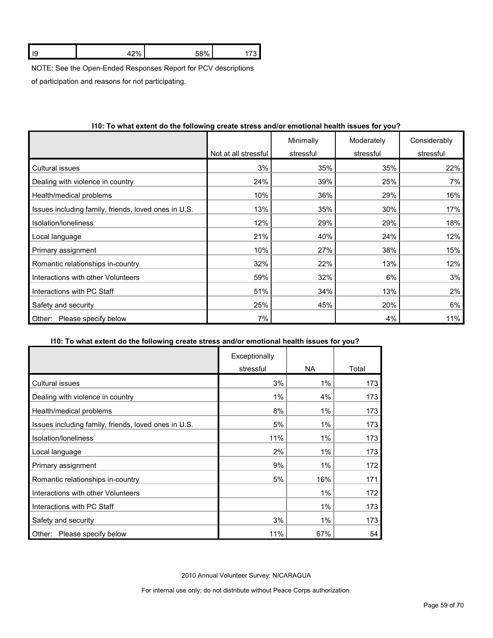|  | ı. | 0 <sup>0</sup> | FOM |  |
|--|----|----------------|-----|--|
|--|----|----------------|-----|--|

NOTE: See the Open-Ended Responses Report for PCV descriptions

of participation and reasons for not participating.

|                                                      |                      | Minimally | Moderately | Considerably |
|------------------------------------------------------|----------------------|-----------|------------|--------------|
|                                                      | Not at all stressful | stressful | stressful  | stressful    |
| Cultural issues                                      | 3%                   | 35%       | 35%        | 22%          |
| Dealing with violence in country                     | 24%                  | 39%       | 25%        | 7%           |
| Health/medical problems                              | 10%                  | 36%       | 29%        | 16%          |
| Issues including family, friends, loved ones in U.S. | 13%                  | 35%       | 30%        | 17%          |
| Isolation/Ioneliness                                 | 12%                  | 29%       | 29%        | 18%          |
| Local language                                       | 21%                  | 40%       | 24%        | 12%          |
| Primary assignment                                   | 10%                  | 27%       | 38%        | 15%          |
| Romantic relationships in-country                    | 32%                  | 22%       | 13%        | 12%          |
| Interactions with other Volunteers                   | 59%                  | 32%       | 6%         | 3%           |
| Interactions with PC Staff                           | 51%                  | 34%       | 13%        | 2%           |
| Safety and security                                  | 25%                  | 45%       | 20%        | 6%           |
| Please specify below<br>Other:                       | 7%                   |           | 4%         | 11%          |

#### **I10: To what extent do the following create stress and/or emotional health issues for you?**

#### **I10: To what extent do the following create stress and/or emotional health issues for you?**

|                                                      | Exceptionally |           |       |
|------------------------------------------------------|---------------|-----------|-------|
|                                                      | stressful     | <b>NA</b> | Total |
| Cultural issues                                      | 3%            | 1%        | 173   |
| Dealing with violence in country                     | 1%            | 4%        | 173   |
| Health/medical problems                              | 8%            | 1%        | 173   |
| Issues including family, friends, loved ones in U.S. | 5%            | 1%        | 173   |
| Isolation/loneliness                                 | 11%           | 1%        | 173   |
| Local language                                       | 2%            | 1%        | 173   |
| Primary assignment                                   | 9%            | 1%        | 172   |
| Romantic relationships in-country                    | 5%            | 16%       | 171   |
| Interactions with other Volunteers                   |               | 1%        | 172   |
| Interactions with PC Staff                           |               | 1%        | 173   |
| Safety and security                                  | 3%            | 1%        | 173   |
| Please specify below<br>Other:                       | 11%           | 67%       | 54    |

2010 Annual Volunteer Survey: NICARAGUA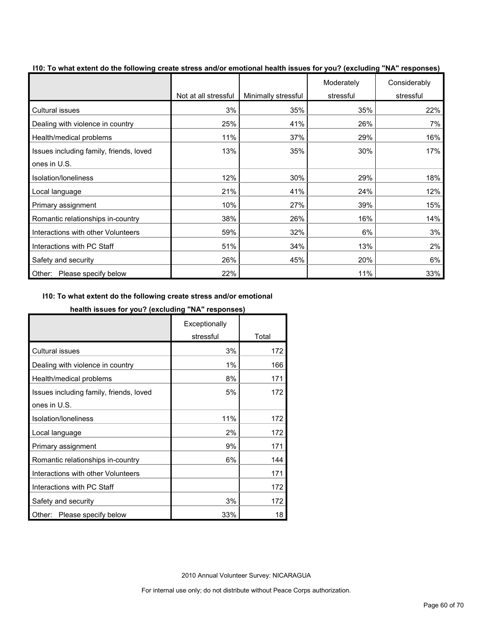| To must extent as the following create cubes | Not at all stressful | Minimally stressful | Moderately<br>stressful | Considerably<br>stressful |
|----------------------------------------------|----------------------|---------------------|-------------------------|---------------------------|
| <b>Cultural issues</b>                       | 3%                   | 35%                 | 35%                     | 22%                       |
| Dealing with violence in country             | 25%                  | 41%                 | 26%                     | 7%                        |
| Health/medical problems                      | 11%                  | 37%                 | 29%                     | 16%                       |
| Issues including family, friends, loved      | 13%                  | 35%                 | 30%                     | 17%                       |
| ones in U.S.                                 |                      |                     |                         |                           |
| Isolation/loneliness                         | 12%                  | 30%                 | 29%                     | 18%                       |
| Local language                               | 21%                  | 41%                 | 24%                     | 12%                       |
| Primary assignment                           | 10%                  | 27%                 | 39%                     | 15%                       |
| Romantic relationships in-country            | 38%                  | 26%                 | 16%                     | 14%                       |
| Interactions with other Volunteers           | 59%                  | 32%                 | 6%                      | 3%                        |
| Interactions with PC Staff                   | 51%                  | 34%                 | 13%                     | 2%                        |
| Safety and security                          | 26%                  | 45%                 | 20%                     | 6%                        |
| Other: Please specify below                  | 22%                  |                     | 11%                     | 33%                       |

**I10: To what extent do the following create stress and/or emotional health issues for you? (excluding "NA" responses)**

#### **I10: To what extent do the following create stress and/or emotional**

#### **health issues for you? (excluding "NA" responses)**

|                                         | Exceptionally |       |
|-----------------------------------------|---------------|-------|
|                                         | stressful     | Total |
| <b>Cultural issues</b>                  | 3%            | 172   |
| Dealing with violence in country        | 1%            | 166   |
| Health/medical problems                 | 8%            | 171   |
| Issues including family, friends, loved | 5%            | 172   |
| ones in U.S.                            |               |       |
| Isolation/Ioneliness                    | 11%           | 172   |
| Local language                          | 2%            | 172   |
| Primary assignment                      | 9%            | 171   |
| Romantic relationships in-country       | 6%            | 144   |
| Interactions with other Volunteers      |               | 171   |
| Interactions with PC Staff              |               | 172   |
| Safety and security                     | 3%            | 172   |
| Please specify below<br>Other:          | 33%           | 18    |

2010 Annual Volunteer Survey: NICARAGUA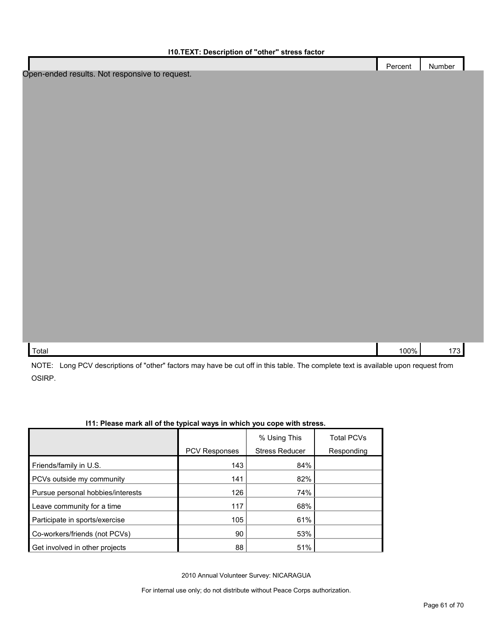| <b>110.TEXT: Description of "other" stress factor</b> |         |        |
|-------------------------------------------------------|---------|--------|
|                                                       | Percent | Number |
| Open-ended results. Not responsive to request.        |         |        |
|                                                       |         |        |
|                                                       |         |        |
|                                                       |         |        |
|                                                       |         |        |
|                                                       |         |        |
|                                                       |         |        |
|                                                       |         |        |
|                                                       |         |        |
|                                                       |         |        |
|                                                       |         |        |
|                                                       |         |        |
|                                                       |         |        |
|                                                       |         |        |
|                                                       |         |        |
|                                                       |         |        |
|                                                       |         |        |
|                                                       |         |        |
|                                                       |         |        |
|                                                       |         |        |
|                                                       |         |        |
| Total                                                 | 100%    | 173    |

NOTE: Long PCV descriptions of "other" factors may have be cut off in this table. The complete text is available upon request from OSIRP.

|                                   |                      | % Using This          | <b>Total PCVs</b> |
|-----------------------------------|----------------------|-----------------------|-------------------|
|                                   | <b>PCV Responses</b> | <b>Stress Reducer</b> | Responding        |
| Friends/family in U.S.            | 143                  | 84%                   |                   |
| PCVs outside my community         | 141                  | 82%                   |                   |
| Pursue personal hobbies/interests | 126                  | 74%                   |                   |
| Leave community for a time        | 117                  | 68%                   |                   |
| Participate in sports/exercise    | 105                  | 61%                   |                   |
| Co-workers/friends (not PCVs)     | 90                   | 53%                   |                   |
| Get involved in other projects    | 88                   | 51%                   |                   |

### **I11: Please mark all of the typical ways in which you cope with stress.**

2010 Annual Volunteer Survey: NICARAGUA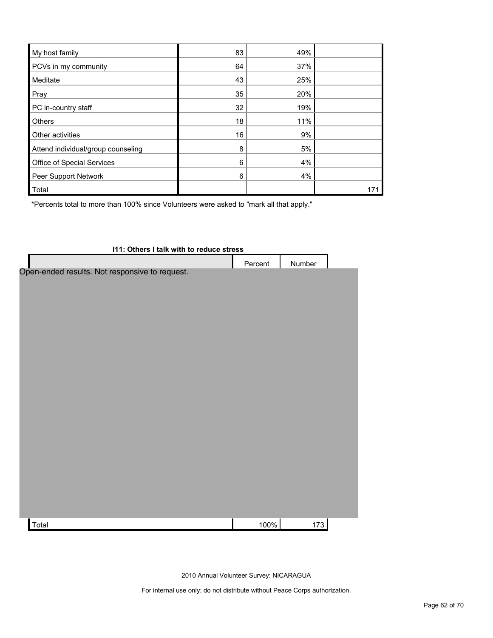| My host family                     | 83 | 49% |     |
|------------------------------------|----|-----|-----|
| PCVs in my community               | 64 | 37% |     |
| Meditate                           | 43 | 25% |     |
| Pray                               | 35 | 20% |     |
| PC in-country staff                | 32 | 19% |     |
| Others                             | 18 | 11% |     |
| Other activities                   | 16 | 9%  |     |
| Attend individual/group counseling | 8  | 5%  |     |
| Office of Special Services         | 6  | 4%  |     |
| Peer Support Network               | 6  | 4%  |     |
| Total                              |    |     | 171 |

\*Percents total to more than 100% since Volunteers were asked to "mark all that apply."

| 111: Others I talk with to reduce stress       |         |        |  |  |
|------------------------------------------------|---------|--------|--|--|
|                                                | Percent | Number |  |  |
| Open-ended results. Not responsive to request. |         |        |  |  |
|                                                |         |        |  |  |
|                                                |         |        |  |  |
|                                                |         |        |  |  |
|                                                |         |        |  |  |
|                                                |         |        |  |  |
|                                                |         |        |  |  |
|                                                |         |        |  |  |
|                                                |         |        |  |  |
|                                                |         |        |  |  |
|                                                |         |        |  |  |
|                                                |         |        |  |  |
|                                                |         |        |  |  |
|                                                |         |        |  |  |
|                                                |         |        |  |  |
|                                                |         |        |  |  |
|                                                |         |        |  |  |
|                                                |         |        |  |  |
|                                                |         |        |  |  |
| Total                                          | 100%    | 173    |  |  |

2010 Annual Volunteer Survey: NICARAGUA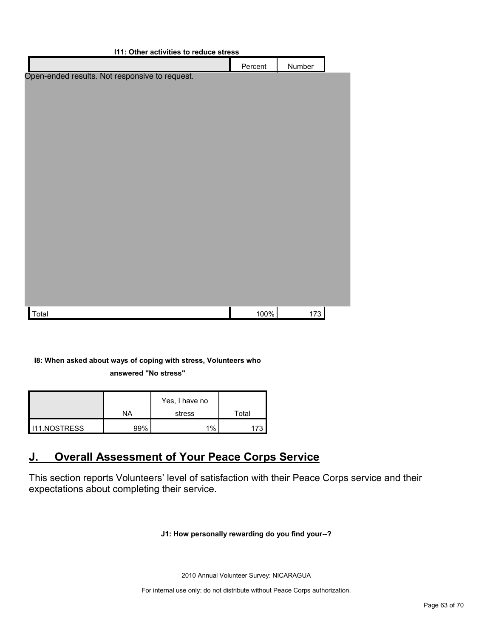| <b>111: Other activities to reduce stress</b>  |         |               |  |
|------------------------------------------------|---------|---------------|--|
|                                                | Percent | <b>Number</b> |  |
| Open-ended results. Not responsive to request. |         |               |  |
|                                                |         |               |  |
|                                                |         |               |  |
|                                                |         |               |  |
|                                                |         |               |  |
|                                                |         |               |  |
|                                                |         |               |  |
|                                                |         |               |  |
|                                                |         |               |  |
|                                                |         |               |  |
|                                                |         |               |  |
|                                                |         |               |  |
|                                                |         |               |  |
|                                                |         |               |  |
|                                                |         |               |  |
|                                                |         |               |  |
|                                                |         |               |  |
| Total                                          | 100%    | 173           |  |

### **I8: When asked about ways of coping with stress, Volunteers who answered "No stress"**

|                     | ΝA   | Yes, I have no<br>stress | Total |
|---------------------|------|--------------------------|-------|
| <b>I11.NOSTRESS</b> | 200/ | $1\%$                    |       |

## <span id="page-62-0"></span>**J. Overall Assessment of Your Peace Corps Service**

This section reports Volunteers' level of satisfaction with their Peace Corps service and their expectations about completing their service.

#### **J1: How personally rewarding do you find your--?**

2010 Annual Volunteer Survey: NICARAGUA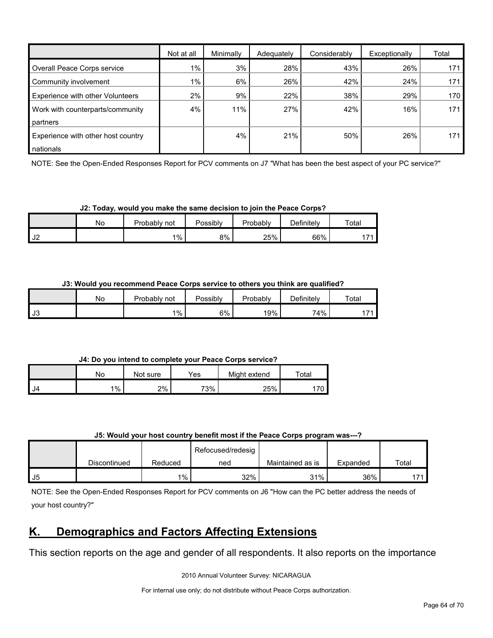|                                    | Not at all | Minimally | Adequately | Considerably | Exceptionally | Total            |
|------------------------------------|------------|-----------|------------|--------------|---------------|------------------|
| Overall Peace Corps service        | $1\%$      | 3%        | 28%        | 43%          | 26%           | 171              |
| Community involvement              | $1\%$      | 6%        | 26%        | 42%          | 24%           | 171              |
| Experience with other Volunteers   | 2%         | 9%        | 22%        | 38%          | 29%           | 170              |
| Work with counterparts/community   | 4%         | 11%       | 27%        | 42%          | 16%           | 171              |
| partners                           |            |           |            |              |               |                  |
| Experience with other host country |            | 4%        | 21%        | 50%          | 26%           | 171 <sub>1</sub> |
| nationals                          |            |           |            |              |               |                  |

NOTE: See the Open-Ended Responses Report for PCV comments on J7 "What has been the best aspect of your PC service?"

**J2: Today, would you make the same decision to join the Peace Corps?**

|                                 | No | Probably.<br>not | Possibly | Probably | Definitelv | Total          |
|---------------------------------|----|------------------|----------|----------|------------|----------------|
| $\overline{\phantom{a}}$<br>∠∪י |    | $1\%$            | 8%       | 25%      | 66%        | $1 - A$<br>. . |

**J3: Would you recommend Peace Corps service to others you think are qualified?**

|           | Nο | Probably not | Possibly | Probably | Definitely | Total |
|-----------|----|--------------|----------|----------|------------|-------|
| <b>J3</b> |    | 1%           | 6%       | 19%      | 74%        |       |

**J4: Do you intend to complete your Peace Corps service?**

|      | No    | Not sure | Yes | Might extend | Total |
|------|-------|----------|-----|--------------|-------|
| I J4 | $1\%$ | 2%       | 73% | 25%          |       |

| J5: Would your host country benefit most if the Peace Corps program was---? |  |
|-----------------------------------------------------------------------------|--|
|-----------------------------------------------------------------------------|--|

|    |              |         | Refocused/redesig |                  |          |               |
|----|--------------|---------|-------------------|------------------|----------|---------------|
|    | Discontinued | Reduced | ned               | Maintained as is | Expanded | Total         |
| J5 |              | $1\%$   | 32%               | 31%              | 36%      | $\rightarrow$ |

NOTE: See the Open-Ended Responses Report for PCV comments on J6 "How can the PC better address the needs of your host country?"

## <span id="page-63-0"></span>**K. Demographics and Factors Affecting Extensions**

This section reports on the age and gender of all respondents. It also reports on the importance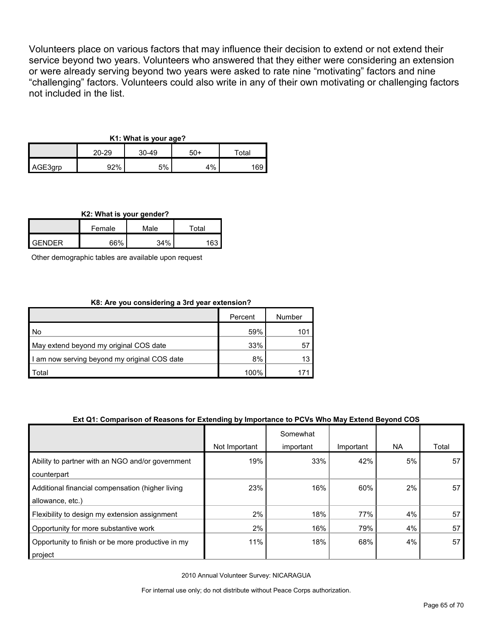Volunteers place on various factors that may influence their decision to extend or not extend their service beyond two years. Volunteers who answered that they either were considering an extension or were already serving beyond two years were asked to rate nine "motivating" factors and nine "challenging" factors. Volunteers could also write in any of their own motivating or challenging factors not included in the list.

#### **K1: What is your age?**

|         | 20-29 | $30 - 49$<br>$50+$ |       | $\tau$ otal |  |
|---------|-------|--------------------|-------|-------------|--|
| AGE3qrp | 92%   | 5%                 | $1\%$ | 169         |  |

#### **K2: What is your gender?**

|               | Female | Male | ™ota⊦ |
|---------------|--------|------|-------|
| <b>GENDER</b> | 66%    | 34%  | 163   |

Other demographic tables are available upon request

#### **K8: Are you considering a 3rd year extension?**

|                                              | Percent | Number |
|----------------------------------------------|---------|--------|
| l No                                         | 59%     | 101    |
| May extend beyond my original COS date       | 33%     | 57     |
| I am now serving beyond my original COS date | 8%      | 13     |
| Total                                        | 100%    |        |

#### **Ext Q1: Comparison of Reasons for Extending by Importance to PCVs Who May Extend Beyond COS**

|                                                                      |               | Somewhat  |           |           |       |
|----------------------------------------------------------------------|---------------|-----------|-----------|-----------|-------|
|                                                                      | Not Important | important | Important | <b>NA</b> | Total |
| Ability to partner with an NGO and/or government<br>counterpart      | 19%           | 33%       | 42%       | 5%        | 57    |
| Additional financial compensation (higher living<br>allowance, etc.) | 23%           | 16%       | 60%       | 2%        | 57    |
| Flexibility to design my extension assignment                        | 2%            | 18%       | 77%       | 4%        | 57    |
| Opportunity for more substantive work                                | 2%            | 16%       | 79%       | 4%        | 57    |
| Opportunity to finish or be more productive in my<br>project         | 11%           | 18%       | 68%       | 4%        | 57    |

2010 Annual Volunteer Survey: NICARAGUA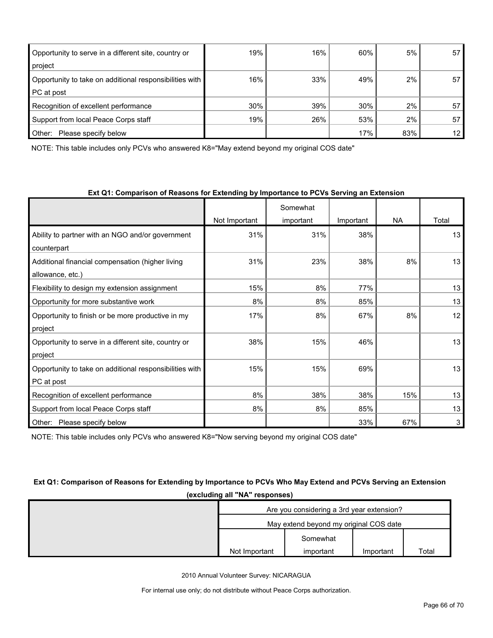| Opportunity to serve in a different site, country or    | 19% | 16% | 60% | 5%  | 57              |
|---------------------------------------------------------|-----|-----|-----|-----|-----------------|
| project                                                 |     |     |     |     |                 |
| Opportunity to take on additional responsibilities with | 16% | 33% | 49% | 2%  | 57              |
| PC at post                                              |     |     |     |     |                 |
| Recognition of excellent performance                    | 30% | 39% | 30% | 2%  | 57              |
| Support from local Peace Corps staff                    | 19% | 26% | 53% | 2%  | 57              |
| Other:<br>Please specify below                          |     |     | 17% | 83% | 12 <sub>1</sub> |

NOTE: This table includes only PCVs who answered K8="May extend beyond my original COS date"

| Ext Q1: Comparison of Reasons for Extending by Importance to PCVs Serving an Extension |  |
|----------------------------------------------------------------------------------------|--|
|----------------------------------------------------------------------------------------|--|

|                                                         |               | Somewhat  |           |           |       |
|---------------------------------------------------------|---------------|-----------|-----------|-----------|-------|
|                                                         | Not Important | important | Important | <b>NA</b> | Total |
| Ability to partner with an NGO and/or government        | 31%           | 31%       | 38%       |           | 13    |
| counterpart                                             |               |           |           |           |       |
| Additional financial compensation (higher living        | 31%           | 23%       | 38%       | 8%        | 13    |
| allowance, etc.)                                        |               |           |           |           |       |
| Flexibility to design my extension assignment           | 15%           | 8%        | 77%       |           | 13    |
| Opportunity for more substantive work                   | 8%            | 8%        | 85%       |           | 13    |
| Opportunity to finish or be more productive in my       | 17%           | 8%        | 67%       | 8%        | 12    |
| project                                                 |               |           |           |           |       |
| Opportunity to serve in a different site, country or    | 38%           | 15%       | 46%       |           | 13    |
| project                                                 |               |           |           |           |       |
| Opportunity to take on additional responsibilities with | 15%           | 15%       | 69%       |           | 13    |
| PC at post                                              |               |           |           |           |       |
| Recognition of excellent performance                    | 8%            | 38%       | 38%       | 15%       | 13    |
| Support from local Peace Corps staff                    | 8%            | 8%        | 85%       |           | 13    |
| Other:<br>Please specify below                          |               |           | 33%       | 67%       | 3     |

NOTE: This table includes only PCVs who answered K8="Now serving beyond my original COS date"

### **Ext Q1: Comparison of Reasons for Extending by Importance to PCVs Who May Extend and PCVs Serving an Extension (excluding all "NA" responses)**

| Are you considering a 3rd year extension? |                                        |           |       |  |
|-------------------------------------------|----------------------------------------|-----------|-------|--|
|                                           | May extend beyond my original COS date |           |       |  |
|                                           | Somewhat                               |           |       |  |
| Not Important                             | important                              | Important | Total |  |

2010 Annual Volunteer Survey: NICARAGUA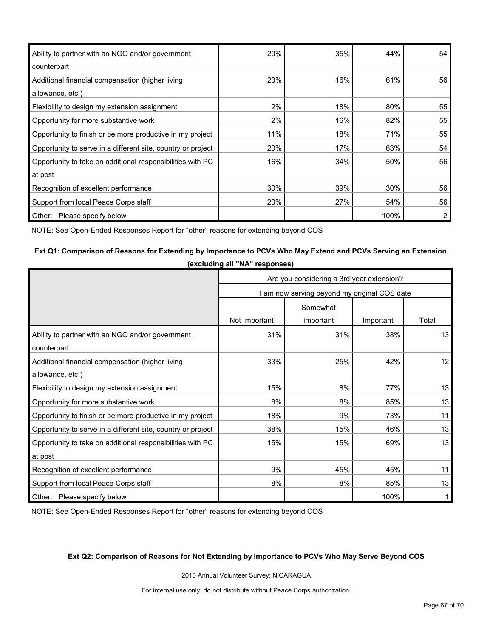| Ability to partner with an NGO and/or government             | 20% | 35% | 44%  | 54 |
|--------------------------------------------------------------|-----|-----|------|----|
| counterpart                                                  |     |     |      |    |
| Additional financial compensation (higher living             | 23% | 16% | 61%  | 56 |
| allowance, etc.)                                             |     |     |      |    |
| Flexibility to design my extension assignment                | 2%  | 18% | 80%  | 55 |
| Opportunity for more substantive work                        | 2%  | 16% | 82%  | 55 |
| Opportunity to finish or be more productive in my project    | 11% | 18% | 71%  | 55 |
| Opportunity to serve in a different site, country or project | 20% | 17% | 63%  | 54 |
| Opportunity to take on additional responsibilities with PC   | 16% | 34% | 50%  | 56 |
| at post                                                      |     |     |      |    |
| Recognition of excellent performance                         | 30% | 39% | 30%  | 56 |
| Support from local Peace Corps staff                         | 20% | 27% | 54%  | 56 |
| Other:<br>Please specify below                               |     |     | 100% | 2  |

NOTE: See Open-Ended Responses Report for "other" reasons for extending beyond COS

#### **Ext Q1: Comparison of Reasons for Extending by Importance to PCVs Who May Extend and PCVs Serving an Extension**

**(excluding all "NA" responses)**

|                                                              | Are you considering a 3rd year extension? |                                              |           |       |  |
|--------------------------------------------------------------|-------------------------------------------|----------------------------------------------|-----------|-------|--|
|                                                              |                                           | I am now serving beyond my original COS date |           |       |  |
|                                                              |                                           | Somewhat                                     |           |       |  |
|                                                              | Not Important                             | important                                    | Important | Total |  |
| Ability to partner with an NGO and/or government             | 31%                                       | 31%                                          | 38%       | 13    |  |
| counterpart                                                  |                                           |                                              |           |       |  |
| Additional financial compensation (higher living             | 33%                                       | 25%                                          | 42%       | 12    |  |
| allowance, etc.)                                             |                                           |                                              |           |       |  |
| Flexibility to design my extension assignment                | 15%                                       | 8%                                           | 77%       | 13    |  |
| Opportunity for more substantive work                        | 8%                                        | 8%                                           | 85%       | 13    |  |
| Opportunity to finish or be more productive in my project    | 18%                                       | 9%                                           | 73%       | 11    |  |
| Opportunity to serve in a different site, country or project | 38%                                       | 15%                                          | 46%       | 13    |  |
| Opportunity to take on additional responsibilities with PC   | 15%                                       | 15%                                          | 69%       | 13    |  |
| at post                                                      |                                           |                                              |           |       |  |
| Recognition of excellent performance                         | 9%                                        | 45%                                          | 45%       | 11    |  |
| Support from local Peace Corps staff                         | 8%                                        | 8%                                           | 85%       | 13    |  |
| Other: Please specify below                                  |                                           |                                              | 100%      |       |  |

NOTE: See Open-Ended Responses Report for "other" reasons for extending beyond COS

#### **Ext Q2: Comparison of Reasons for Not Extending by Importance to PCVs Who May Serve Beyond COS**

2010 Annual Volunteer Survey: NICARAGUA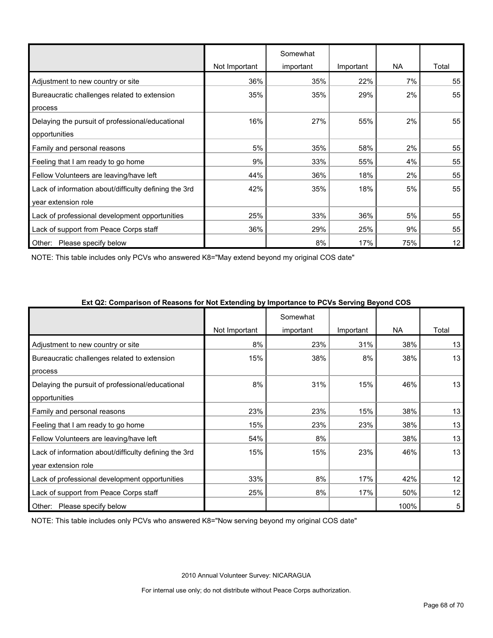|                                                       | Not Important | Somewhat<br>important | Important | NA. | Total |
|-------------------------------------------------------|---------------|-----------------------|-----------|-----|-------|
| Adjustment to new country or site                     | 36%           | 35%                   | 22%       | 7%  | 55    |
| Bureaucratic challenges related to extension          | 35%           | 35%                   | 29%       | 2%  | 55    |
| process                                               |               |                       |           |     |       |
| Delaying the pursuit of professional/educational      | 16%           | 27%                   | 55%       | 2%  | 55    |
| opportunities                                         |               |                       |           |     |       |
| Family and personal reasons                           | 5%            | 35%                   | 58%       | 2%  | 55    |
| Feeling that I am ready to go home                    | 9%            | 33%                   | 55%       | 4%  | 55    |
| Fellow Volunteers are leaving/have left               | 44%           | 36%                   | 18%       | 2%  | 55    |
| Lack of information about/difficulty defining the 3rd | 42%           | 35%                   | 18%       | 5%  | 55    |
| year extension role                                   |               |                       |           |     |       |
| Lack of professional development opportunities        | 25%           | 33%                   | 36%       | 5%  | 55    |
| Lack of support from Peace Corps staff                | 36%           | 29%                   | 25%       | 9%  | 55    |
| Other:<br>Please specify below                        |               | 8%                    | 17%       | 75% | 12    |

NOTE: This table includes only PCVs who answered K8="May extend beyond my original COS date"

|                                                       | .<br>Not Important | Somewhat<br>important | Important | <b>NA</b> | Total |
|-------------------------------------------------------|--------------------|-----------------------|-----------|-----------|-------|
| Adjustment to new country or site                     | 8%                 | 23%                   | 31%       | 38%       | 13    |
| Bureaucratic challenges related to extension          | 15%                | 38%                   | 8%        | 38%       | 13    |
| process                                               |                    |                       |           |           |       |
| Delaying the pursuit of professional/educational      | 8%                 | 31%                   | 15%       | 46%       | 13    |
| opportunities                                         |                    |                       |           |           |       |
| Family and personal reasons                           | 23%                | 23%                   | 15%       | 38%       | 13    |
| Feeling that I am ready to go home                    | 15%                | 23%                   | 23%       | 38%       | 13    |
| Fellow Volunteers are leaving/have left               | 54%                | 8%                    |           | 38%       | 13    |
| Lack of information about/difficulty defining the 3rd | 15%                | 15%                   | 23%       | 46%       | 13    |
| year extension role                                   |                    |                       |           |           |       |
| Lack of professional development opportunities        | 33%                | 8%                    | 17%       | 42%       | 12    |
| Lack of support from Peace Corps staff                | 25%                | 8%                    | 17%       | 50%       | 12    |
| Please specify below<br>Other:                        |                    |                       |           | 100%      | 5     |

#### **Ext Q2: Comparison of Reasons for Not Extending by Importance to PCVs Serving Beyond COS**

NOTE: This table includes only PCVs who answered K8="Now serving beyond my original COS date"

2010 Annual Volunteer Survey: NICARAGUA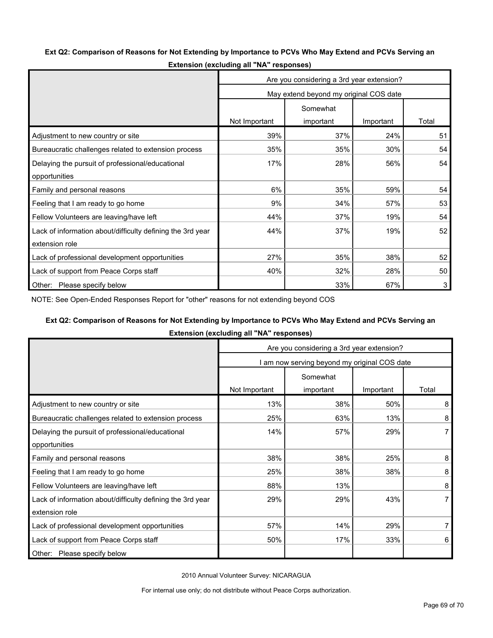#### **Ext Q2: Comparison of Reasons for Not Extending by Importance to PCVs Who May Extend and PCVs Serving an**

|                                                            | Are you considering a 3rd year extension? |           |           |       |
|------------------------------------------------------------|-------------------------------------------|-----------|-----------|-------|
|                                                            | May extend beyond my original COS date    |           |           |       |
|                                                            |                                           | Somewhat  |           |       |
|                                                            | Not Important                             | important | Important | Total |
| Adjustment to new country or site                          | 39%                                       | 37%       | 24%       | 51    |
| Bureaucratic challenges related to extension process       | 35%                                       | 35%       | 30%       | 54    |
| Delaying the pursuit of professional/educational           | 17%                                       | 28%       | 56%       | 54    |
| opportunities                                              |                                           |           |           |       |
| Family and personal reasons                                | 6%                                        | 35%       | 59%       | 54    |
| Feeling that I am ready to go home                         | 9%                                        | 34%       | 57%       | 53    |
| Fellow Volunteers are leaving/have left                    | 44%                                       | 37%       | 19%       | 54    |
| Lack of information about/difficulty defining the 3rd year | 44%                                       | 37%       | 19%       | 52    |
| extension role                                             |                                           |           |           |       |
| Lack of professional development opportunities             | 27%                                       | 35%       | 38%       | 52    |
| Lack of support from Peace Corps staff                     | 40%                                       | 32%       | 28%       | 50    |
| Other: Please specify below                                |                                           | 33%       | 67%       | 3     |

**Extension (excluding all "NA" responses)**

NOTE: See Open-Ended Responses Report for "other" reasons for not extending beyond COS

#### **Ext Q2: Comparison of Reasons for Not Extending by Importance to PCVs Who May Extend and PCVs Serving an**

**Extension (excluding all "NA" responses)**

|                                                            | Are you considering a 3rd year extension?    |           |           |       |
|------------------------------------------------------------|----------------------------------------------|-----------|-----------|-------|
|                                                            | I am now serving beyond my original COS date |           |           |       |
|                                                            |                                              | Somewhat  |           |       |
|                                                            | Not Important                                | important | Important | Total |
| Adjustment to new country or site                          | 13%                                          | 38%       | 50%       | 8     |
| Bureaucratic challenges related to extension process       | 25%                                          | 63%       | 13%       | 8     |
| Delaying the pursuit of professional/educational           | 14%                                          | 57%       | 29%       | 7     |
| opportunities                                              |                                              |           |           |       |
| Family and personal reasons                                | 38%                                          | 38%       | 25%       | 8     |
| Feeling that I am ready to go home                         | 25%                                          | 38%       | 38%       | 8     |
| Fellow Volunteers are leaving/have left                    | 88%                                          | 13%       |           | 8     |
| Lack of information about/difficulty defining the 3rd year | 29%                                          | 29%       | 43%       |       |
| extension role                                             |                                              |           |           |       |
| Lack of professional development opportunities             | 57%                                          | 14%       | 29%       |       |
| Lack of support from Peace Corps staff                     | 50%                                          | 17%       | 33%       | 6     |
| Please specify below<br>Other:                             |                                              |           |           |       |

2010 Annual Volunteer Survey: NICARAGUA